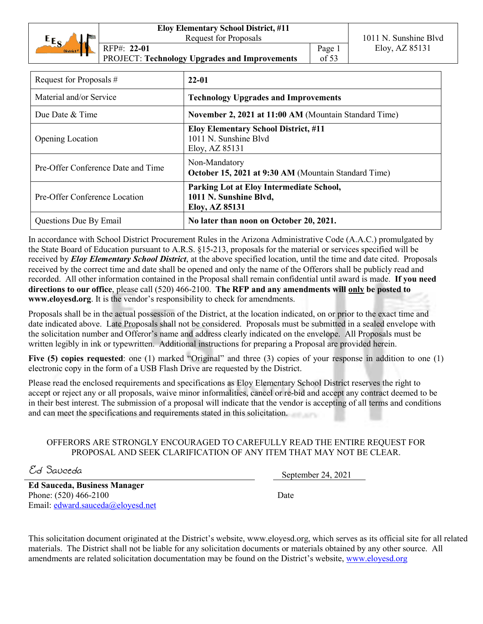|                       | <b>Eloy Elementary School District, #11</b>   |        |                       |
|-----------------------|-----------------------------------------------|--------|-----------------------|
| $E_{S}$<br>ыı         | <b>Request for Proposals</b>                  |        | 1011 N. Sunshine Blyd |
| District <sup>#</sup> | RFP#: 22-01                                   | Page 1 | Eloy, AZ 85131        |
|                       | PROJECT: Technology Upgrades and Improvements | of 53  |                       |
|                       |                                               |        |                       |

| Request for Proposals #            | 22-01                                                                                  |
|------------------------------------|----------------------------------------------------------------------------------------|
| Material and/or Service            | <b>Technology Upgrades and Improvements</b>                                            |
| Due Date & Time                    | November 2, 2021 at 11:00 AM (Mountain Standard Time)                                  |
| <b>Opening Location</b>            | <b>Eloy Elementary School District, #11</b><br>1011 N. Sunshine Blvd<br>Eloy, AZ 85131 |
| Pre-Offer Conference Date and Time | Non-Mandatory<br>October 15, 2021 at 9:30 AM (Mountain Standard Time)                  |
| Pre-Offer Conference Location      | Parking Lot at Eloy Intermediate School,<br>1011 N. Sunshine Blvd,<br>Eloy, AZ 85131   |
| Questions Due By Email             | No later than noon on October 20, 2021.                                                |

In accordance with School District Procurement Rules in the Arizona Administrative Code (A.A.C.) promulgated by the State Board of Education pursuant to A.R.S. §15-213, proposals for the material or services specified will be received by *Eloy Elementary School District*, at the above specified location, until the time and date cited. Proposals received by the correct time and date shall be opened and only the name of the Offerors shall be publicly read and recorded. All other information contained in the Proposal shall remain confidential until award is made. **If you need directions to our office**, please call (520) 466-2100. **The RFP and any amendments will only be posted to www.eloyesd.org**. It is the vendor's responsibility to check for amendments.

Proposals shall be in the actual possession of the District, at the location indicated, on or prior to the exact time and date indicated above. Late Proposals shall not be considered. Proposals must be submitted in a sealed envelope with the solicitation number and Offeror's name and address clearly indicated on the envelope. All Proposals must be written legibly in ink or typewritten. Additional instructions for preparing a Proposal are provided herein.

**Five (5) copies requested**: one (1) marked "Original" and three (3) copies of your response in addition to one (1) electronic copy in the form of a USB Flash Drive are requested by the District.

Please read the enclosed requirements and specifications as Eloy Elementary School District reserves the right to accept or reject any or all proposals, waive minor informalities, cancel or re-bid and accept any contract deemed to be in their best interest. The submission of a proposal will indicate that the vendor is accepting of all terms and conditions and can meet the specifications and requirements stated in this solicitation.

# OFFERORS ARE STRONGLY ENCOURAGED TO CAREFULLY READ THE ENTIRE REQUEST FOR PROPOSAL AND SEEK CLARIFICATION OF ANY ITEM THAT MAY NOT BE CLEAR.

 $E_d$  Sauceda September 24, 2021

**Ed Sauceda, Business Manager** Phone: (520) 466-2100 Email: edward.sauceda@eloyesd.net

Date

This solicitation document originated at the District's website, www.eloyesd.org, which serves as its official site for all related materials. The District shall not be liable for any solicitation documents or materials obtained by any other source. All amendments are related solicitation documentation may be found on the District's website, www.eloyesd.org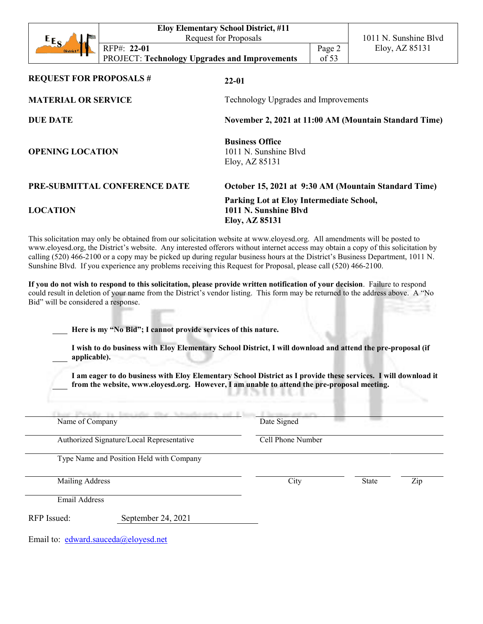|                                |                                                      | <b>Eloy Elementary School District, #11</b> |         |                                                       |
|--------------------------------|------------------------------------------------------|---------------------------------------------|---------|-------------------------------------------------------|
| $E_{E_S}$                      |                                                      | <b>Request for Proposals</b>                |         | 1011 N. Sunshine Blyd                                 |
|                                | RFP#: 22-01                                          |                                             | Page 2  | Eloy, AZ 85131                                        |
|                                | <b>PROJECT: Technology Upgrades and Improvements</b> |                                             | of $53$ |                                                       |
|                                |                                                      |                                             |         |                                                       |
| <b>REQUEST FOR PROPOSALS #</b> |                                                      | $22 - 01$                                   |         |                                                       |
|                                |                                                      |                                             |         |                                                       |
| <b>MATERIAL OR SERVICE</b>     |                                                      | Technology Upgrades and Improvements        |         |                                                       |
|                                |                                                      |                                             |         |                                                       |
| <b>DUE DATE</b>                |                                                      |                                             |         | November 2, 2021 at 11:00 AM (Mountain Standard Time) |
|                                |                                                      |                                             |         |                                                       |
| <b>OPENING LOCATION</b>        |                                                      | <b>Business Office</b>                      |         |                                                       |
|                                |                                                      | 1011 N. Sunshine Blyd                       |         |                                                       |
|                                |                                                      | Eloy, AZ 85131                              |         |                                                       |
|                                |                                                      |                                             |         |                                                       |
|                                | PRE-SUBMITTAL CONFERENCE DATE                        |                                             |         | October 15, 2021 at 9:30 AM (Mountain Standard Time)  |
|                                |                                                      | Parking Lot at Eloy Intermediate School,    |         |                                                       |
| <b>LOCATION</b>                |                                                      | 1011 N. Sunshine Blyd                       |         |                                                       |
|                                |                                                      | Eloy, AZ 85131                              |         |                                                       |

This solicitation may only be obtained from our solicitation website at www.eloyesd.org. All amendments will be posted to www.eloyesd.org, the District's website. Any interested offerors without internet access may obtain a copy of this solicitation by calling (520) 466-2100 or a copy may be picked up during regular business hours at the District's Business Department, 1011 N. Sunshine Blvd. If you experience any problems receiving this Request for Proposal, please call (520) 466-2100.

**If you do not wish to respond to this solicitation, please provide written notification of your decision**. Failure to respond could result in deletion of your name from the District's vendor listing. This form may be returned to the address above. A "No Bid" will be considered a response.

**Here is my "No Bid"; I cannot provide services of this nature.** 

**I wish to do business with Eloy Elementary School District, I will download and attend the pre-proposal (if applicable).** 

**I am eager to do business with Eloy Elementary School District as I provide these services. I will download it from the website, www.eloyesd.org. However, I am unable to attend the pre-proposal meeting.** 

| Name of Company        |                                           | Date Signed       |              |     |
|------------------------|-------------------------------------------|-------------------|--------------|-----|
|                        | Authorized Signature/Local Representative | Cell Phone Number |              |     |
|                        | Type Name and Position Held with Company  |                   |              |     |
| <b>Mailing Address</b> |                                           | City              | <b>State</b> | Zip |
| Email Address          |                                           |                   |              |     |
| RFP Issued:            | September 24, 2021                        |                   |              |     |

Email to: edward.sauceda@eloyesd.net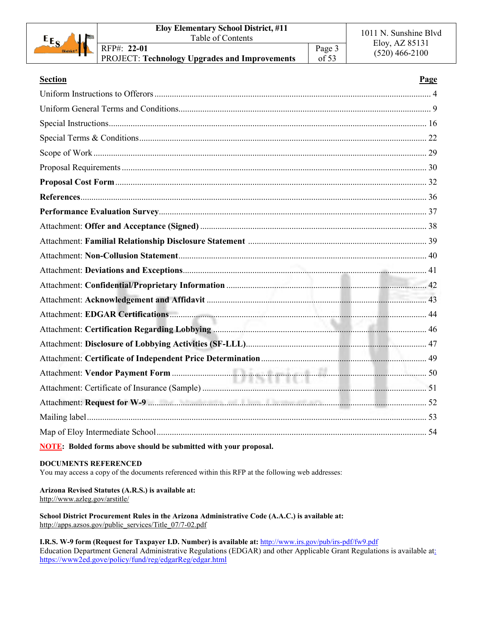| $E_{S_A}$<br>ماند<br>District # | <b>Eloy Elementary School District, #11</b><br>Table of Contents          |                   | 1011 N. Sunshine Blvd              |
|---------------------------------|---------------------------------------------------------------------------|-------------------|------------------------------------|
|                                 | RFP#: 22-01<br><sup>1</sup> PROJECT: Technology Upgrades and Improvements | Page 3<br>of $53$ | Eloy, AZ 85131<br>$(520)$ 466-2100 |

| <b>Section</b>                                                          | Page |
|-------------------------------------------------------------------------|------|
|                                                                         |      |
|                                                                         |      |
|                                                                         |      |
|                                                                         |      |
|                                                                         |      |
|                                                                         |      |
|                                                                         |      |
|                                                                         |      |
|                                                                         |      |
|                                                                         |      |
|                                                                         |      |
|                                                                         |      |
|                                                                         |      |
|                                                                         |      |
|                                                                         |      |
|                                                                         |      |
|                                                                         |      |
|                                                                         |      |
|                                                                         |      |
|                                                                         |      |
| Attachment: Certificate of Insurance (Sample) 2007 112 and 2008         |      |
|                                                                         |      |
|                                                                         |      |
|                                                                         |      |
| <b>NOTE:</b> Bolded forms above should be submitted with your proposal. |      |

#### **DOCUMENTS REFERENCED**

You may access a copy of the documents referenced within this RFP at the following web addresses:

**Arizona Revised Statutes (A.R.S.) is available at:** http://www.azleg.gov/arstitle/

**School District Procurement Rules in the Arizona Administrative Code (A.A.C.) is available at:** http://apps.azsos.gov/public\_services/Title\_07/7-02.pdf

**I.R.S. W-9 form (Request for Taxpayer I.D. Number) is available at:** http://www.irs.gov/pub/irs-pdf/fw9.pdf Education Department General Administrative Regulations (EDGAR) and other Applicable Grant Regulations is available at: https://www2ed.gove/policy/fund/reg/edgarReg/edgar.html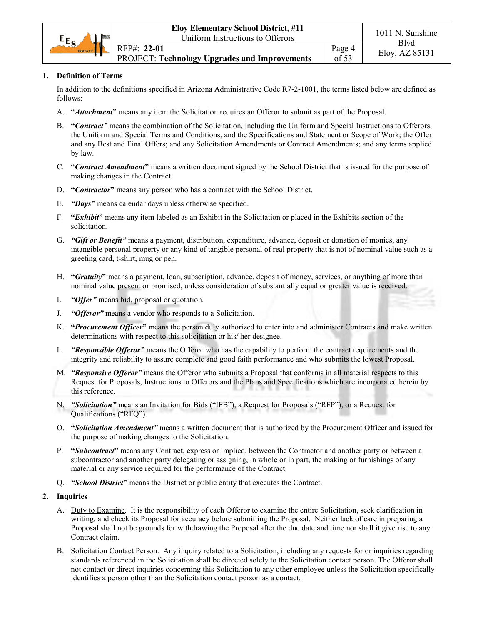

#### **1. Definition of Terms**

In addition to the definitions specified in Arizona Administrative Code R7-2-1001, the terms listed below are defined as follows:

- A. **"***Attachment***"** means any item the Solicitation requires an Offeror to submit as part of the Proposal.
- B. **"***Contract"* means the combination of the Solicitation, including the Uniform and Special Instructions to Offerors, the Uniform and Special Terms and Conditions, and the Specifications and Statement or Scope of Work; the Offer and any Best and Final Offers; and any Solicitation Amendments or Contract Amendments; and any terms applied by law.
- C. **"***Contract Amendment***"** means a written document signed by the School District that is issued for the purpose of making changes in the Contract.
- D. **"***Contractor***"** means any person who has a contract with the School District.
- E. *"Days"* means calendar days unless otherwise specified.
- F. **"***Exhibit***"** means any item labeled as an Exhibit in the Solicitation or placed in the Exhibits section of the solicitation.
- G. *"Gift or Benefit"* means a payment, distribution, expenditure, advance, deposit or donation of monies, any intangible personal property or any kind of tangible personal of real property that is not of nominal value such as a greeting card, t-shirt, mug or pen.
- H. **"***Gratuity***"** means a payment, loan, subscription, advance, deposit of money, services, or anything of more than nominal value present or promised, unless consideration of substantially equal or greater value is received.
- I. *"Offer"* means bid, proposal or quotation.
- J. *"Offeror"* means a vendor who responds to a Solicitation.
- K. **"***Procurement Officer***"** means the person duly authorized to enter into and administer Contracts and make written determinations with respect to this solicitation or his/ her designee.
- L. *"Responsible Offeror"* means the Offeror who has the capability to perform the contract requirements and the integrity and reliability to assure complete and good faith performance and who submits the lowest Proposal.
- M. *"Responsive Offeror"* means the Offeror who submits a Proposal that conforms in all material respects to this Request for Proposals, Instructions to Offerors and the Plans and Specifications which are incorporated herein by this reference.
- N. *"Solicitation"* means an Invitation for Bids ("IFB"), a Request for Proposals ("RFP"), or a Request for Qualifications ("RFQ").
- O. **"***Solicitation Amendment"* means a written document that is authorized by the Procurement Officer and issued for the purpose of making changes to the Solicitation.
- P. **"***Subcontract***"** means any Contract, express or implied, between the Contractor and another party or between a subcontractor and another party delegating or assigning, in whole or in part, the making or furnishings of any material or any service required for the performance of the Contract.
- Q. *"School District"* means the District or public entity that executes the Contract.
- **2. Inquiries**
	- A. Duty to Examine. It is the responsibility of each Offeror to examine the entire Solicitation, seek clarification in writing, and check its Proposal for accuracy before submitting the Proposal. Neither lack of care in preparing a Proposal shall not be grounds for withdrawing the Proposal after the due date and time nor shall it give rise to any Contract claim.
	- B. Solicitation Contact Person. Any inquiry related to a Solicitation, including any requests for or inquiries regarding standards referenced in the Solicitation shall be directed solely to the Solicitation contact person. The Offeror shall not contact or direct inquiries concerning this Solicitation to any other employee unless the Solicitation specifically identifies a person other than the Solicitation contact person as a contact.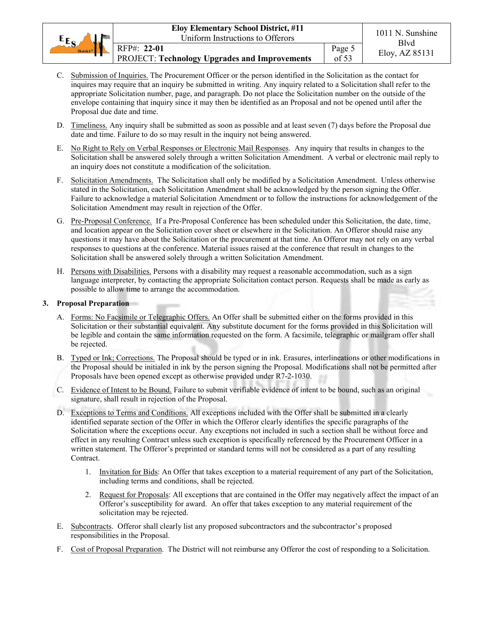| $E_{S_A}$        | <b>Eloy Elementary School District, #11</b>                  |                 | 1011 N. Sunshine |
|------------------|--------------------------------------------------------------|-----------------|------------------|
| <b>Sales And</b> | Uniform Instructions to Offerors                             |                 | Blvd             |
| District $\mu$   | RFP#: 22-01<br>PROJECT: Technology Upgrades and Improvements | Page 5<br>of 53 | Eloy, AZ 85131   |

- C. Submission of Inquiries. The Procurement Officer or the person identified in the Solicitation as the contact for inquires may require that an inquiry be submitted in writing. Any inquiry related to a Solicitation shall refer to the appropriate Solicitation number, page, and paragraph. Do not place the Solicitation number on the outside of the envelope containing that inquiry since it may then be identified as an Proposal and not be opened until after the Proposal due date and time.
- D. Timeliness. Any inquiry shall be submitted as soon as possible and at least seven (7) days before the Proposal due date and time. Failure to do so may result in the inquiry not being answered.
- E. No Right to Rely on Verbal Responses or Electronic Mail Responses. Any inquiry that results in changes to the Solicitation shall be answered solely through a written Solicitation Amendment. A verbal or electronic mail reply to an inquiry does not constitute a modification of the solicitation.
- F. Solicitation Amendments. The Solicitation shall only be modified by a Solicitation Amendment. Unless otherwise stated in the Solicitation, each Solicitation Amendment shall be acknowledged by the person signing the Offer. Failure to acknowledge a material Solicitation Amendment or to follow the instructions for acknowledgement of the Solicitation Amendment may result in rejection of the Offer.
- G. Pre-Proposal Conference. If a Pre-Proposal Conference has been scheduled under this Solicitation, the date, time, and location appear on the Solicitation cover sheet or elsewhere in the Solicitation. An Offeror should raise any questions it may have about the Solicitation or the procurement at that time. An Offeror may not rely on any verbal responses to questions at the conference. Material issues raised at the conference that result in changes to the Solicitation shall be answered solely through a written Solicitation Amendment.
- H. Persons with Disabilities. Persons with a disability may request a reasonable accommodation, such as a sign language interpreter, by contacting the appropriate Solicitation contact person. Requests shall be made as early as possible to allow time to arrange the accommodation.

# **3. Proposal Preparation**

- A. Forms: No Facsimile or Telegraphic Offers. An Offer shall be submitted either on the forms provided in this Solicitation or their substantial equivalent. Any substitute document for the forms provided in this Solicitation will be legible and contain the same information requested on the form. A facsimile, telegraphic or mailgram offer shall be rejected.
- B. Typed or Ink; Corrections. The Proposal should be typed or in ink. Erasures, interlineations or other modifications in the Proposal should be initialed in ink by the person signing the Proposal. Modifications shall not be permitted after Proposals have been opened except as otherwise provided under R7-2-1030.
- C. Evidence of Intent to be Bound. Failure to submit verifiable evidence of intent to be bound, such as an original signature, shall result in rejection of the Proposal.
- D. Exceptions to Terms and Conditions. All exceptions included with the Offer shall be submitted in a clearly identified separate section of the Offer in which the Offeror clearly identifies the specific paragraphs of the Solicitation where the exceptions occur. Any exceptions not included in such a section shall be without force and effect in any resulting Contract unless such exception is specifically referenced by the Procurement Officer in a written statement. The Offeror's preprinted or standard terms will not be considered as a part of any resulting Contract.
	- 1. Invitation for Bids: An Offer that takes exception to a material requirement of any part of the Solicitation, including terms and conditions, shall be rejected.
	- 2. Request for Proposals: All exceptions that are contained in the Offer may negatively affect the impact of an Offeror's susceptibility for award. An offer that takes exception to any material requirement of the solicitation may be rejected.
- E. Subcontracts. Offeror shall clearly list any proposed subcontractors and the subcontractor's proposed responsibilities in the Proposal.
- F. Cost of Proposal Preparation. The District will not reimburse any Offeror the cost of responding to a Solicitation.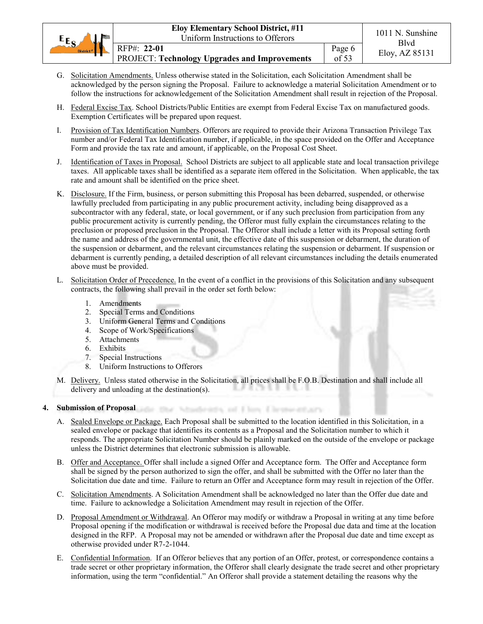- G. Solicitation Amendments. Unless otherwise stated in the Solicitation, each Solicitation Amendment shall be acknowledged by the person signing the Proposal. Failure to acknowledge a material Solicitation Amendment or to follow the instructions for acknowledgement of the Solicitation Amendment shall result in rejection of the Proposal.
- H. Federal Excise Tax. School Districts/Public Entities are exempt from Federal Excise Tax on manufactured goods. Exemption Certificates will be prepared upon request.
- I. Provision of Tax Identification Numbers. Offerors are required to provide their Arizona Transaction Privilege Tax number and/or Federal Tax Identification number, if applicable, in the space provided on the Offer and Acceptance Form and provide the tax rate and amount, if applicable, on the Proposal Cost Sheet.
- J. Identification of Taxes in Proposal. School Districts are subject to all applicable state and local transaction privilege taxes. All applicable taxes shall be identified as a separate item offered in the Solicitation. When applicable, the tax rate and amount shall be identified on the price sheet.
- K. Disclosure. If the Firm, business, or person submitting this Proposal has been debarred, suspended, or otherwise lawfully precluded from participating in any public procurement activity, including being disapproved as a subcontractor with any federal, state, or local government, or if any such preclusion from participation from any public procurement activity is currently pending, the Offeror must fully explain the circumstances relating to the preclusion or proposed preclusion in the Proposal. The Offeror shall include a letter with its Proposal setting forth the name and address of the governmental unit, the effective date of this suspension or debarment, the duration of the suspension or debarment, and the relevant circumstances relating the suspension or debarment. If suspension or debarment is currently pending, a detailed description of all relevant circumstances including the details enumerated above must be provided.
- L. Solicitation Order of Precedence. In the event of a conflict in the provisions of this Solicitation and any subsequent contracts, the following shall prevail in the order set forth below:
	- 1. Amendments
	- 2. Special Terms and Conditions
	- 3. Uniform General Terms and Conditions

a tha Nh

- 4. Scope of Work/Specifications
- 5. Attachments
- 6. Exhibits
- 7. Special Instructions
- 8. Uniform Instructions to Offerors
- M. Delivery. Unless stated otherwise in the Solicitation, all prices shall be F.O.B. Destination and shall include all delivery and unloading at the destination(s).

abratis, of 1 km Lieus

#### **4. Submission of Proposal**

- A. Sealed Envelope or Package. Each Proposal shall be submitted to the location identified in this Solicitation, in a sealed envelope or package that identifies its contents as a Proposal and the Solicitation number to which it responds. The appropriate Solicitation Number should be plainly marked on the outside of the envelope or package unless the District determines that electronic submission is allowable.
- B. Offer and Acceptance. Offer shall include a signed Offer and Acceptance form. The Offer and Acceptance form shall be signed by the person authorized to sign the offer, and shall be submitted with the Offer no later than the Solicitation due date and time. Failure to return an Offer and Acceptance form may result in rejection of the Offer.
- C. Solicitation Amendments. A Solicitation Amendment shall be acknowledged no later than the Offer due date and time. Failure to acknowledge a Solicitation Amendment may result in rejection of the Offer.
- D. Proposal Amendment or Withdrawal. An Offeror may modify or withdraw a Proposal in writing at any time before Proposal opening if the modification or withdrawal is received before the Proposal due data and time at the location designed in the RFP. A Proposal may not be amended or withdrawn after the Proposal due date and time except as otherwise provided under R7-2-1044.
- E. Confidential Information. If an Offeror believes that any portion of an Offer, protest, or correspondence contains a trade secret or other proprietary information, the Offeror shall clearly designate the trade secret and other proprietary information, using the term "confidential." An Offeror shall provide a statement detailing the reasons why the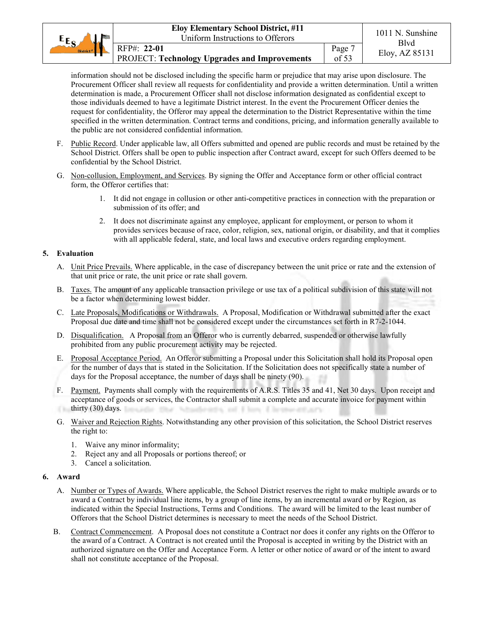| $E_{E_{\rm C}}$       | <b>Eloy Elementary School District, #11</b>                  |                 | 1011 N. Sunshine |
|-----------------------|--------------------------------------------------------------|-----------------|------------------|
| املام                 | Uniform Instructions to Offerors                             |                 | Blvd             |
| District <sup>#</sup> | RFP#: 22-01<br>PROJECT: Technology Upgrades and Improvements | Page 7<br>of 53 | Eloy, AZ 85131   |

information should not be disclosed including the specific harm or prejudice that may arise upon disclosure. The Procurement Officer shall review all requests for confidentiality and provide a written determination. Until a written determination is made, a Procurement Officer shall not disclose information designated as confidential except to those individuals deemed to have a legitimate District interest. In the event the Procurement Officer denies the request for confidentiality, the Offeror may appeal the determination to the District Representative within the time specified in the written determination. Contract terms and conditions, pricing, and information generally available to the public are not considered confidential information.

- F. Public Record. Under applicable law, all Offers submitted and opened are public records and must be retained by the School District. Offers shall be open to public inspection after Contract award, except for such Offers deemed to be confidential by the School District.
- G. Non-collusion, Employment, and Services. By signing the Offer and Acceptance form or other official contract form, the Offeror certifies that:
	- 1. It did not engage in collusion or other anti-competitive practices in connection with the preparation or submission of its offer; and
	- 2. It does not discriminate against any employee, applicant for employment, or person to whom it provides services because of race, color, religion, sex, national origin, or disability, and that it complies with all applicable federal, state, and local laws and executive orders regarding employment.

# **5. Evaluation**

- A. Unit Price Prevails. Where applicable, in the case of discrepancy between the unit price or rate and the extension of that unit price or rate, the unit price or rate shall govern.
- B. Taxes. The amount of any applicable transaction privilege or use tax of a political subdivision of this state will not be a factor when determining lowest bidder.
- C. Late Proposals, Modifications or Withdrawals. A Proposal, Modification or Withdrawal submitted after the exact Proposal due date and time shall not be considered except under the circumstances set forth in R7-2-1044.
- D. Disqualification. A Proposal from an Offeror who is currently debarred, suspended or otherwise lawfully prohibited from any public procurement activity may be rejected.
- E. Proposal Acceptance Period. An Offeror submitting a Proposal under this Solicitation shall hold its Proposal open for the number of days that is stated in the Solicitation. If the Solicitation does not specifically state a number of days for the Proposal acceptance, the number of days shall be ninety (90).
- F. Payment. Payments shall comply with the requirements of A.R.S. Titles 35 and 41, Net 30 days. Upon receipt and acceptance of goods or services, the Contractor shall submit a complete and accurate invoice for payment within thirty  $(30)$  days. intia, and it have if he
- G. Waiver and Rejection Rights. Notwithstanding any other provision of this solicitation, the School District reserves the right to:
	- 1. Waive any minor informality;
	- 2. Reject any and all Proposals or portions thereof; or
	- 3. Cancel a solicitation.

#### **6. Award**

- A. Number or Types of Awards. Where applicable, the School District reserves the right to make multiple awards or to award a Contract by individual line items, by a group of line items, by an incremental award or by Region, as indicated within the Special Instructions, Terms and Conditions. The award will be limited to the least number of Offerors that the School District determines is necessary to meet the needs of the School District.
- B. Contract Commencement. A Proposal does not constitute a Contract nor does it confer any rights on the Offeror to the award of a Contract. A Contract is not created until the Proposal is accepted in writing by the District with an authorized signature on the Offer and Acceptance Form. A letter or other notice of award or of the intent to award shall not constitute acceptance of the Proposal.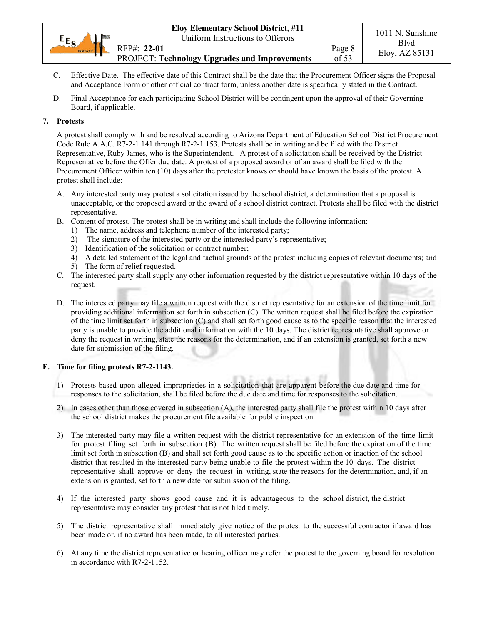| $E_{\rm R}$           | <b>Eloy Elementary School District, #11</b>                  |                 | 1011 N. Sunshine |
|-----------------------|--------------------------------------------------------------|-----------------|------------------|
| <b>Salar</b>          | Uniform Instructions to Offerors                             |                 | Blvd             |
| District <sup>#</sup> | RFP#: 22-01<br>PROJECT: Technology Upgrades and Improvements | Page 8<br>of 53 | Eloy, AZ 85131   |

- C. Effective Date. The effective date of this Contract shall be the date that the Procurement Officer signs the Proposal and Acceptance Form or other official contract form, unless another date is specifically stated in the Contract.
- D. Final Acceptance for each participating School District will be contingent upon the approval of their Governing Board, if applicable.

# **7. Protests**

A protest shall comply with and be resolved according to Arizona Department of Education School District Procurement Code Rule A.A.C. R7-2-1 141 through R7-2-1 153. Protests shall be in writing and be filed with the District Representative, Ruby James, who is the Superintendent. A protest of a solicitation shall be received by the District Representative before the Offer due date. A protest of a proposed award or of an award shall be filed with the Procurement Officer within ten (10) days after the protester knows or should have known the basis of the protest. A protest shall include:

- A. Any interested party may protest a solicitation issued by the school district, a determination that a proposal is unacceptable, or the proposed award or the award of a school district contract. Protests shall be filed with the district representative.
- B. Content of protest. The protest shall be in writing and shall include the following information:
	- 1) The name, address and telephone number of the interested party;
	- 2) The signature of the interested party or the interested party's representative;
	- 3) Identification of the solicitation or contract number;
	- 4) A detailed statement of the legal and factual grounds of the protest including copies of relevant documents; and
	- 5) The form of relief requested.
- C. The interested party shall supply any other information requested by the district representative within 10 days of the request.
- D. The interested party may file a written request with the district representative for an extension of the time limit for providing additional information set forth in subsection (C). The written request shall be filed before the expiration of the time limit set forth in subsection (C) and shall set forth good cause as to the specific reason that the interested party is unable to provide the additional information with the 10 days. The district representative shall approve or deny the request in writing, state the reasons for the determination, and if an extension is granted, set forth a new date for submission of the filing.

#### **E. Time for filing protests R7-2-1143.**

- 1) Protests based upon alleged improprieties in a solicitation that are apparent before the due date and time for responses to the solicitation, shall be filed before the due date and time for responses to the solicitation.
- 2) In cases other than those covered in subsection (A), the interested party shall file the protest within 10 days after the school district makes the procurement file available for public inspection.
- 3) The interested party may file a written request with the district representative for an extension of the time limit for protest filing set forth in subsection (B). The written request shall be filed before the expiration of the time limit set forth in subsection (B) and shall set forth good cause as to the specific action or inaction of the school district that resulted in the interested party being unable to file the protest within the 10 days. The district representative shall approve or deny the request in writing, state the reasons for the determination, and, if an extension is granted, set forth a new date for submission of the filing.
- 4) If the interested party shows good cause and it is advantageous to the school district, the district representative may consider any protest that is not filed timely.
- 5) The district representative shall immediately give notice of the protest to the successful contractor if award has been made or, if no award has been made, to all interested parties.
- 6) At any time the district representative or hearing officer may refer the protest to the governing board for resolution in accordance with R7-2-1152.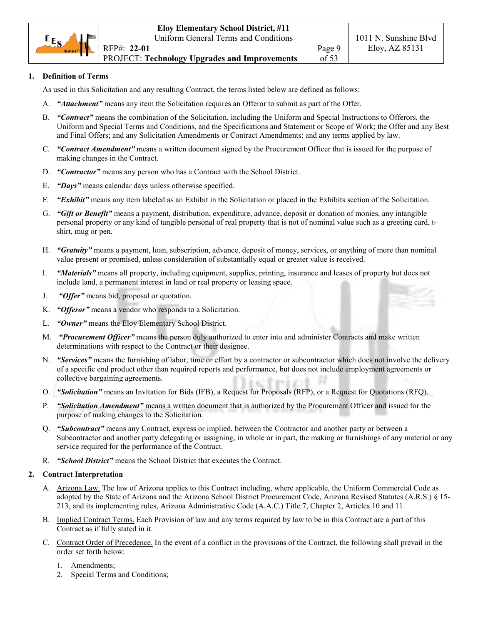# **1. Definition of Terms**

As used in this Solicitation and any resulting Contract, the terms listed below are defined as follows:

- A. *"Attachment"* means any item the Solicitation requires an Offeror to submit as part of the Offer.
- B. *"Contract"* means the combination of the Solicitation, including the Uniform and Special Instructions to Offerors, the Uniform and Special Terms and Conditions, and the Specifications and Statement or Scope of Work; the Offer and any Best and Final Offers; and any Solicitation Amendments or Contract Amendments; and any terms applied by law.
- C. *"Contract Amendment"* means a written document signed by the Procurement Officer that is issued for the purpose of making changes in the Contract.
- D. *"Contractor"* means any person who has a Contract with the School District.
- E. *"Days"* means calendar days unless otherwise specified.
- F. *"Exhibit"* means any item labeled as an Exhibit in the Solicitation or placed in the Exhibits section of the Solicitation.
- G. *"Gift or Benefit"* means a payment, distribution, expenditure, advance, deposit or donation of monies, any intangible personal property or any kind of tangible personal of real property that is not of nominal value such as a greeting card, tshirt, mug or pen.
- H. *"Gratuity"* means a payment, loan, subscription, advance, deposit of money, services, or anything of more than nominal value present or promised, unless consideration of substantially equal or greater value is received.
- I. *"Materials"* means all property, including equipment, supplies, printing, insurance and leases of property but does not include land, a permanent interest in land or real property or leasing space.
- J. *"Offer"* means bid, proposal or quotation.
- K. *"Offeror"* means a vendor who responds to a Solicitation.
- L. *"Owner"* means the Eloy Elementary School District.
- M. *"Procurement Officer"* means the person duly authorized to enter into and administer Contracts and make written determinations with respect to the Contract or their designee.
- N. *"Services"* means the furnishing of labor, time or effort by a contractor or subcontractor which does not involve the delivery of a specific end product other than required reports and performance, but does not include employment agreements or collective bargaining agreements.
- O. *"Solicitation"* means an Invitation for Bids (IFB), a Request for Proposals (RFP), or a Request for Quotations (RFQ).
- P. *"Solicitation Amendment"* means a written document that is authorized by the Procurement Officer and issued for the purpose of making changes to the Solicitation.
- Q. *"Subcontract"* means any Contract, express or implied, between the Contractor and another party or between a Subcontractor and another party delegating or assigning, in whole or in part, the making or furnishings of any material or any service required for the performance of the Contract.
- R. *"School District"* means the School District that executes the Contract.

#### **2. Contract Interpretation**

- A. Arizona Law. The law of Arizona applies to this Contract including, where applicable, the Uniform Commercial Code as adopted by the State of Arizona and the Arizona School District Procurement Code, Arizona Revised Statutes (A.R.S.) § 15- 213, and its implementing rules, Arizona Administrative Code (A.A.C.) Title 7, Chapter 2, Articles 10 and 11.
- B. Implied Contract Terms. Each Provision of law and any terms required by law to be in this Contract are a part of this Contract as if fully stated in it.
- C. Contract Order of Precedence. In the event of a conflict in the provisions of the Contract, the following shall prevail in the order set forth below:
	- 1. Amendments;
	- 2. Special Terms and Conditions;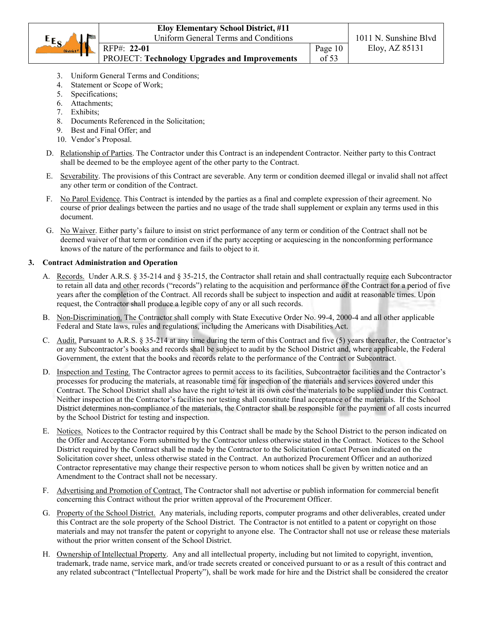|                       | <b>Eloy Elementary School District, #11</b>          |         |                       |
|-----------------------|------------------------------------------------------|---------|-----------------------|
| $E_{S}$               | Uniform General Terms and Conditions                 |         | 1011 N. Sunshine Blvd |
| District <sup>#</sup> | RFP#: 22-01                                          | Page 10 | Eloy, AZ 85131        |
|                       | <b>PROJECT: Technology Upgrades and Improvements</b> | of 53   |                       |

- 3. Uniform General Terms and Conditions;
- 4. Statement or Scope of Work;
- 5. Specifications;
- 6. Attachments;
- 7. Exhibits;
- 8. Documents Referenced in the Solicitation;
- 9. Best and Final Offer; and
- 10. Vendor's Proposal.
- D. Relationship of Parties. The Contractor under this Contract is an independent Contractor. Neither party to this Contract shall be deemed to be the employee agent of the other party to the Contract.
- E. Severability. The provisions of this Contract are severable. Any term or condition deemed illegal or invalid shall not affect any other term or condition of the Contract.
- F. No Parol Evidence. This Contract is intended by the parties as a final and complete expression of their agreement. No course of prior dealings between the parties and no usage of the trade shall supplement or explain any terms used in this document.
- G. No Waiver. Either party's failure to insist on strict performance of any term or condition of the Contract shall not be deemed waiver of that term or condition even if the party accepting or acquiescing in the nonconforming performance knows of the nature of the performance and fails to object to it.

# **3. Contract Administration and Operation**

- A. Records.Under A.R.S. § 35-214 and § 35-215, the Contractor shall retain and shall contractually require each Subcontractor to retain all data and other records ("records") relating to the acquisition and performance of the Contract for a period of five years after the completion of the Contract. All records shall be subject to inspection and audit at reasonable times. Upon request, the Contractor shall produce a legible copy of any or all such records.
- B. Non-Discrimination. The Contractor shall comply with State Executive Order No. 99-4, 2000-4 and all other applicable Federal and State laws, rules and regulations, including the Americans with Disabilities Act.
- C. Audit. Pursuant to A.R.S. § 35-214 at any time during the term of this Contract and five (5) years thereafter, the Contractor's or any Subcontractor's books and records shall be subject to audit by the School District and, where applicable, the Federal Government, the extent that the books and records relate to the performance of the Contract or Subcontract.
- D. Inspection and Testing. The Contractor agrees to permit access to its facilities, Subcontractor facilities and the Contractor's processes for producing the materials, at reasonable time for inspection of the materials and services covered under this Contract. The School District shall also have the right to test at its own cost the materials to be supplied under this Contract. Neither inspection at the Contractor's facilities nor testing shall constitute final acceptance of the materials. If the School District determines non-compliance of the materials, the Contractor shall be responsible for the payment of all costs incurred by the School District for testing and inspection.
- E. Notices. Notices to the Contractor required by this Contract shall be made by the School District to the person indicated on the Offer and Acceptance Form submitted by the Contractor unless otherwise stated in the Contract. Notices to the School District required by the Contract shall be made by the Contractor to the Solicitation Contact Person indicated on the Solicitation cover sheet, unless otherwise stated in the Contract. An authorized Procurement Officer and an authorized Contractor representative may change their respective person to whom notices shall be given by written notice and an Amendment to the Contract shall not be necessary.
- F. Advertising and Promotion of Contract. The Contractor shall not advertise or publish information for commercial benefit concerning this Contract without the prior written approval of the Procurement Officer.
- G. Property of the School District. Any materials, including reports, computer programs and other deliverables, created under this Contract are the sole property of the School District. The Contractor is not entitled to a patent or copyright on those materials and may not transfer the patent or copyright to anyone else. The Contractor shall not use or release these materials without the prior written consent of the School District.
- H. Ownership of Intellectual Property. Any and all intellectual property, including but not limited to copyright, invention, trademark, trade name, service mark, and/or trade secrets created or conceived pursuant to or as a result of this contract and any related subcontract ("Intellectual Property"), shall be work made for hire and the District shall be considered the creator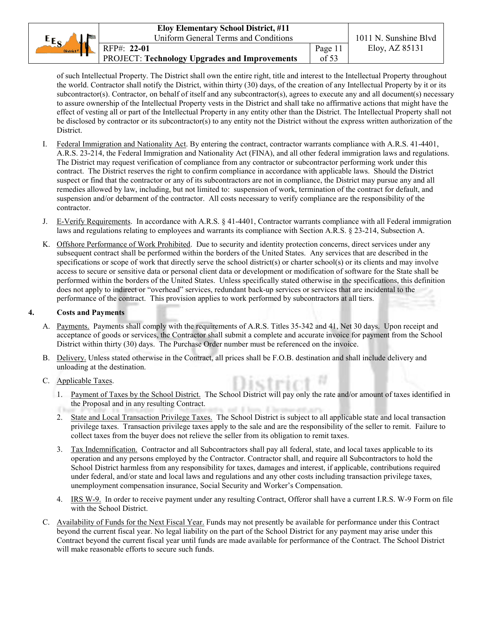|                         | <b>Eloy Elementary School District, #11</b>   |         |                       |
|-------------------------|-----------------------------------------------|---------|-----------------------|
| $EE_{S_A}$<br><b>Ma</b> | Uniform General Terms and Conditions          |         | 1011 N. Sunshine Blvd |
| District <sup>#</sup>   | RFP#: 22-01                                   | Page 11 | Eloy, AZ 85131        |
|                         | PROJECT: Technology Upgrades and Improvements | of 53   |                       |

of such Intellectual Property. The District shall own the entire right, title and interest to the Intellectual Property throughout the world. Contractor shall notify the District, within thirty (30) days, of the creation of any Intellectual Property by it or its subcontractor(s). Contractor, on behalf of itself and any subcontractor(s), agrees to execute any and all document(s) necessary to assure ownership of the Intellectual Property vests in the District and shall take no affirmative actions that might have the effect of vesting all or part of the Intellectual Property in any entity other than the District. The Intellectual Property shall not be disclosed by contractor or its subcontractor(s) to any entity not the District without the express written authorization of the District.

- I. Federal Immigration and Nationality Act. By entering the contract, contractor warrants compliance with A.R.S. 41-4401, A.R.S. 23-214, the Federal Immigration and Nationality Act (FINA), and all other federal immigration laws and regulations. The District may request verification of compliance from any contractor or subcontractor performing work under this contract. The District reserves the right to confirm compliance in accordance with applicable laws. Should the District suspect or find that the contractor or any of its subcontractors are not in compliance, the District may pursue any and all remedies allowed by law, including, but not limited to: suspension of work, termination of the contract for default, and suspension and/or debarment of the contractor. All costs necessary to verify compliance are the responsibility of the contractor.
- J. E-Verify Requirements. In accordance with A.R.S. § 41-4401, Contractor warrants compliance with all Federal immigration laws and regulations relating to employees and warrants its compliance with Section A.R.S. § 23-214, Subsection A.
- K. Offshore Performance of Work Prohibited. Due to security and identity protection concerns, direct services under any subsequent contract shall be performed within the borders of the United States. Any services that are described in the specifications or scope of work that directly serve the school district(s) or charter school(s) or its clients and may involve access to secure or sensitive data or personal client data or development or modification of software for the State shall be performed within the borders of the United States. Unless specifically stated otherwise in the specifications, this definition does not apply to indirect or "overhead" services, redundant back-up services or services that are incidental to the performance of the contract. This provision applies to work performed by subcontractors at all tiers.

#### **4. Costs and Payments**

- A. Payments. Payments shall comply with the requirements of A.R.S. Titles 35-342 and 41, Net 30 days. Upon receipt and acceptance of goods or services, the Contractor shall submit a complete and accurate invoice for payment from the School District within thirty (30) days. The Purchase Order number must be referenced on the invoice.
- B. Delivery. Unless stated otherwise in the Contract, all prices shall be F.O.B. destination and shall include delivery and unloading at the destination.
- C. Applicable Taxes.
- 1. Payment of Taxes by the School District. The School District will pay only the rate and/or amount of taxes identified in the Proposal and in any resulting Contract. and it has a line
	- 2. State and Local Transaction Privilege Taxes. The School District is subject to all applicable state and local transaction privilege taxes. Transaction privilege taxes apply to the sale and are the responsibility of the seller to remit. Failure to collect taxes from the buyer does not relieve the seller from its obligation to remit taxes.
	- 3. Tax Indemnification. Contractor and all Subcontractors shall pay all federal, state, and local taxes applicable to its operation and any persons employed by the Contractor. Contractor shall, and require all Subcontractors to hold the School District harmless from any responsibility for taxes, damages and interest, if applicable, contributions required under federal, and/or state and local laws and regulations and any other costs including transaction privilege taxes, unemployment compensation insurance, Social Security and Worker's Compensation.
	- 4. IRS W-9. In order to receive payment under any resulting Contract, Offeror shall have a current I.R.S. W-9 Form on file with the School District.
- C. Availability of Funds for the Next Fiscal Year. Funds may not presently be available for performance under this Contract beyond the current fiscal year. No legal liability on the part of the School District for any payment may arise under this Contract beyond the current fiscal year until funds are made available for performance of the Contract. The School District will make reasonable efforts to secure such funds.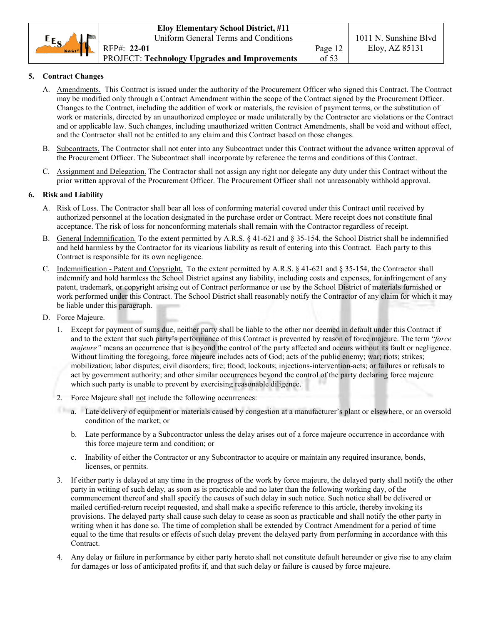|                       | <b>Eloy Elementary School District, #11</b>          |         |                       |
|-----------------------|------------------------------------------------------|---------|-----------------------|
| $E_{S}$               | Uniform General Terms and Conditions                 |         | 1011 N. Sunshine Blvd |
| District <sup>#</sup> | RFP#: 22-01                                          | Page 12 | Eloy, AZ 85131        |
|                       | <b>PROJECT: Technology Upgrades and Improvements</b> | of 53   |                       |

# **5. Contract Changes**

- A. Amendments. This Contract is issued under the authority of the Procurement Officer who signed this Contract. The Contract may be modified only through a Contract Amendment within the scope of the Contract signed by the Procurement Officer. Changes to the Contract, including the addition of work or materials, the revision of payment terms, or the substitution of work or materials, directed by an unauthorized employee or made unilaterally by the Contractor are violations or the Contract and or applicable law. Such changes, including unauthorized written Contract Amendments, shall be void and without effect, and the Contractor shall not be entitled to any claim and this Contract based on those changes.
- B. Subcontracts. The Contractor shall not enter into any Subcontract under this Contract without the advance written approval of the Procurement Officer. The Subcontract shall incorporate by reference the terms and conditions of this Contract.
- C. Assignment and Delegation. The Contractor shall not assign any right nor delegate any duty under this Contract without the prior written approval of the Procurement Officer. The Procurement Officer shall not unreasonably withhold approval.

# **6. Risk and Liability**

- A. Risk of Loss. The Contractor shall bear all loss of conforming material covered under this Contract until received by authorized personnel at the location designated in the purchase order or Contract. Mere receipt does not constitute final acceptance. The risk of loss for nonconforming materials shall remain with the Contractor regardless of receipt.
- B. General Indemnification. To the extent permitted by A.R.S. § 41-621 and § 35-154, the School District shall be indemnified and held harmless by the Contractor for its vicarious liability as result of entering into this Contract. Each party to this Contract is responsible for its own negligence.
- C. Indemnification Patent and Copyright. To the extent permitted by A.R.S. § 41-621 and § 35-154, the Contractor shall indemnify and hold harmless the School District against any liability, including costs and expenses, for infringement of any patent, trademark, or copyright arising out of Contract performance or use by the School District of materials furnished or work performed under this Contract. The School District shall reasonably notify the Contractor of any claim for which it may be liable under this paragraph.
- D. Force Majeure.
	- 1. Except for payment of sums due, neither party shall be liable to the other nor deemed in default under this Contract if and to the extent that such party's performance of this Contract is prevented by reason of force majeure. The term "*force majeure*" means an occurrence that is beyond the control of the party affected and occurs without its fault or negligence. Without limiting the foregoing, force majeure includes acts of God; acts of the public enemy; war; riots; strikes; mobilization; labor disputes; civil disorders; fire; flood; lockouts; injections-intervention-acts; or failures or refusals to act by government authority; and other similar occurrences beyond the control of the party declaring force majeure which such party is unable to prevent by exercising reasonable diligence.
	- 2. Force Majeure shall not include the following occurrences:
	- a. Late delivery of equipment or materials caused by congestion at a manufacturer's plant or elsewhere, or an oversold condition of the market; or
		- b. Late performance by a Subcontractor unless the delay arises out of a force majeure occurrence in accordance with this force majeure term and condition; or
		- c. Inability of either the Contractor or any Subcontractor to acquire or maintain any required insurance, bonds, licenses, or permits.
	- 3. If either party is delayed at any time in the progress of the work by force majeure, the delayed party shall notify the other party in writing of such delay, as soon as is practicable and no later than the following working day, of the commencement thereof and shall specify the causes of such delay in such notice. Such notice shall be delivered or mailed certified-return receipt requested, and shall make a specific reference to this article, thereby invoking its provisions. The delayed party shall cause such delay to cease as soon as practicable and shall notify the other party in writing when it has done so. The time of completion shall be extended by Contract Amendment for a period of time equal to the time that results or effects of such delay prevent the delayed party from performing in accordance with this Contract.
	- 4. Any delay or failure in performance by either party hereto shall not constitute default hereunder or give rise to any claim for damages or loss of anticipated profits if, and that such delay or failure is caused by force majeure.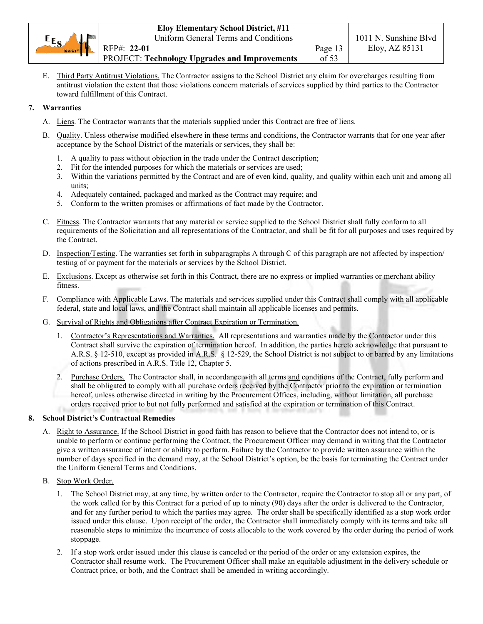|                       | <b>Eloy Elementary School District, #11</b>          |         |                       |
|-----------------------|------------------------------------------------------|---------|-----------------------|
| $E_{S}$               | <b>Uniform General Terms and Conditions</b>          |         | 1011 N. Sunshine Blvd |
| District <sup>#</sup> | RFP#: 22-01                                          | Page 13 | Eloy, AZ 85131        |
|                       | <b>PROJECT: Technology Upgrades and Improvements</b> | of 53   |                       |

E. Third Party Antitrust Violations. The Contractor assigns to the School District any claim for overcharges resulting from antitrust violation the extent that those violations concern materials of services supplied by third parties to the Contractor toward fulfillment of this Contract.

# **7. Warranties**

- A. Liens. The Contractor warrants that the materials supplied under this Contract are free of liens.
- B. Quality. Unless otherwise modified elsewhere in these terms and conditions, the Contractor warrants that for one year after acceptance by the School District of the materials or services, they shall be:
	- 1. A quality to pass without objection in the trade under the Contract description;
	- 2. Fit for the intended purposes for which the materials or services are used;
	- 3. Within the variations permitted by the Contract and are of even kind, quality, and quality within each unit and among all units;
	- 4. Adequately contained, packaged and marked as the Contract may require; and
	- 5. Conform to the written promises or affirmations of fact made by the Contractor.
- C. Fitness. The Contractor warrants that any material or service supplied to the School District shall fully conform to all requirements of the Solicitation and all representations of the Contractor, and shall be fit for all purposes and uses required by the Contract.
- D. Inspection/Testing. The warranties set forth in subparagraphs A through C of this paragraph are not affected by inspection/ testing of or payment for the materials or services by the School District.
- E. Exclusions. Except as otherwise set forth in this Contract, there are no express or implied warranties or merchant ability fitness.
- F. Compliance with Applicable Laws. The materials and services supplied under this Contract shall comply with all applicable federal, state and local laws, and the Contract shall maintain all applicable licenses and permits.
- G. Survival of Rights and Obligations after Contract Expiration or Termination.
	- 1. Contractor's Representations and Warranties. All representations and warranties made by the Contractor under this Contract shall survive the expiration of termination hereof. In addition, the parties hereto acknowledge that pursuant to A.R.S. § 12-510, except as provided in A.R.S. § 12-529, the School District is not subject to or barred by any limitations of actions prescribed in A.R.S. Title 12, Chapter 5.
	- 2. Purchase Orders. The Contractor shall, in accordance with all terms and conditions of the Contract, fully perform and shall be obligated to comply with all purchase orders received by the Contractor prior to the expiration or termination hereof, unless otherwise directed in writing by the Procurement Offices, including, without limitation, all purchase orders received prior to but not fully performed and satisfied at the expiration or termination of this Contract.

# **8. School District's Contractual Remedies**

- A. Right to Assurance. If the School District in good faith has reason to believe that the Contractor does not intend to, or is unable to perform or continue performing the Contract, the Procurement Officer may demand in writing that the Contractor give a written assurance of intent or ability to perform. Failure by the Contractor to provide written assurance within the number of days specified in the demand may, at the School District's option, be the basis for terminating the Contract under the Uniform General Terms and Conditions.
- B. Stop Work Order.
	- 1. The School District may, at any time, by written order to the Contractor, require the Contractor to stop all or any part, of the work called for by this Contract for a period of up to ninety (90) days after the order is delivered to the Contractor, and for any further period to which the parties may agree. The order shall be specifically identified as a stop work order issued under this clause. Upon receipt of the order, the Contractor shall immediately comply with its terms and take all reasonable steps to minimize the incurrence of costs allocable to the work covered by the order during the period of work stoppage.
	- 2. If a stop work order issued under this clause is canceled or the period of the order or any extension expires, the Contractor shall resume work. The Procurement Officer shall make an equitable adjustment in the delivery schedule or Contract price, or both, and the Contract shall be amended in writing accordingly.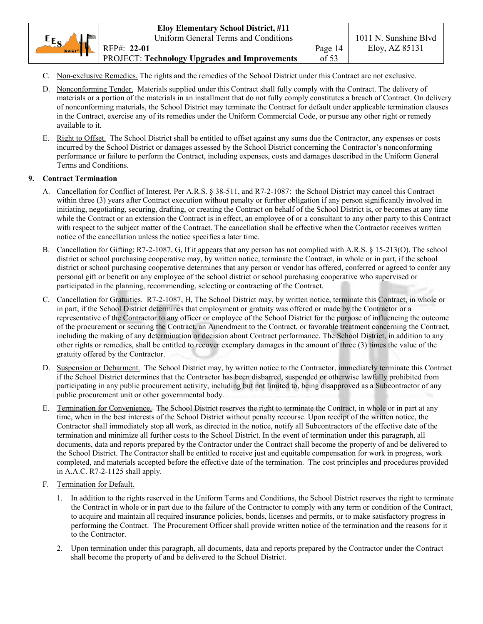| $E_{S}$<br><b>Mai</b> | <b>Eloy Elementary School District, #11</b><br>Uniform General Terms and Conditions |                  | 1011 N. Sunshine Blyd |
|-----------------------|-------------------------------------------------------------------------------------|------------------|-----------------------|
| District <sup>#</sup> | RFP#: 22-01<br>PROJECT: Technology Upgrades and Improvements                        | Page 14<br>of 53 | Eloy, AZ 85131        |

- C. Non-exclusive Remedies. The rights and the remedies of the School District under this Contract are not exclusive.
- D. Nonconforming Tender. Materials supplied under this Contract shall fully comply with the Contract. The delivery of materials or a portion of the materials in an installment that do not fully comply constitutes a breach of Contract. On delivery of nonconforming materials, the School District may terminate the Contract for default under applicable termination clauses in the Contract, exercise any of its remedies under the Uniform Commercial Code, or pursue any other right or remedy available to it.
- E. Right to Offset. The School District shall be entitled to offset against any sums due the Contractor, any expenses or costs incurred by the School District or damages assessed by the School District concerning the Contractor's nonconforming performance or failure to perform the Contract, including expenses, costs and damages described in the Uniform General Terms and Conditions.

# **9. Contract Termination**

- A. Cancellation for Conflict of Interest. Per A.R.S. § 38-511, and R7-2-1087: the School District may cancel this Contract within three (3) years after Contract execution without penalty or further obligation if any person significantly involved in initiating, negotiating, securing, drafting, or creating the Contract on behalf of the School District is, or becomes at any time while the Contract or an extension the Contract is in effect, an employee of or a consultant to any other party to this Contract with respect to the subject matter of the Contract. The cancellation shall be effective when the Contractor receives written notice of the cancellation unless the notice specifies a later time.
- B. Cancellation for Gifting: R7-2-1087, G, If it appears that any person has not complied with A.R.S. § 15-213(O). The school district or school purchasing cooperative may, by written notice, terminate the Contract, in whole or in part, if the school district or school purchasing cooperative determines that any person or vendor has offered, conferred or agreed to confer any personal gift or benefit on any employee of the school district or school purchasing cooperative who supervised or participated in the planning, recommending, selecting or contracting of the Contract.
- C. Cancellation for Gratuities. R7-2-1087, H, The School District may, by written notice, terminate this Contract, in whole or in part, if the School District determines that employment or gratuity was offered or made by the Contractor or a representative of the Contractor to any officer or employee of the School District for the purpose of influencing the outcome of the procurement or securing the Contract, an Amendment to the Contract, or favorable treatment concerning the Contract, including the making of any determination or decision about Contract performance. The School District, in addition to any other rights or remedies, shall be entitled to recover exemplary damages in the amount of three (3) times the value of the gratuity offered by the Contractor.
- D. Suspension or Debarment. The School District may, by written notice to the Contractor, immediately terminate this Contract if the School District determines that the Contractor has been disbarred, suspended or otherwise lawfully prohibited from participating in any public procurement activity, including but not limited to, being disapproved as a Subcontractor of any public procurement unit or other governmental body.
- E. Termination for Convenience. The School District reserves the right to terminate the Contract, in whole or in part at any time, when in the best interests of the School District without penalty recourse. Upon receipt of the written notice, the Contractor shall immediately stop all work, as directed in the notice, notify all Subcontractors of the effective date of the termination and minimize all further costs to the School District. In the event of termination under this paragraph, all documents, data and reports prepared by the Contractor under the Contract shall become the property of and be delivered to the School District. The Contractor shall be entitled to receive just and equitable compensation for work in progress, work completed, and materials accepted before the effective date of the termination. The cost principles and procedures provided in A.A.C. R7-2-1125 shall apply.
- F. Termination for Default.
	- 1. In addition to the rights reserved in the Uniform Terms and Conditions, the School District reserves the right to terminate the Contract in whole or in part due to the failure of the Contractor to comply with any term or condition of the Contract, to acquire and maintain all required insurance policies, bonds, licenses and permits, or to make satisfactory progress in performing the Contract. The Procurement Officer shall provide written notice of the termination and the reasons for it to the Contractor.
	- 2. Upon termination under this paragraph, all documents, data and reports prepared by the Contractor under the Contract shall become the property of and be delivered to the School District.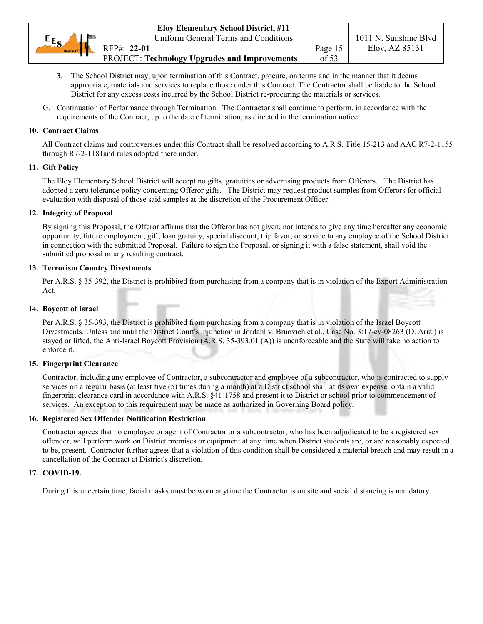|                       | <b>Eloy Elementary School District, #11</b>   |         |                       |
|-----------------------|-----------------------------------------------|---------|-----------------------|
| $E_{S}$<br>لملعد      | Uniform General Terms and Conditions          |         | 1011 N. Sunshine Blvd |
| District <sup>#</sup> | RFP#: 22-01                                   | Page 15 | Eloy, AZ 85131        |
|                       | PROJECT: Technology Upgrades and Improvements | of $53$ |                       |

- 3. The School District may, upon termination of this Contract, procure, on terms and in the manner that it deems appropriate, materials and services to replace those under this Contract. The Contractor shall be liable to the School District for any excess costs incurred by the School District re-procuring the materials or services.
- G. Continuation of Performance through Termination. The Contractor shall continue to perform, in accordance with the requirements of the Contract, up to the date of termination, as directed in the termination notice.

#### **10. Contract Claims**

All Contract claims and controversies under this Contract shall be resolved according to A.R.S. Title 15-213 and AAC R7-2-1155 through R7-2-1181and rules adopted there under.

#### **11. Gift Policy**

The Eloy Elementary School District will accept no gifts, gratuities or advertising products from Offerors. The District has adopted a zero tolerance policy concerning Offeror gifts. The District may request product samples from Offerors for official evaluation with disposal of those said samples at the discretion of the Procurement Officer.

#### **12. Integrity of Proposal**

By signing this Proposal, the Offeror affirms that the Offeror has not given, nor intends to give any time hereafter any economic opportunity, future employment, gift, loan gratuity, special discount, trip favor, or service to any employee of the School District in connection with the submitted Proposal. Failure to sign the Proposal, or signing it with a false statement, shall void the submitted proposal or any resulting contract.

#### **13. Terrorism Country Divestments**

Per A.R.S. § 35-392, the District is prohibited from purchasing from a company that is in violation of the Export Administration Act.

#### **14. Boycott of Israel**

Per A.R.S. § 35-393, the District is prohibited from purchasing from a company that is in violation of the Israel Boycott Divestments. Unless and until the District Court's injunction in Jordahl v. Brnovich et al., Case No. 3:17-cv-08263 (D. Ariz.) is stayed or lifted, the Anti-Israel Boycott Provision (A.R.S. 35-393.01 (A)) is unenforceable and the State will take no action to enforce it.

#### **15. Fingerprint Clearance**

Contractor, including any employee of Contractor, a subcontractor and employee of a subcontractor, who is contracted to supply services on a regular basis (at least five (5) times during a month) at a District school shall at its own expense, obtain a valid fingerprint clearance card in accordance with A.R.S. §41-1758 and present it to District or school prior to commencement of services. An exception to this requirement may be made as authorized in Governing Board policy.

#### **16. Registered Sex Offender Notification Restriction**

Contractor agrees that no employee or agent of Contractor or a subcontractor, who has been adjudicated to be a registered sex offender, will perform work on District premises or equipment at any time when District students are, or are reasonably expected to be, present. Contractor further agrees that a violation of this condition shall be considered a material breach and may result in a cancellation of the Contract at District's discretion.

#### **17. COVID-19.**

During this uncertain time, facial masks must be worn anytime the Contractor is on site and social distancing is mandatory.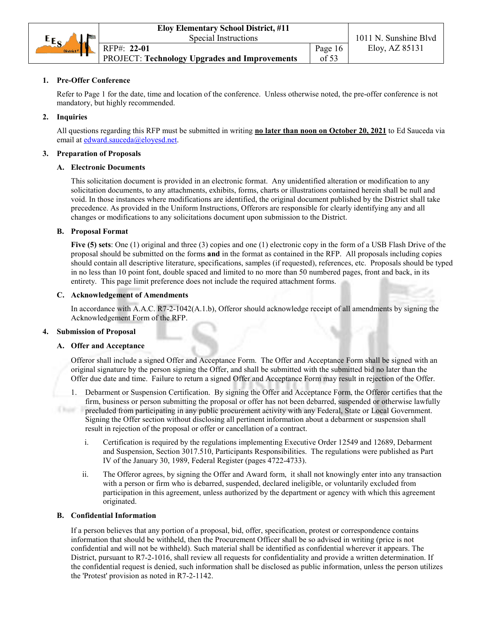

# **1. Pre-Offer Conference**

Refer to Page 1 for the date, time and location of the conference. Unless otherwise noted, the pre-offer conference is not mandatory, but highly recommended.

#### **2. Inquiries**

All questions regarding this RFP must be submitted in writing **no later than noon on October 20, 2021** to Ed Sauceda via email at edward.sauceda@eloyesd.net.

#### **3. Preparation of Proposals**

#### **A. Electronic Documents**

This solicitation document is provided in an electronic format. Any unidentified alteration or modification to any solicitation documents, to any attachments, exhibits, forms, charts or illustrations contained herein shall be null and void. In those instances where modifications are identified, the original document published by the District shall take precedence. As provided in the Uniform Instructions, Offerors are responsible for clearly identifying any and all changes or modifications to any solicitations document upon submission to the District.

#### **B. Proposal Format**

**Five (5) sets**: One (1) original and three (3) copies and one (1) electronic copy in the form of a USB Flash Drive of the proposal should be submitted on the forms **and** in the format as contained in the RFP. All proposals including copies should contain all descriptive literature, specifications, samples (if requested), references, etc. Proposals should be typed in no less than 10 point font, double spaced and limited to no more than 50 numbered pages, front and back, in its entirety. This page limit preference does not include the required attachment forms.

#### **C. Acknowledgement of Amendments**

In accordance with A.A.C. R7-2-1042(A.1.b), Offeror should acknowledge receipt of all amendments by signing the Acknowledgement Form of the RFP.

#### **4. Submission of Proposal**

#### **A. Offer and Acceptance**

Offeror shall include a signed Offer and Acceptance Form. The Offer and Acceptance Form shall be signed with an original signature by the person signing the Offer, and shall be submitted with the submitted bid no later than the Offer due date and time. Failure to return a signed Offer and Acceptance Form may result in rejection of the Offer.

- 1. Debarment or Suspension Certification. By signing the Offer and Acceptance Form, the Offeror certifies that the firm, business or person submitting the proposal or offer has not been debarred, suspended or otherwise lawfully Chair. precluded from participating in any public procurement activity with any Federal, State or Local Government. Signing the Offer section without disclosing all pertinent information about a debarment or suspension shall result in rejection of the proposal or offer or cancellation of a contract.
	- i. Certification is required by the regulations implementing Executive Order 12549 and 12689, Debarment and Suspension, Section 3017.510, Participants Responsibilities. The regulations were published as Part IV of the January 30, 1989, Federal Register (pages 4722-4733).
	- ii. The Offeror agrees, by signing the Offer and Award form, it shall not knowingly enter into any transaction with a person or firm who is debarred, suspended, declared ineligible, or voluntarily excluded from participation in this agreement, unless authorized by the department or agency with which this agreement originated.

#### **B. Confidential Information**

If a person believes that any portion of a proposal, bid, offer, specification, protest or correspondence contains information that should be withheld, then the Procurement Officer shall be so advised in writing (price is not confidential and will not be withheld). Such material shall be identified as confidential wherever it appears. The District, pursuant to R7-2-1016, shall review all requests for confidentiality and provide a written determination. If the confidential request is denied, such information shall be disclosed as public information, unless the person utilizes the 'Protest' provision as noted in R7-2-1142.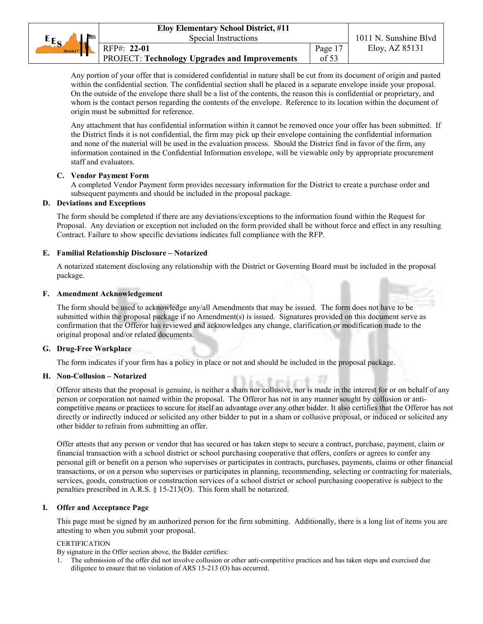Any portion of your offer that is considered confidential in nature shall be cut from its document of origin and pasted within the confidential section. The confidential section shall be placed in a separate envelope inside your proposal. On the outside of the envelope there shall be a list of the contents, the reason this is confidential or proprietary, and whom is the contact person regarding the contents of the envelope. Reference to its location within the document of origin must be submitted for reference.

Any attachment that has confidential information within it cannot be removed once your offer has been submitted. If the District finds it is not confidential, the firm may pick up their envelope containing the confidential information and none of the material will be used in the evaluation process. Should the District find in favor of the firm, any information contained in the Confidential Information envelope, will be viewable only by appropriate procurement staff and evaluators.

# **C. Vendor Payment Form**

A completed Vendor Payment form provides necessary information for the District to create a purchase order and subsequent payments and should be included in the proposal package.

# **D. Deviations and Exceptions**

The form should be completed if there are any deviations/exceptions to the information found within the Request for Proposal. Any deviation or exception not included on the form provided shall be without force and effect in any resulting Contract. Failure to show specific deviations indicates full compliance with the RFP.

# **E. Familial Relationship Disclosure – Notarized**

A notarized statement disclosing any relationship with the District or Governing Board must be included in the proposal package.

# **F. Amendment Acknowledgement**

The form should be used to acknowledge any/all Amendments that may be issued. The form does not have to be submitted within the proposal package if no Amendment(s) is issued. Signatures provided on this document serve as confirmation that the Offeror has reviewed and acknowledges any change, clarification or modification made to the original proposal and/or related documents.

#### **G. Drug-Free Workplace**

The form indicates if your firm has a policy in place or not and should be included in the proposal package.

#### **H. Non-Collusion – Notarized**

Offeror attests that the proposal is genuine, is neither a sham nor collusive, nor is made in the interest for or on behalf of any person or corporation not named within the proposal. The Offeror has not in any manner sought by collusion or anticompetitive means or practices to secure for itself an advantage over any other bidder. It also certifies that the Offeror has not directly or indirectly induced or solicited any other bidder to put in a sham or collusive proposal, or induced or solicited any other bidder to refrain from submitting an offer.

Offer attests that any person or vendor that has secured or has taken steps to secure a contract, purchase, payment, claim or financial transaction with a school district or school purchasing cooperative that offers, confers or agrees to confer any personal gift or benefit on a person who supervises or participates in contracts, purchases, payments, claims or other financial transactions, or on a person who supervises or participates in planning, recommending, selecting or contracting for materials, services, goods, construction or construction services of a school district or school purchasing cooperative is subject to the penalties prescribed in A.R.S. § 15-213(O). This form shall be notarized.

#### **I. Offer and Acceptance Page**

This page must be signed by an authorized person for the firm submitting. Additionally, there is a long list of items you are attesting to when you submit your proposal.

#### **CERTIFICATION**

By signature in the Offer section above, the Bidder certifies:

1. The submission of the offer did not involve collusion or other anti-competitive practices and has taken steps and exercised due diligence to ensure that no violation of ARS 15-213 (O) has occurred.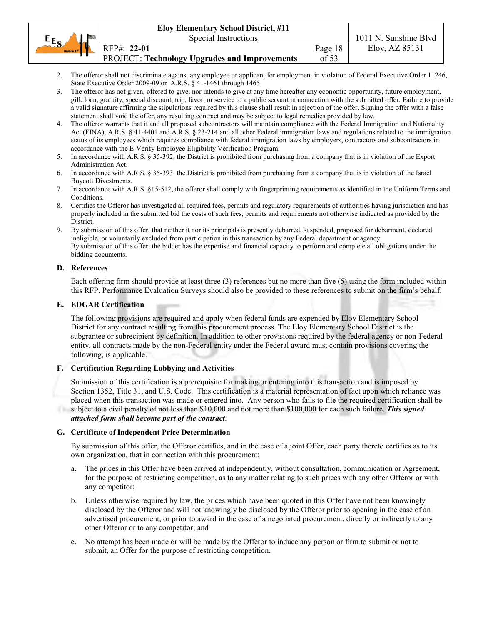| $EE_{S}$<br><b>Sala</b> | Special Instructions                          |               | 1011 N. Sunshine Blvd |
|-------------------------|-----------------------------------------------|---------------|-----------------------|
| District <sup>#</sup>   | RFP#: 22-01                                   | Page 18       | Eloy, AZ 85131        |
|                         | PROJECT: Technology Upgrades and Improvements | $\sigma$ f 53 |                       |

- 2. The offeror shall not discriminate against any employee or applicant for employment in violation of Federal Executive Order 11246, State Executive Order 2009-09 or A.R.S. § 41-1461 through 1465.
- 3. The offeror has not given, offered to give, nor intends to give at any time hereafter any economic opportunity, future employment, gift, loan, gratuity, special discount, trip, favor, or service to a public servant in connection with the submitted offer. Failure to provide a valid signature affirming the stipulations required by this clause shall result in rejection of the offer. Signing the offer with a false statement shall void the offer, any resulting contract and may be subject to legal remedies provided by law.
- 4. The offeror warrants that it and all proposed subcontractors will maintain compliance with the Federal Immigration and Nationality Act (FINA), A.R.S. § 41-4401 and A.R.S. § 23-214 and all other Federal immigration laws and regulations related to the immigration status of its employees which requires compliance with federal immigration laws by employers, contractors and subcontractors in accordance with the E-Verify Employee Eligibility Verification Program.
- 5. In accordance with A.R.S. § 35-392, the District is prohibited from purchasing from a company that is in violation of the Export Administration Act.
- 6. In accordance with A.R.S. § 35-393, the District is prohibited from purchasing from a company that is in violation of the Israel Boycott Divestments.
- 7. In accordance with A.R.S. §15-512, the offeror shall comply with fingerprinting requirements as identified in the Uniform Terms and Conditions.
- 8. Certifies the Offeror has investigated all required fees, permits and regulatory requirements of authorities having jurisdiction and has properly included in the submitted bid the costs of such fees, permits and requirements not otherwise indicated as provided by the District.
- 9. By submission of this offer, that neither it nor its principals is presently debarred, suspended, proposed for debarment, declared ineligible, or voluntarily excluded from participation in this transaction by any Federal department or agency. By submission of this offer, the bidder has the expertise and financial capacity to perform and complete all obligations under the bidding documents.

#### **D. References**

Each offering firm should provide at least three (3) references but no more than five (5) using the form included within this RFP. Performance Evaluation Surveys should also be provided to these references to submit on the firm's behalf.

#### **E. EDGAR Certification**

The following provisions are required and apply when federal funds are expended by Eloy Elementary School District for any contract resulting from this procurement process. The Eloy Elementary School District is the subgrantee or subrecipient by definition. In addition to other provisions required by the federal agency or non-Federal entity, all contracts made by the non-Federal entity under the Federal award must contain provisions covering the following, is applicable.

#### **F. Certification Regarding Lobbying and Activities**

Submission of this certification is a prerequisite for making or entering into this transaction and is imposed by Section 1352, Title 31, and U.S. Code. This certification is a material representation of fact upon which reliance was placed when this transaction was made or entered into. Any person who fails to file the required certification shall be subject to a civil penalty of not less than \$10,000 and not more than \$100,000 for each such failure. *This signed attached form shall become part of the contract*.

#### **G. Certificate of Independent Price Determination**

By submission of this offer, the Offeror certifies, and in the case of a joint Offer, each party thereto certifies as to its own organization, that in connection with this procurement:

- a. The prices in this Offer have been arrived at independently, without consultation, communication or Agreement, for the purpose of restricting competition, as to any matter relating to such prices with any other Offeror or with any competitor;
- b. Unless otherwise required by law, the prices which have been quoted in this Offer have not been knowingly disclosed by the Offeror and will not knowingly be disclosed by the Offeror prior to opening in the case of an advertised procurement, or prior to award in the case of a negotiated procurement, directly or indirectly to any other Offeror or to any competitor; and
- c. No attempt has been made or will be made by the Offeror to induce any person or firm to submit or not to submit, an Offer for the purpose of restricting competition.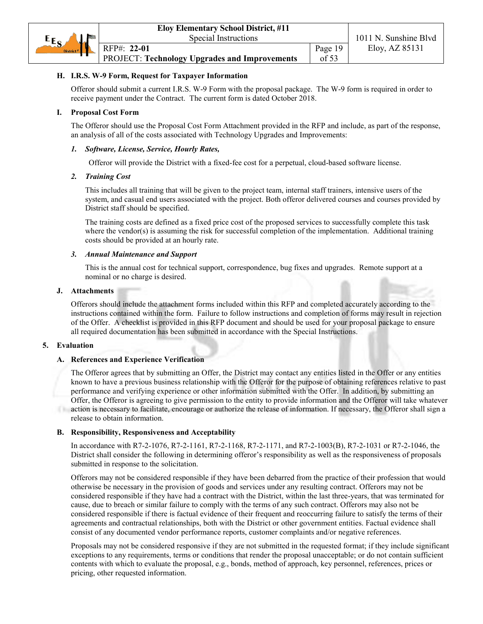# **H. I.R.S. W-9 Form, Request for Taxpayer Information**

Offeror should submit a current I.R.S. W-9 Form with the proposal package. The W-9 form is required in order to receive payment under the Contract. The current form is dated October 2018.

#### **I. Proposal Cost Form**

The Offeror should use the Proposal Cost Form Attachment provided in the RFP and include, as part of the response, an analysis of all of the costs associated with Technology Upgrades and Improvements:

#### *1. Software, License, Service, Hourly Rates,*

Offeror will provide the District with a fixed-fee cost for a perpetual, cloud-based software license.

#### *2. Training Cost*

This includes all training that will be given to the project team, internal staff trainers, intensive users of the system, and casual end users associated with the project. Both offeror delivered courses and courses provided by District staff should be specified.

The training costs are defined as a fixed price cost of the proposed services to successfully complete this task where the vendor(s) is assuming the risk for successful completion of the implementation. Additional training costs should be provided at an hourly rate.

#### *3. Annual Maintenance and Support*

This is the annual cost for technical support, correspondence, bug fixes and upgrades. Remote support at a nominal or no charge is desired.

#### **J. Attachments**

Offerors should include the attachment forms included within this RFP and completed accurately according to the instructions contained within the form. Failure to follow instructions and completion of forms may result in rejection of the Offer. A checklist is provided in this RFP document and should be used for your proposal package to ensure all required documentation has been submitted in accordance with the Special Instructions.

#### **5. Evaluation**

#### **A. References and Experience Verification**

The Offeror agrees that by submitting an Offer, the District may contact any entities listed in the Offer or any entities known to have a previous business relationship with the Offeror for the purpose of obtaining references relative to past performance and verifying experience or other information submitted with the Offer. In addition, by submitting an Offer, the Offeror is agreeing to give permission to the entity to provide information and the Offeror will take whatever action is necessary to facilitate, encourage or authorize the release of information. If necessary, the Offeror shall sign a release to obtain information.

#### **B. Responsibility, Responsiveness and Acceptability**

In accordance with R7-2-1076, R7-2-1161, R7-2-1168, R7-2-1171, and R7-2-1003(B), R7-2-1031 or R7-2-1046, the District shall consider the following in determining offeror's responsibility as well as the responsiveness of proposals submitted in response to the solicitation.

Offerors may not be considered responsible if they have been debarred from the practice of their profession that would otherwise be necessary in the provision of goods and services under any resulting contract. Offerors may not be considered responsible if they have had a contract with the District, within the last three-years, that was terminated for cause, due to breach or similar failure to comply with the terms of any such contract. Offerors may also not be considered responsible if there is factual evidence of their frequent and reoccurring failure to satisfy the terms of their agreements and contractual relationships, both with the District or other government entities. Factual evidence shall consist of any documented vendor performance reports, customer complaints and/or negative references.

Proposals may not be considered responsive if they are not submitted in the requested format; if they include significant exceptions to any requirements, terms or conditions that render the proposal unacceptable; or do not contain sufficient contents with which to evaluate the proposal, e.g., bonds, method of approach, key personnel, references, prices or pricing, other requested information.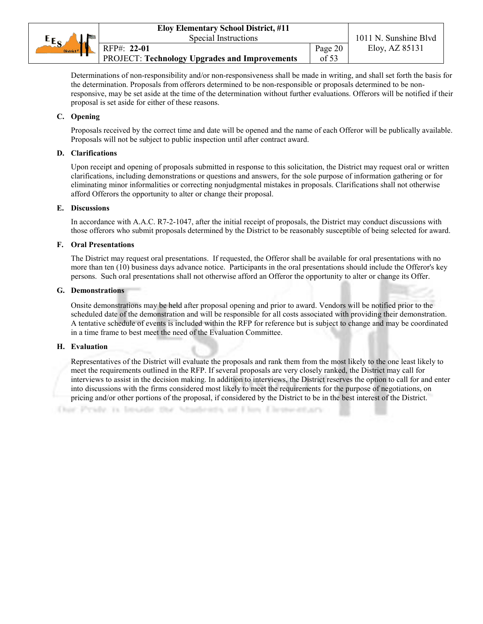|                       | <b>Eloy Elementary School District, #11</b>          |         |                       |
|-----------------------|------------------------------------------------------|---------|-----------------------|
| $E_{S}$               | Special Instructions                                 |         | 1011 N. Sunshine Blvd |
| District <sup>#</sup> | RFP#: 22-01                                          | Page 20 | Eloy, AZ 85131        |
|                       | <b>PROJECT: Technology Upgrades and Improvements</b> | of $53$ |                       |

Determinations of non-responsibility and/or non-responsiveness shall be made in writing, and shall set forth the basis for the determination. Proposals from offerors determined to be non-responsible or proposals determined to be nonresponsive, may be set aside at the time of the determination without further evaluations. Offerors will be notified if their proposal is set aside for either of these reasons.

#### **C. Opening**

Proposals received by the correct time and date will be opened and the name of each Offeror will be publically available. Proposals will not be subject to public inspection until after contract award.

#### **D. Clarifications**

Upon receipt and opening of proposals submitted in response to this solicitation, the District may request oral or written clarifications, including demonstrations or questions and answers, for the sole purpose of information gathering or for eliminating minor informalities or correcting nonjudgmental mistakes in proposals. Clarifications shall not otherwise afford Offerors the opportunity to alter or change their proposal.

#### **E. Discussions**

In accordance with A.A.C. R7-2-1047, after the initial receipt of proposals, the District may conduct discussions with those offerors who submit proposals determined by the District to be reasonably susceptible of being selected for award.

#### **F. Oral Presentations**

The District may request oral presentations. If requested, the Offeror shall be available for oral presentations with no more than ten (10) business days advance notice. Participants in the oral presentations should include the Offeror's key persons. Such oral presentations shall not otherwise afford an Offeror the opportunity to alter or change its Offer.

#### **G. Demonstrations**

Onsite demonstrations may be held after proposal opening and prior to award. Vendors will be notified prior to the scheduled date of the demonstration and will be responsible for all costs associated with providing their demonstration. A tentative schedule of events is included within the RFP for reference but is subject to change and may be coordinated in a time frame to best meet the need of the Evaluation Committee.

#### **H. Evaluation**

Representatives of the District will evaluate the proposals and rank them from the most likely to the one least likely to meet the requirements outlined in the RFP. If several proposals are very closely ranked, the District may call for interviews to assist in the decision making. In addition to interviews, the District reserves the option to call for and enter into discussions with the firms considered most likely to meet the requirements for the purpose of negotiations, on pricing and/or other portions of the proposal, if considered by the District to be in the best interest of the District.

Char Pyste, is broade the Students of Flow Elementary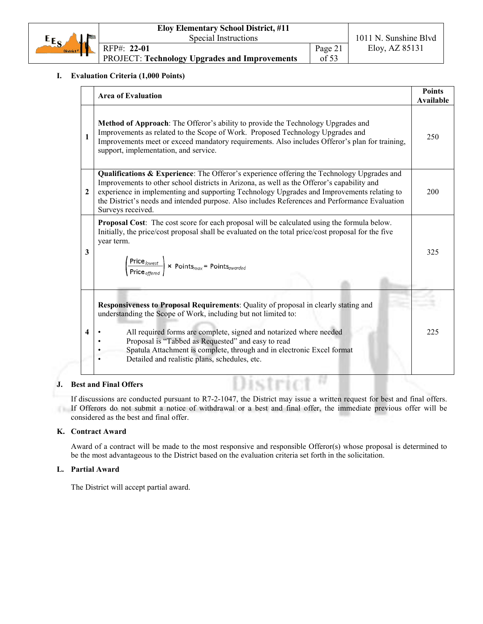|                       | <b>Eloy Elementary School District, #11</b>          |         |                       |
|-----------------------|------------------------------------------------------|---------|-----------------------|
| $E_{S_A}$<br>مای      | Special Instructions                                 |         | 1011 N. Sunshine Blyd |
| District <sup>#</sup> | RFP#: 22-01                                          | Page 21 | Eloy, AZ 85131        |
|                       | <b>PROJECT: Technology Upgrades and Improvements</b> | of 53   |                       |

#### **I. Evaluation Criteria (1,000 Points)**

|                         | <b>Area of Evaluation</b>                                                                                                                                                                                                                                                                                                                                                                                     | <b>Points</b><br><b>Available</b> |
|-------------------------|---------------------------------------------------------------------------------------------------------------------------------------------------------------------------------------------------------------------------------------------------------------------------------------------------------------------------------------------------------------------------------------------------------------|-----------------------------------|
| $\mathbf{1}$            | <b>Method of Approach:</b> The Offeror's ability to provide the Technology Upgrades and<br>Improvements as related to the Scope of Work. Proposed Technology Upgrades and<br>Improvements meet or exceed mandatory requirements. Also includes Offeror's plan for training,<br>support, implementation, and service.                                                                                          | 250                               |
| $\mathbf{2}$            | Qualifications & Experience: The Offeror's experience offering the Technology Upgrades and<br>Improvements to other school districts in Arizona, as well as the Offeror's capability and<br>experience in implementing and supporting Technology Upgrades and Improvements relating to<br>the District's needs and intended purpose. Also includes References and Performance Evaluation<br>Surveys received. | 200                               |
| $\overline{\mathbf{3}}$ | <b>Proposal Cost:</b> The cost score for each proposal will be calculated using the formula below.<br>Initially, the price/cost proposal shall be evaluated on the total price/cost proposal for the five<br>year term.<br>$\left(\frac{\mathsf{Price}_{lowest}}{\mathsf{Price}_{obsred}}\right)$ × Points <sub>max</sub> = Points <sub>awarded</sub>                                                         | 325                               |
| 4                       | Responsiveness to Proposal Requirements: Quality of proposal in clearly stating and<br>understanding the Scope of Work, including but not limited to:<br>All required forms are complete, signed and notarized where needed<br>Proposal is "Tabbed as Requested" and easy to read<br>Spatula Attachment is complete, through and in electronic Excel format<br>Detailed and realistic plans, schedules, etc.  | 225                               |
|                         | st and Final Offers                                                                                                                                                                                                                                                                                                                                                                                           |                                   |

#### **J. Best and Final Offers**

If discussions are conducted pursuant to R7-2-1047, the District may issue a written request for best and final offers. If Offerors do not submit a notice of withdrawal or a best and final offer, the immediate previous offer will be considered as the best and final offer.

# **K. Contract Award**

Award of a contract will be made to the most responsive and responsible Offeror(s) whose proposal is determined to be the most advantageous to the District based on the evaluation criteria set forth in the solicitation.

#### **L. Partial Award**

The District will accept partial award.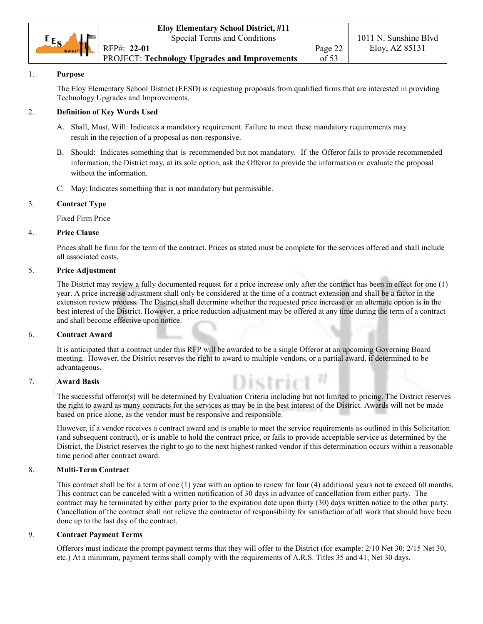|                       | <b>Eloy Elementary School District, #11</b>   |         |                       |
|-----------------------|-----------------------------------------------|---------|-----------------------|
| $E_{S_A}$             | Special Terms and Conditions                  |         | 1011 N. Sunshine Blyd |
| District <sup>#</sup> | RFP#: 22-01                                   | Page 22 | Eloy, AZ 85131        |
|                       | PROJECT: Technology Upgrades and Improvements | of 53   |                       |

#### 1. **Purpose**

The Eloy Elementary School District (EESD) is requesting proposals from qualified firms that are interested in providing Technology Upgrades and Improvements.

# 2. **Definition of Key Words Used**

- A. Shall, Must, Will: Indicates a mandatory requirement. Failure to meet these mandatory requirements may result in the rejection of a proposal as non-responsive.
- B. Should: Indicates something that is recommended but not mandatory. If the Offeror fails to provide recommended information, the District may, at its sole option, ask the Offeror to provide the information or evaluate the proposal without the information.
- C. May: Indicates something that is not mandatory but permissible.

# 3. **Contract Type**

Fixed Firm Price

#### 4. **Price Clause**

Prices shall be firm for the term of the contract. Prices as stated must be complete for the services offered and shall include all associated costs.

#### 5. **Price Adjustment**

The District may review a fully documented request for a price increase only after the contract has been in effect for one (1) year. A price increase adjustment shall only be considered at the time of a contract extension and shall be a factor in the extension review process. The District shall determine whether the requested price increase or an alternate option is in the best interest of the District. However, a price reduction adjustment may be offered at any time during the term of a contract and shall become effective upon notice.

#### 6. **Contract Award**

It is anticipated that a contract under this RFP will be awarded to be a single Offeror at an upcoming Governing Board meeting. However, the District reserves the right to award to multiple vendors, or a partial award, if determined to be advantageous.

#### 7. **Award Basis**

The successful offeror(s) will be determined by Evaluation Criteria including but not limited to pricing. The District reserves the right to award as many contracts for the services as may be in the best interest of the District. Awards will not be made based on price alone, as the vendor must be responsive and responsible.

However, if a vendor receives a contract award and is unable to meet the service requirements as outlined in this Solicitation (and subsequent contract), or is unable to hold the contract price, or fails to provide acceptable service as determined by the District, the District reserves the right to go to the next highest ranked vendor if this determination occurs within a reasonable time period after contract award.

#### 8. **Multi-Term Contract**

This contract shall be for a term of one (1) year with an option to renew for four (4) additional years not to exceed 60 months. This contract can be canceled with a written notification of 30 days in advance of cancellation from either party. The contract may be terminated by either party prior to the expiration date upon thirty (30) days written notice to the other party. Cancellation of the contract shall not relieve the contractor of responsibility for satisfaction of all work that should have been done up to the last day of the contract.

#### 9. **Contract Payment Terms**

Offerors must indicate the prompt payment terms that they will offer to the District (for example: 2/10 Net 30; 2/15 Net 30, etc.) At a minimum, payment terms shall comply with the requirements of A.R.S. Titles 35 and 41, Net 30 days.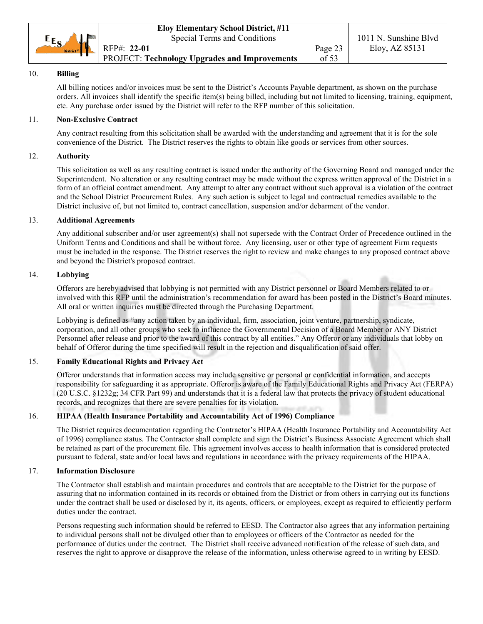|                       | <b>Eloy Elementary School District, #11</b>          |         |                       |
|-----------------------|------------------------------------------------------|---------|-----------------------|
| $E_{S}$               | Special Terms and Conditions                         |         | 1011 N. Sunshine Blvd |
| District <sup>#</sup> | $RFP#: 22-01$                                        | Page 23 | Eloy, AZ 85131        |
|                       | <b>PROJECT: Technology Upgrades and Improvements</b> | of 53   |                       |

# 10. **Billing**

All billing notices and/or invoices must be sent to the District's Accounts Payable department, as shown on the purchase orders. All invoices shall identify the specific item(s) being billed, including but not limited to licensing, training, equipment, etc. Any purchase order issued by the District will refer to the RFP number of this solicitation.

# 11. **Non-Exclusive Contract**

Any contract resulting from this solicitation shall be awarded with the understanding and agreement that it is for the sole convenience of the District. The District reserves the rights to obtain like goods or services from other sources.

#### 12. **Authority**

This solicitation as well as any resulting contract is issued under the authority of the Governing Board and managed under the Superintendent. No alteration or any resulting contract may be made without the express written approval of the District in a form of an official contract amendment. Any attempt to alter any contract without such approval is a violation of the contract and the School District Procurement Rules. Any such action is subject to legal and contractual remedies available to the District inclusive of, but not limited to, contract cancellation, suspension and/or debarment of the vendor.

#### 13. **Additional Agreements**

Any additional subscriber and/or user agreement(s) shall not supersede with the Contract Order of Precedence outlined in the Uniform Terms and Conditions and shall be without force. Any licensing, user or other type of agreement Firm requests must be included in the response. The District reserves the right to review and make changes to any proposed contract above and beyond the District's proposed contract.

#### 14. **Lobbying**

Offerors are hereby advised that lobbying is not permitted with any District personnel or Board Members related to or involved with this RFP until the administration's recommendation for award has been posted in the District's Board minutes. All oral or written inquiries must be directed through the Purchasing Department.

Lobbying is defined as "any action taken by an individual, firm, association, joint venture, partnership, syndicate, corporation, and all other groups who seek to influence the Governmental Decision of a Board Member or ANY District Personnel after release and prior to the award of this contract by all entities." Any Offeror or any individuals that lobby on behalf of Offeror during the time specified will result in the rejection and disqualification of said offer.

# 15. **Family Educational Rights and Privacy Act**

Offeror understands that information access may include sensitive or personal or confidential information, and accepts responsibility for safeguarding it as appropriate. Offeror is aware of the Family Educational Rights and Privacy Act (FERPA) (20 U.S.C. §1232g; 34 CFR Part 99) and understands that it is a federal law that protects the privacy of student educational records, and recognizes that there are severe penalties for its violation.

#### 16. **HIPAA (Health Insurance Portability and Accountability Act of 1996) Compliance**

The District requires documentation regarding the Contractor's HIPAA (Health Insurance Portability and Accountability Act of 1996) compliance status. The Contractor shall complete and sign the District's Business Associate Agreement which shall be retained as part of the procurement file. This agreement involves access to health information that is considered protected pursuant to federal, state and/or local laws and regulations in accordance with the privacy requirements of the HIPAA.

#### 17. **Information Disclosure**

The Contractor shall establish and maintain procedures and controls that are acceptable to the District for the purpose of assuring that no information contained in its records or obtained from the District or from others in carrying out its functions under the contract shall be used or disclosed by it, its agents, officers, or employees, except as required to efficiently perform duties under the contract.

Persons requesting such information should be referred to EESD. The Contractor also agrees that any information pertaining to individual persons shall not be divulged other than to employees or officers of the Contractor as needed for the performance of duties under the contract. The District shall receive advanced notification of the release of such data, and reserves the right to approve or disapprove the release of the information, unless otherwise agreed to in writing by EESD.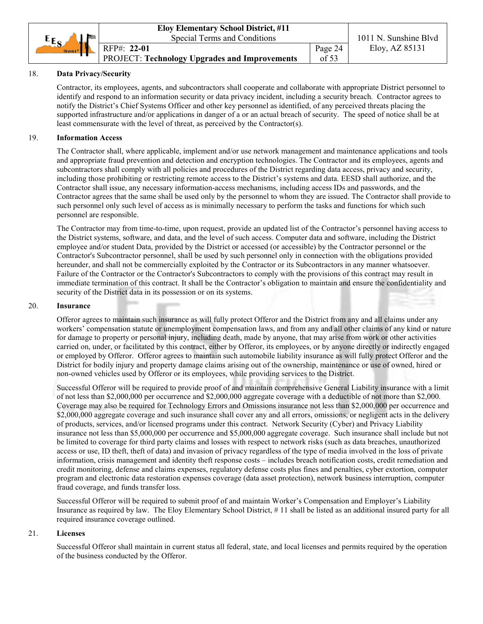

#### 18. **Data Privacy/Security**

Contractor, its employees, agents, and subcontractors shall cooperate and collaborate with appropriate District personnel to identify and respond to an information security or data privacy incident, including a security breach. Contractor agrees to notify the District's Chief Systems Officer and other key personnel as identified, of any perceived threats placing the supported infrastructure and/or applications in danger of a or an actual breach of security. The speed of notice shall be at least commensurate with the level of threat, as perceived by the Contractor(s).

#### 19. **Information Access**

The Contractor shall, where applicable, implement and/or use network management and maintenance applications and tools and appropriate fraud prevention and detection and encryption technologies. The Contractor and its employees, agents and subcontractors shall comply with all policies and procedures of the District regarding data access, privacy and security, including those prohibiting or restricting remote access to the District's systems and data. EESD shall authorize, and the Contractor shall issue, any necessary information-access mechanisms, including access IDs and passwords, and the Contractor agrees that the same shall be used only by the personnel to whom they are issued. The Contractor shall provide to such personnel only such level of access as is minimally necessary to perform the tasks and functions for which such personnel are responsible.

The Contractor may from time-to-time, upon request, provide an updated list of the Contractor's personnel having access to the District systems, software, and data, and the level of such access. Computer data and software, including the District employee and/or student Data, provided by the District or accessed (or accessible) by the Contractor personnel or the Contractor's Subcontractor personnel, shall be used by such personnel only in connection with the obligations provided hereunder, and shall not be commercially exploited by the Contractor or its Subcontractors in any manner whatsoever. Failure of the Contractor or the Contractor's Subcontractors to comply with the provisions of this contract may result in immediate termination of this contract. It shall be the Contractor's obligation to maintain and ensure the confidentiality and security of the District data in its possession or on its systems.

#### 20. **Insurance**

Offeror agrees to maintain such insurance as will fully protect Offeror and the District from any and all claims under any workers' compensation statute or unemployment compensation laws, and from any and all other claims of any kind or nature for damage to property or personal injury, including death, made by anyone, that may arise from work or other activities carried on, under, or facilitated by this contract, either by Offeror, its employees, or by anyone directly or indirectly engaged or employed by Offeror. Offeror agrees to maintain such automobile liability insurance as will fully protect Offeror and the District for bodily injury and property damage claims arising out of the ownership, maintenance or use of owned, hired or non-owned vehicles used by Offeror or its employees, while providing services to the District.

Successful Offeror will be required to provide proof of and maintain comprehensive General Liability insurance with a limit of not less than \$2,000,000 per occurrence and \$2,000,000 aggregate coverage with a deductible of not more than \$2,000. Coverage may also be required for Technology Errors and Omissions insurance not less than \$2,000,000 per occurrence and \$2,000,000 aggregate coverage and such insurance shall cover any and all errors, omissions, or negligent acts in the delivery of products, services, and/or licensed programs under this contract. Network Security (Cyber) and Privacy Liability insurance not less than \$5,000,000 per occurrence and \$5,000,000 aggregate coverage. Such insurance shall include but not be limited to coverage for third party claims and losses with respect to network risks (such as data breaches, unauthorized access or use, ID theft, theft of data) and invasion of privacy regardless of the type of media involved in the loss of private information, crisis management and identity theft response costs – includes breach notification costs, credit remediation and credit monitoring, defense and claims expenses, regulatory defense costs plus fines and penalties, cyber extortion, computer program and electronic data restoration expenses coverage (data asset protection), network business interruption, computer fraud coverage, and funds transfer loss.

Successful Offeror will be required to submit proof of and maintain Worker's Compensation and Employer's Liability Insurance as required by law. The Eloy Elementary School District, # 11 shall be listed as an additional insured party for all required insurance coverage outlined.

#### 21. **Licenses**

Successful Offeror shall maintain in current status all federal, state, and local licenses and permits required by the operation of the business conducted by the Offeror.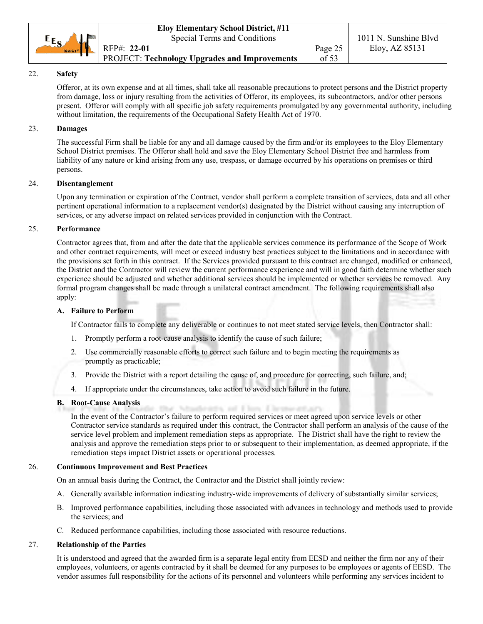|                                           | <b>Eloy Elementary School District, #11</b>          |         |                       |
|-------------------------------------------|------------------------------------------------------|---------|-----------------------|
| $E_{S}$<br>لملحظ<br>District <sup>#</sup> | Special Terms and Conditions                         |         | 1011 N. Sunshine Blvd |
|                                           | RFP#: 22-01                                          | Page 25 | Eloy, AZ 85131        |
|                                           | <b>PROJECT: Technology Upgrades and Improvements</b> | of 53   |                       |

# 22. **Safety**

Offeror, at its own expense and at all times, shall take all reasonable precautions to protect persons and the District property from damage, loss or injury resulting from the activities of Offeror, its employees, its subcontractors, and/or other persons present. Offeror will comply with all specific job safety requirements promulgated by any governmental authority, including without limitation, the requirements of the Occupational Safety Health Act of 1970.

#### 23. **Damages**

The successful Firm shall be liable for any and all damage caused by the firm and/or its employees to the Eloy Elementary School District premises. The Offeror shall hold and save the Eloy Elementary School District free and harmless from liability of any nature or kind arising from any use, trespass, or damage occurred by his operations on premises or third persons.

#### 24. **Disentanglement**

Upon any termination or expiration of the Contract, vendor shall perform a complete transition of services, data and all other pertinent operational information to a replacement vendor(s) designated by the District without causing any interruption of services, or any adverse impact on related services provided in conjunction with the Contract.

# 25. **Performance**

Contractor agrees that, from and after the date that the applicable services commence its performance of the Scope of Work and other contract requirements, will meet or exceed industry best practices subject to the limitations and in accordance with the provisions set forth in this contract. If the Services provided pursuant to this contract are changed, modified or enhanced, the District and the Contractor will review the current performance experience and will in good faith determine whether such experience should be adjusted and whether additional services should be implemented or whether services be removed. Any formal program changes shall be made through a unilateral contract amendment. The following requirements shall also apply:

#### **A. Failure to Perform**

If Contractor fails to complete any deliverable or continues to not meet stated service levels, then Contractor shall:

- 1. Promptly perform a root-cause analysis to identify the cause of such failure;
- 2. Use commercially reasonable efforts to correct such failure and to begin meeting the requirements as promptly as practicable;
- 3. Provide the District with a report detailing the cause of, and procedure for correcting, such failure, and;
- 4. If appropriate under the circumstances, take action to avoid such failure in the future.

# **B. Root-Cause Analysis**

the auf if have if he an-In the event of the Contractor's failure to perform required services or meet agreed upon service levels or other Contractor service standards as required under this contract, the Contractor shall perform an analysis of the cause of the service level problem and implement remediation steps as appropriate. The District shall have the right to review the analysis and approve the remediation steps prior to or subsequent to their implementation, as deemed appropriate, if the remediation steps impact District assets or operational processes.

#### 26. **Continuous Improvement and Best Practices**

On an annual basis during the Contract, the Contractor and the District shall jointly review:

- A. Generally available information indicating industry-wide improvements of delivery of substantially similar services;
- B. Improved performance capabilities, including those associated with advances in technology and methods used to provide the services; and
- C. Reduced performance capabilities, including those associated with resource reductions.

#### 27. **Relationship of the Parties**

It is understood and agreed that the awarded firm is a separate legal entity from EESD and neither the firm nor any of their employees, volunteers, or agents contracted by it shall be deemed for any purposes to be employees or agents of EESD. The vendor assumes full responsibility for the actions of its personnel and volunteers while performing any services incident to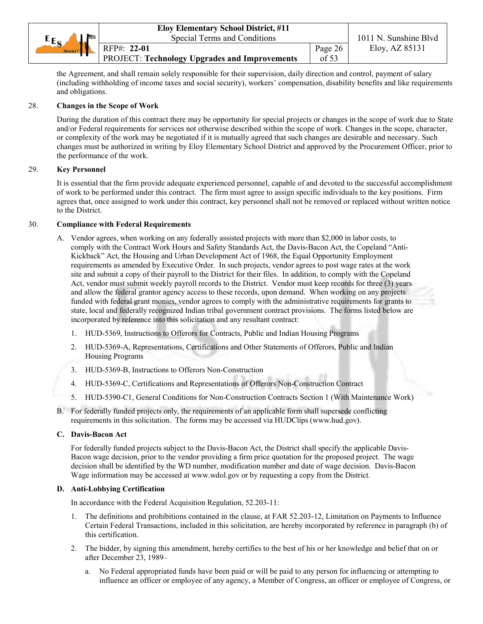|                                    | <b>Eloy Elementary School District, #11</b>          |         |                       |
|------------------------------------|------------------------------------------------------|---------|-----------------------|
| $E_{S}$                            | Special Terms and Conditions                         |         | 1011 N. Sunshine Blyd |
| <b>YA</b><br>District <sup>#</sup> | RFP#: 22-01                                          | Page 26 | Eloy, AZ 85131        |
|                                    | <b>PROJECT: Technology Upgrades and Improvements</b> | of $53$ |                       |

the Agreement, and shall remain solely responsible for their supervision, daily direction and control, payment of salary (including withholding of income taxes and social security), workers' compensation, disability benefits and like requirements and obligations.

#### 28. **Changes in the Scope of Work**

During the duration of this contract there may be opportunity for special projects or changes in the scope of work due to State and/or Federal requirements for services not otherwise described within the scope of work. Changes in the scope, character, or complexity of the work may be negotiated if it is mutually agreed that such changes are desirable and necessary. Such changes must be authorized in writing by Eloy Elementary School District and approved by the Procurement Officer, prior to the performance of the work.

# 29. **Key Personnel**

It is essential that the firm provide adequate experienced personnel, capable of and devoted to the successful accomplishment of work to be performed under this contract. The firm must agree to assign specific individuals to the key positions. Firm agrees that, once assigned to work under this contract, key personnel shall not be removed or replaced without written notice to the District.

#### 30. **Compliance with Federal Requirements**

- A. Vendor agrees, when working on any federally assisted projects with more than \$2,000 in labor costs, to comply with the Contract Work Hours and Safety Standards Act, the Davis-Bacon Act, the Copeland "Anti-Kickback" Act, the Housing and Urban Development Act of 1968, the Equal Opportunity Employment requirements as amended by Executive Order. In such projects, vendor agrees to post wage rates at the work site and submit a copy of their payroll to the District for their files. In addition, to comply with the Copeland Act, vendor must submit weekly payroll records to the District. Vendor must keep records for three (3) years and allow the federal grantor agency access to these records, upon demand. When working on any projects funded with federal grant monies, vendor agrees to comply with the administrative requirements for grants to state, local and federally recognized Indian tribal government contract provisions. The forms listed below are incorporated by reference into this solicitation and any resultant contract:
	- 1. HUD-5369, Instructions to Offerors for Contracts, Public and Indian Housing Programs
	- 2. HUD-5369-A, Representations, Certifications and Other Statements of Offerors, Public and Indian Housing Programs
	- 3. HUD-5369-B, Instructions to Offerors Non-Construction
	- 4. HUD-5369-C, Certifications and Representations of Offerors Non-Construction Contract
	- 5. HUD-5390-C1, General Conditions for Non-Construction Contracts Section 1 (With Maintenance Work)
- B. For federally funded projects only, the requirements of an applicable form shall supersede conflicting requirements in this solicitation. The forms may be accessed via HUDClips (www.hud.gov).

#### **C. Davis-Bacon Act**

For federally funded projects subject to the Davis-Bacon Act, the District shall specify the applicable Davis-Bacon wage decision, prior to the vendor providing a firm price quotation for the proposed project. The wage decision shall be identified by the WD number, modification number and date of wage decision. Davis-Bacon Wage information may be accessed at www.wdol.gov or by requesting a copy from the District.

#### **D. Anti-Lobbying Certification**

In accordance with the Federal Acquisition Regulation, 52.203-11:

- 1. The definitions and prohibitions contained in the clause, at FAR 52.203-12, Limitation on Payments to Influence Certain Federal Transactions, included in this solicitation, are hereby incorporated by reference in paragraph (b) of this certification.
- 2. The bidder, by signing this amendment, hereby certifies to the best of his or her knowledge and belief that on or after December 23, 1989–
	- a. No Federal appropriated funds have been paid or will be paid to any person for influencing or attempting to influence an officer or employee of any agency, a Member of Congress, an officer or employee of Congress, or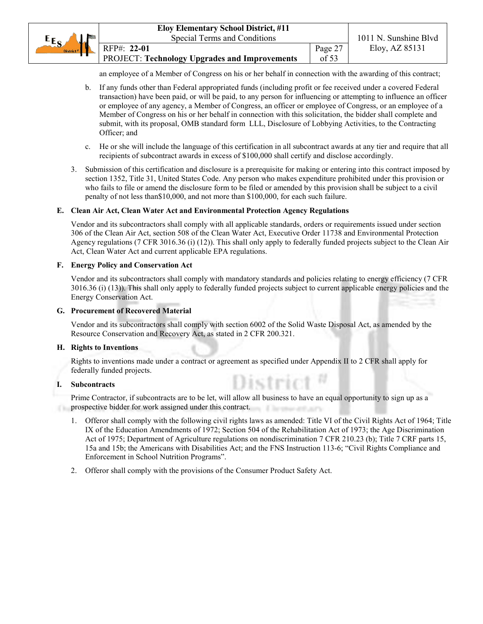an employee of a Member of Congress on his or her behalf in connection with the awarding of this contract;

- b. If any funds other than Federal appropriated funds (including profit or fee received under a covered Federal transaction) have been paid, or will be paid, to any person for influencing or attempting to influence an officer or employee of any agency, a Member of Congress, an officer or employee of Congress, or an employee of a Member of Congress on his or her behalf in connection with this solicitation, the bidder shall complete and submit, with its proposal, OMB standard form LLL, Disclosure of Lobbying Activities, to the Contracting Officer; and
- c. He or she will include the language of this certification in all subcontract awards at any tier and require that all recipients of subcontract awards in excess of \$100,000 shall certify and disclose accordingly.
- 3. Submission of this certification and disclosure is a prerequisite for making or entering into this contract imposed by section 1352, Title 31, United States Code. Any person who makes expenditure prohibited under this provision or who fails to file or amend the disclosure form to be filed or amended by this provision shall be subject to a civil penalty of not less than\$10,000, and not more than \$100,000, for each such failure.

#### **E. Clean Air Act, Clean Water Act and Environmental Protection Agency Regulations**

Vendor and its subcontractors shall comply with all applicable standards, orders or requirements issued under section 306 of the Clean Air Act, section 508 of the Clean Water Act, Executive Order 11738 and Environmental Protection Agency regulations (7 CFR 3016.36 (i) (12)). This shall only apply to federally funded projects subject to the Clean Air Act, Clean Water Act and current applicable EPA regulations.

#### **F. Energy Policy and Conservation Act**

Vendor and its subcontractors shall comply with mandatory standards and policies relating to energy efficiency (7 CFR 3016.36 (i) (13)). This shall only apply to federally funded projects subject to current applicable energy policies and the Energy Conservation Act.

#### **G. Procurement of Recovered Material**

Vendor and its subcontractors shall comply with section 6002 of the Solid Waste Disposal Act, as amended by the Resource Conservation and Recovery Act, as stated in 2 CFR 200.321.

#### **H. Rights to Inventions**

Rights to inventions made under a contract or agreement as specified under Appendix II to 2 CFR shall apply for federally funded projects.

#### **I. Subcontracts**

Prime Contractor, if subcontracts are to be let, will allow all business to have an equal opportunity to sign up as a prospective bidder for work assigned under this contract.

1. Offeror shall comply with the following civil rights laws as amended: Title VI of the Civil Rights Act of 1964; Title IX of the Education Amendments of 1972; Section 504 of the Rehabilitation Act of 1973; the Age Discrimination Act of 1975; Department of Agriculture regulations on nondiscrimination 7 CFR 210.23 (b); Title 7 CRF parts 15, 15a and 15b; the Americans with Disabilities Act; and the FNS Instruction 113-6; "Civil Rights Compliance and Enforcement in School Nutrition Programs".

District

2. Offeror shall comply with the provisions of the Consumer Product Safety Act.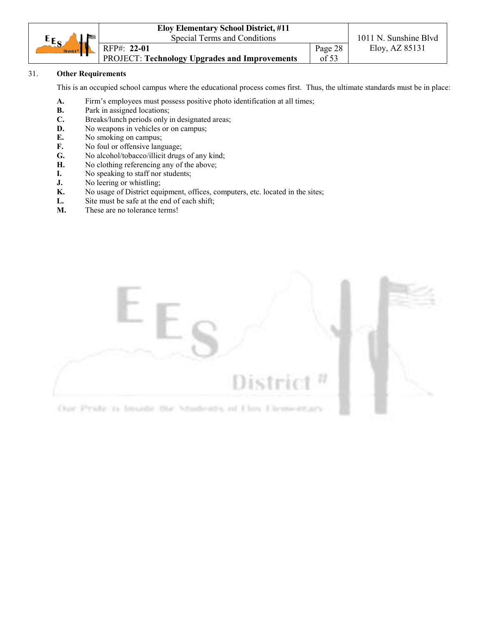|                        | <b>Eloy Elementary School District, #11</b>          |         |                       |
|------------------------|------------------------------------------------------|---------|-----------------------|
| $E_{S}$<br><b>No</b>   | Special Terms and Conditions                         |         | 1011 N. Sunshine Blvd |
| District $\frac{1}{2}$ | RFP#: 22-01                                          | Page 28 | Eloy, $AZ 85131$      |
|                        | <b>PROJECT: Technology Upgrades and Improvements</b> | of $53$ |                       |

# 31. **Other Requirements**

This is an occupied school campus where the educational process comes first. Thus, the ultimate standards must be in place:

- **A.** Firm's employees must possess positive photo identification at all times;
- **B.** Park in assigned locations;
- **C.** Breaks/lunch periods only in designated areas;
- **D.** No weapons in vehicles or on campus;
- **E.** No smoking on campus;
- **F.** No foul or offensive language;
- **G.** No alcohol/tobacco/illicit drugs of any kind;
- **H.** No clothing referencing any of the above;
- **I.** No speaking to staff nor students;
- **J.** No leering or whistling;
- **K.** No usage of District equipment, offices, computers, etc. located in the sites;
- L. Site must be safe at the end of each shift;
- **M.** These are no tolerance terms!

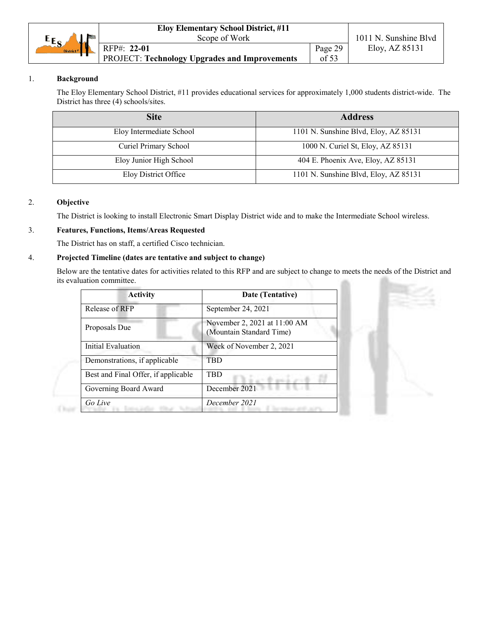| $E_{S}$<br>\.La       | Scope of Work                                 |         | 1011 N. Sunshine Blvd |
|-----------------------|-----------------------------------------------|---------|-----------------------|
| District <sup>#</sup> | RFP#: 22-01                                   | Page 29 | Eloy, AZ 85131        |
|                       | PROJECT: Technology Upgrades and Improvements | of 53   |                       |

# 1. **Background**

The Eloy Elementary School District, #11 provides educational services for approximately 1,000 students district-wide. The District has three (4) schools/sites.

| <b>Site</b>              | <b>Address</b>                        |
|--------------------------|---------------------------------------|
| Eloy Intermediate School | 1101 N. Sunshine Blvd, Eloy, AZ 85131 |
| Curiel Primary School    | 1000 N. Curiel St, Eloy, AZ 85131     |
| Eloy Junior High School  | 404 E. Phoenix Ave, Eloy, AZ 85131    |
| Eloy District Office     | 1101 N. Sunshine Blvd, Eloy, AZ 85131 |

# 2. **Objective**

 $(1)$ 

The District is looking to install Electronic Smart Display District wide and to make the Intermediate School wireless.

# 3. **Features, Functions, Items/Areas Requested**

The District has on staff, a certified Cisco technician.

# 4. **Projected Timeline (dates are tentative and subject to change)**

Below are the tentative dates for activities related to this RFP and are subject to change to meets the needs of the District and its evaluation committee. an.

| <b>Activity</b>                     | Date (Tentative)                                         |
|-------------------------------------|----------------------------------------------------------|
| Release of RFP                      | September 24, 2021                                       |
| Proposals Due                       | November 2, 2021 at 11:00 AM<br>(Mountain Standard Time) |
| Initial Evaluation                  | Week of November 2, 2021                                 |
| Demonstrations, if applicable       | TRD                                                      |
| Best and Final Offer, if applicable | TBD                                                      |
| Governing Board Award               | December 2021                                            |
| Go Live                             | December 2021                                            |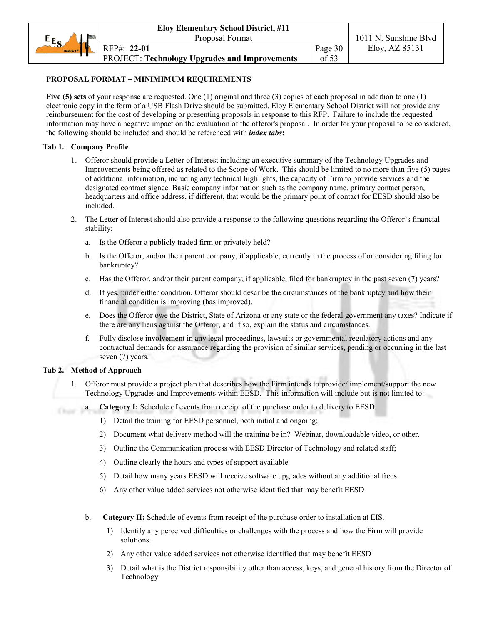# **PROPOSAL FORMAT – MINIMIMUM REQUIREMENTS**

**Five (5) sets** of your response are requested. One (1) original and three (3) copies of each proposal in addition to one (1) electronic copy in the form of a USB Flash Drive should be submitted. Eloy Elementary School District will not provide any reimbursement for the cost of developing or presenting proposals in response to this RFP. Failure to include the requested information may have a negative impact on the evaluation of the offeror's proposal. In order for your proposal to be considered, the following should be included and should be referenced with *index tabs***:**

#### **Tab 1. Company Profile**

- 1. Offeror should provide a Letter of Interest including an executive summary of the Technology Upgrades and Improvements being offered as related to the Scope of Work. This should be limited to no more than five (5) pages of additional information, including any technical highlights, the capacity of Firm to provide services and the designated contract signee. Basic company information such as the company name, primary contact person, headquarters and office address, if different, that would be the primary point of contact for EESD should also be included.
- 2. The Letter of Interest should also provide a response to the following questions regarding the Offeror's financial stability:
	- a. Is the Offeror a publicly traded firm or privately held?
	- b. Is the Offeror, and/or their parent company, if applicable, currently in the process of or considering filing for bankruptcy?
	- c. Has the Offeror, and/or their parent company, if applicable, filed for bankruptcy in the past seven (7) years?
	- d. If yes, under either condition, Offeror should describe the circumstances of the bankruptcy and how their financial condition is improving (has improved).
	- e. Does the Offeror owe the District, State of Arizona or any state or the federal government any taxes? Indicate if there are any liens against the Offeror, and if so, explain the status and circumstances.
	- f. Fully disclose involvement in any legal proceedings, lawsuits or governmental regulatory actions and any contractual demands for assurance regarding the provision of similar services, pending or occurring in the last seven (7) years.

#### **Tab 2. Method of Approach**

Chair-

- 1. Offeror must provide a project plan that describes how the Firm intends to provide/ implement/support the new Technology Upgrades and Improvements within EESD. This information will include but is not limited to:
	- a. **Category I:** Schedule of events from receipt of the purchase order to delivery to EESD.
		- 1) Detail the training for EESD personnel, both initial and ongoing;
		- 2) Document what delivery method will the training be in? Webinar, downloadable video, or other.
		- 3) Outline the Communication process with EESD Director of Technology and related staff;
		- 4) Outline clearly the hours and types of support available
		- 5) Detail how many years EESD will receive software upgrades without any additional frees.
		- 6) Any other value added services not otherwise identified that may benefit EESD
	- b. **Category II:** Schedule of events from receipt of the purchase order to installation at EIS.
		- 1) Identify any perceived difficulties or challenges with the process and how the Firm will provide solutions.
		- 2) Any other value added services not otherwise identified that may benefit EESD
		- 3) Detail what is the District responsibility other than access, keys, and general history from the Director of Technology.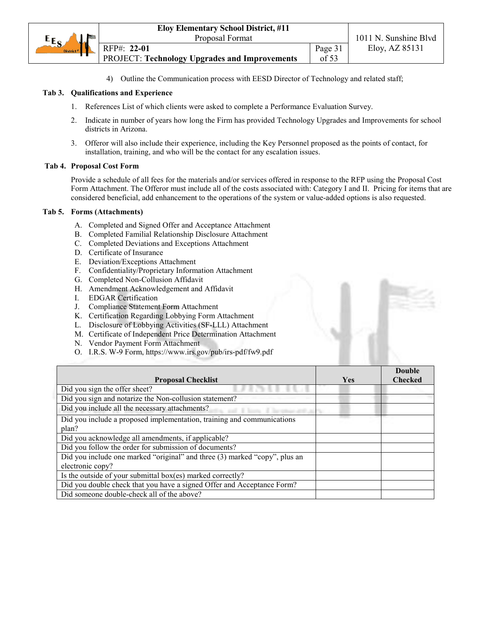|                       | <b>Eloy Elementary School District, #11</b>          |         |                       |  |
|-----------------------|------------------------------------------------------|---------|-----------------------|--|
| $E_{S}$               | Proposal Format                                      |         | 1011 N. Sunshine Blyd |  |
| District <sup>#</sup> | RFP#: 22-01                                          | Page 31 | Eloy, AZ 85131        |  |
|                       | <b>PROJECT: Technology Upgrades and Improvements</b> | of $53$ |                       |  |

4) Outline the Communication process with EESD Director of Technology and related staff;

#### **Tab 3. Qualifications and Experience**

- 1. References List of which clients were asked to complete a Performance Evaluation Survey.
- 2. Indicate in number of years how long the Firm has provided Technology Upgrades and Improvements for school districts in Arizona.
- 3. Offeror will also include their experience, including the Key Personnel proposed as the points of contact, for installation, training, and who will be the contact for any escalation issues.

#### **Tab 4. Proposal Cost Form**

Provide a schedule of all fees for the materials and/or services offered in response to the RFP using the Proposal Cost Form Attachment. The Offeror must include all of the costs associated with: Category I and II. Pricing for items that are considered beneficial, add enhancement to the operations of the system or value-added options is also requested.

#### **Tab 5. Forms (Attachments)**

- A. Completed and Signed Offer and Acceptance Attachment
- B. Completed Familial Relationship Disclosure Attachment
- C. Completed Deviations and Exceptions Attachment
- D. Certificate of Insurance
- E. Deviation/Exceptions Attachment
- F. Confidentiality/Proprietary Information Attachment
- G. Completed Non-Collusion Affidavit
- H. Amendment Acknowledgement and Affidavit
- I. EDGAR Certification
- J. Compliance Statement Form Attachment
- K. Certification Regarding Lobbying Form Attachment
- L. Disclosure of Lobbying Activities (SF-LLL) Attachment
- M. Certificate of Independent Price Determination Attachment
- N. Vendor Payment Form Attachment
- O. I.R.S. W-9 Form, https://www.irs.gov/pub/irs-pdf/fw9.pdf

| <b>Proposal Checklist</b>                                                  | Yes | <b>Double</b><br><b>Checked</b> |
|----------------------------------------------------------------------------|-----|---------------------------------|
| Did you sign the offer sheet?                                              |     |                                 |
| Did you sign and notarize the Non-collusion statement?                     |     |                                 |
| Did you include all the necessary attachments?                             |     |                                 |
| Did you include a proposed implementation, training and communications     |     |                                 |
| plan?                                                                      |     |                                 |
| Did you acknowledge all amendments, if applicable?                         |     |                                 |
| Did you follow the order for submission of documents?                      |     |                                 |
| Did you include one marked "original" and three (3) marked "copy", plus an |     |                                 |
| electronic copy?                                                           |     |                                 |
| Is the outside of your submittal box(es) marked correctly?                 |     |                                 |
| Did you double check that you have a signed Offer and Acceptance Form?     |     |                                 |
| Did someone double-check all of the above?                                 |     |                                 |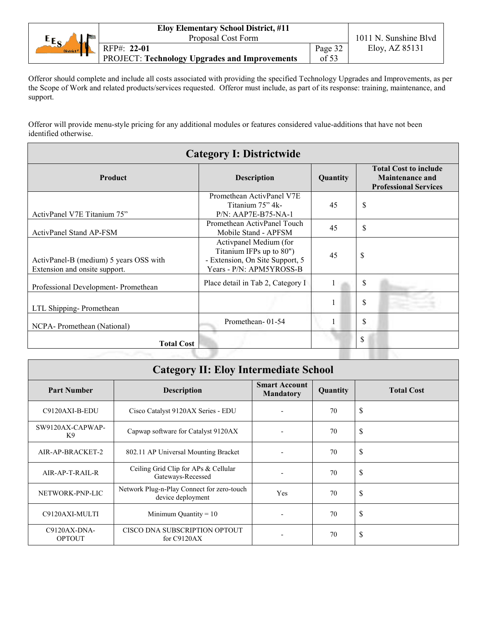|                               | <b>Eloy Elementary School District, #11</b>          |         |                       |  |
|-------------------------------|------------------------------------------------------|---------|-----------------------|--|
| Proposal Cost Form<br>$E_{S}$ |                                                      |         | 1011 N. Sunshine Blvd |  |
| District <sup>#</sup>         | RFP#: 22-01                                          | Page 32 | Eloy, AZ 85131        |  |
|                               | <b>PROJECT: Technology Upgrades and Improvements</b> | of 53   |                       |  |

Offeror should complete and include all costs associated with providing the specified Technology Upgrades and Improvements, as per the Scope of Work and related products/services requested. Offeror must include, as part of its response: training, maintenance, and support.

Offeror will provide menu-style pricing for any additional modules or features considered value-additions that have not been identified otherwise.

Ē

| <b>Category I: Districtwide</b>                                         |                                                                                                                   |          |                                                                                        |  |
|-------------------------------------------------------------------------|-------------------------------------------------------------------------------------------------------------------|----------|----------------------------------------------------------------------------------------|--|
| <b>Product</b><br><b>Description</b>                                    |                                                                                                                   | Quantity | <b>Total Cost to include</b><br><b>Maintenance and</b><br><b>Professional Services</b> |  |
| ActivPanel V7E Titanium 75"                                             | Promethean ActivPanel V7E<br>Titanium 75" 4k-<br>P/N: AAP7E-B75-NA-1                                              | 45       | \$                                                                                     |  |
| <b>ActivPanel Stand AP-FSM</b>                                          | Promethean ActivPanel Touch<br>Mobile Stand - APFSM                                                               | 45       | \$                                                                                     |  |
| ActivPanel-B (medium) 5 years OSS with<br>Extension and onsite support. | Activpanel Medium (for<br>Titanium IFPs up to 80")<br>- Extension, On Site Support, 5<br>Years - P/N: APM5YROSS-B | 45       | \$                                                                                     |  |
| Professional Development- Promethean                                    | Place detail in Tab 2, Category I                                                                                 |          | \$                                                                                     |  |
| LTL Shipping-Promethean                                                 |                                                                                                                   |          | \$                                                                                     |  |
| NCPA-Promethean (National)                                              | Promethean-01-54                                                                                                  |          | \$                                                                                     |  |
| \$<br><b>Total Cost</b>                                                 |                                                                                                                   |          |                                                                                        |  |

| <b>Category II: Eloy Intermediate School</b> |                                                                 |                                          |          |                   |
|----------------------------------------------|-----------------------------------------------------------------|------------------------------------------|----------|-------------------|
| <b>Part Number</b>                           | Description                                                     | <b>Smart Account</b><br><b>Mandatory</b> | Quantity | <b>Total Cost</b> |
| C9120AXI-B-EDU                               | Cisco Catalyst 9120AX Series - EDU                              |                                          | 70       | \$                |
| SW9120AX-CAPWAP-<br>K <sub>9</sub>           | Capwap software for Catalyst 9120AX                             |                                          | 70       | \$                |
| AIR-AP-BRACKET-2                             | 802.11 AP Universal Mounting Bracket                            |                                          | 70       | \$                |
| AIR-AP-T-RAIL-R                              | Ceiling Grid Clip for APs & Cellular<br>Gateways-Recessed       |                                          | 70       | \$                |
| NETWORK-PNP-LIC                              | Network Plug-n-Play Connect for zero-touch<br>device deployment | Yes                                      | 70       | \$                |
| C9120AXI-MULTI                               | Minimum Quantity = $10$                                         |                                          | 70       | \$                |
| $C9120AX-DNA-$<br><b>OPTOUT</b>              | CISCO DNA SUBSCRIPTION OPTOUT<br>for $C9120AX$                  |                                          | 70       | \$                |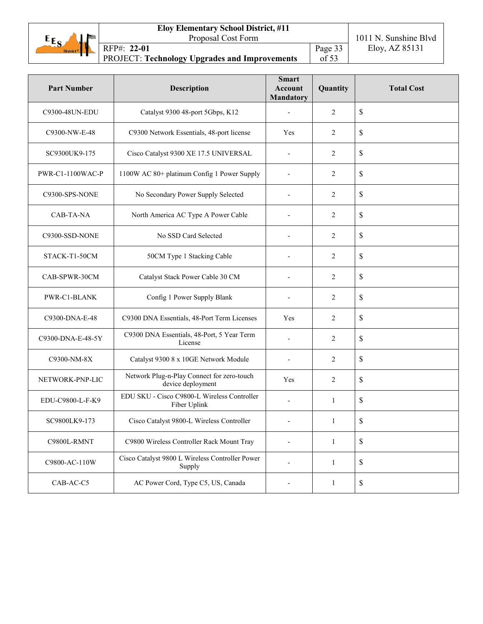

Page 33  $\overline{\text{of}}$  53

| <b>Part Number</b> | <b>Description</b>                                              | <b>Smart</b><br><b>Account</b><br><b>Mandatory</b> | Quantity       | <b>Total Cost</b> |
|--------------------|-----------------------------------------------------------------|----------------------------------------------------|----------------|-------------------|
| C9300-48UN-EDU     | Catalyst 9300 48-port 5Gbps, K12                                |                                                    | 2              | \$                |
| C9300-NW-E-48      | C9300 Network Essentials, 48-port license                       | Yes                                                | $\overline{2}$ | \$                |
| SC9300UK9-175      | Cisco Catalyst 9300 XE 17.5 UNIVERSAL                           |                                                    | 2              | \$                |
| PWR-C1-1100WAC-P   | 1100W AC 80+ platinum Config 1 Power Supply                     |                                                    | $\overline{2}$ | \$                |
| C9300-SPS-NONE     | No Secondary Power Supply Selected                              |                                                    | $\overline{2}$ | \$                |
| CAB-TA-NA          | North America AC Type A Power Cable                             |                                                    | $\overline{2}$ | $\mathsf{\$}$     |
| C9300-SSD-NONE     | No SSD Card Selected                                            | $\overline{a}$                                     | 2              | $\mathbb S$       |
| STACK-T1-50CM      | 50CM Type 1 Stacking Cable                                      |                                                    | 2              | \$                |
| CAB-SPWR-30CM      | Catalyst Stack Power Cable 30 CM                                |                                                    | $\overline{2}$ | \$                |
| PWR-C1-BLANK       | Config 1 Power Supply Blank                                     |                                                    | $\overline{2}$ | \$                |
| C9300-DNA-E-48     | C9300 DNA Essentials, 48-Port Term Licenses                     | Yes                                                | 2              | \$                |
| C9300-DNA-E-48-5Y  | C9300 DNA Essentials, 48-Port, 5 Year Term<br>License           |                                                    | 2              | \$                |
| C9300-NM-8X        | Catalyst 9300 8 x 10GE Network Module                           |                                                    | $\overline{2}$ | \$                |
| NETWORK-PNP-LIC    | Network Plug-n-Play Connect for zero-touch<br>device deployment | Yes                                                | 2              | \$                |
| EDU-C9800-L-F-K9   | EDU SKU - Cisco C9800-L Wireless Controller<br>Fiber Uplink     | $\overline{a}$                                     | 1              | \$                |
| SC9800LK9-173      | Cisco Catalyst 9800-L Wireless Controller                       |                                                    | 1              | \$                |
| C9800L-RMNT        | C9800 Wireless Controller Rack Mount Tray                       |                                                    | 1              | $\mathbb S$       |
| C9800-AC-110W      | Cisco Catalyst 9800 L Wireless Controller Power<br>Supply       |                                                    | $\mathbf{1}$   | $\$$              |
| CAB-AC-C5          | AC Power Cord, Type C5, US, Canada                              |                                                    | $\mathbf{1}$   | \$                |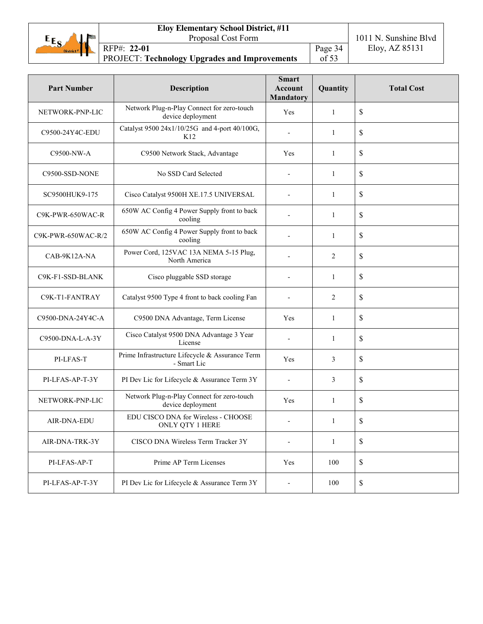

Page 34  $\overline{\text{of}}$  53

| <b>Part Number</b> | <b>Description</b>                                              | <b>Smart</b><br>Account<br><b>Mandatory</b> | Quantity       | <b>Total Cost</b>         |
|--------------------|-----------------------------------------------------------------|---------------------------------------------|----------------|---------------------------|
| NETWORK-PNP-LIC    | Network Plug-n-Play Connect for zero-touch<br>device deployment | Yes                                         | 1              | \$                        |
| C9500-24Y4C-EDU    | Catalyst 9500 24x1/10/25G and 4-port 40/100G,<br>K12            |                                             | 1              | \$                        |
| C9500-NW-A         | C9500 Network Stack, Advantage                                  | Yes                                         | 1              | \$                        |
| C9500-SSD-NONE     | No SSD Card Selected                                            |                                             | 1              | \$                        |
| SC9500HUK9-175     | Cisco Catalyst 9500H XE.17.5 UNIVERSAL                          | $\overline{a}$                              | $\mathbf{1}$   | \$                        |
| C9K-PWR-650WAC-R   | 650W AC Config 4 Power Supply front to back<br>cooling          |                                             | 1              | $\mathsf{\$}$             |
| C9K-PWR-650WAC-R/2 | 650W AC Config 4 Power Supply front to back<br>cooling          |                                             | 1              | \$                        |
| CAB-9K12A-NA       | Power Cord, 125VAC 13A NEMA 5-15 Plug,<br>North America         |                                             | $\overline{2}$ | \$                        |
| C9K-F1-SSD-BLANK   | Cisco pluggable SSD storage                                     |                                             | 1              | \$                        |
| C9K-T1-FANTRAY     | Catalyst 9500 Type 4 front to back cooling Fan                  |                                             | 2              | \$                        |
| C9500-DNA-24Y4C-A  | C9500 DNA Advantage, Term License                               | Yes                                         | $\mathbf{1}$   | $\mathsf{\$}$             |
| C9500-DNA-L-A-3Y   | Cisco Catalyst 9500 DNA Advantage 3 Year<br>License             |                                             | 1              | \$                        |
| PI-LFAS-T          | Prime Infrastructure Lifecycle & Assurance Term<br>- Smart Lic  | Yes                                         | 3              | \$                        |
| PI-LFAS-AP-T-3Y    | PI Dev Lic for Lifecycle & Assurance Term 3Y                    |                                             | 3              | \$                        |
| NETWORK-PNP-LIC    | Network Plug-n-Play Connect for zero-touch<br>device deployment | Yes                                         | $\mathbf{1}$   | \$                        |
| AIR-DNA-EDU        | EDU CISCO DNA for Wireless - CHOOSE<br>ONLY QTY 1 HERE          |                                             | 1              | \$                        |
| AIR-DNA-TRK-3Y     | CISCO DNA Wireless Term Tracker 3Y                              |                                             | 1              | $\boldsymbol{\mathsf{S}}$ |
| PI-LFAS-AP-T       | Prime AP Term Licenses                                          | Yes                                         | 100            | \$                        |
| PI-LFAS-AP-T-3Y    | PI Dev Lic for Lifecycle & Assurance Term 3Y                    |                                             | 100            | $\mathbb S$               |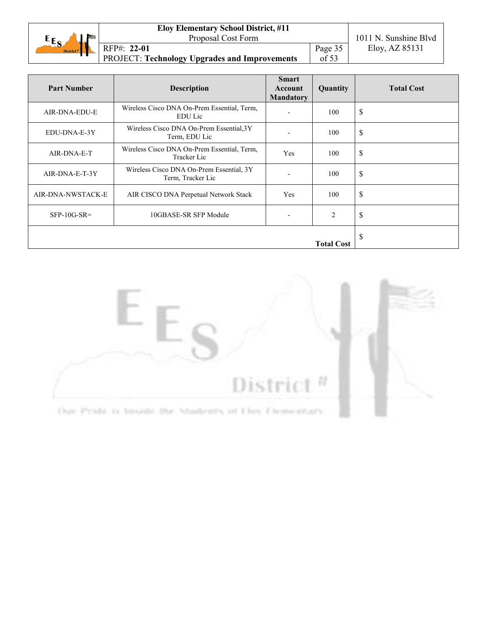| $E_{S}$               | Proposal Cost Form                                   |         | 1011 N. Sunshine Blyd |
|-----------------------|------------------------------------------------------|---------|-----------------------|
| District <sup>#</sup> | RFP#: 22-01                                          | Page 35 | Eloy, AZ 85131        |
|                       | <b>PROJECT: Technology Upgrades and Improvements</b> | of $53$ |                       |

| <b>Part Number</b> | <b>Description</b>                                            | <b>Smart</b><br>Account<br><b>Mandatory</b> | Quantity       | <b>Total Cost</b>  |
|--------------------|---------------------------------------------------------------|---------------------------------------------|----------------|--------------------|
| AIR-DNA-EDU-E      | Wireless Cisco DNA On-Prem Essential, Term,<br><b>EDU</b> Lic |                                             | 100            | \$                 |
| EDU-DNA-E-3Y       | Wireless Cisco DNA On-Prem Essential, 3Y<br>Term, EDU Lic     |                                             | 100            | \$                 |
| AIR-DNA-E-T        | Wireless Cisco DNA On-Prem Essential, Term,<br>Tracker Lic    | Yes                                         | 100            | \$                 |
| AIR-DNA-E-T-3Y     | Wireless Cisco DNA On-Prem Essential, 3Y<br>Term, Tracker Lic |                                             | 100            | $\mathbf{\hat{S}}$ |
| AIR-DNA-NWSTACK-E  | AIR CISCO DNA Perpetual Network Stack                         | Yes                                         | 100            | \$                 |
| $SFP-10G-SR=$      | 10GBASE-SR SFP Module                                         |                                             | $\overline{2}$ | \$                 |
| <b>Total Cost</b>  |                                                               |                                             |                | \$                 |

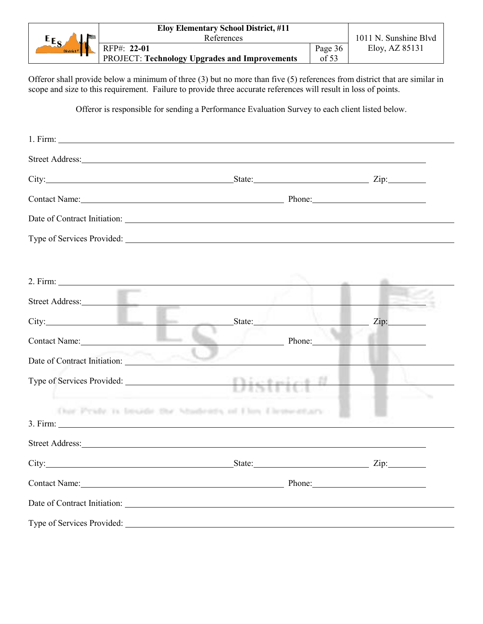|                         | <b>Eloy Elementary School District, #11</b>   |         |                       |
|-------------------------|-----------------------------------------------|---------|-----------------------|
| $E_{S_A}$<br><b>Mar</b> | References                                    |         | 1011 N. Sunshine Blvd |
| District <sup>#</sup>   | RFP#: 22-01                                   | Page 36 | Eloy, AZ 85131        |
|                         | PROJECT: Technology Upgrades and Improvements | of 53   |                       |

Offeror shall provide below a minimum of three (3) but no more than five (5) references from district that are similar in scope and size to this requirement. Failure to provide three accurate references will result in loss of points.

Offeror is responsible for sending a Performance Evaluation Survey to each client listed below.

|                                                 | Street Address: <u>The Community of the Community of the Community of the Community of the Community of the Community of the Community of the Community of the Community of the Community of the Community of the Community of t</u> |  |
|-------------------------------------------------|--------------------------------------------------------------------------------------------------------------------------------------------------------------------------------------------------------------------------------------|--|
|                                                 | City: Zip: Zip: Zip:                                                                                                                                                                                                                 |  |
|                                                 | Contact Name: <u>Contact Name:</u> Phone: Phone: Phone: Phone: Phone: Phone: Phone: Phone: Phone: Phone: Phone: Phone: Phone: Phone: Phone: Phone: Phone: Phone: Phone: Phone: Phone: Phone: Phone: Phone: Phone: Phone: Phone: Pho  |  |
|                                                 | Date of Contract Initiation: New York Contract Initiation:                                                                                                                                                                           |  |
|                                                 | Type of Services Provided:                                                                                                                                                                                                           |  |
|                                                 |                                                                                                                                                                                                                                      |  |
| <b>Contract Contract</b>                        | Street Address: and the contract of the contract of the contract of the contract of the contract of the contract of the contract of the contract of the contract of the contract of the contract of the contract of the contra       |  |
|                                                 | City: Zip: Zip:                                                                                                                                                                                                                      |  |
| Contact Name: 1988                              | <b>Example 2.1 Phone:</b>                                                                                                                                                                                                            |  |
| <b>Continue</b><br>Date of Contract Initiation: |                                                                                                                                                                                                                                      |  |
|                                                 | Type of Services Provided:                                                                                                                                                                                                           |  |
|                                                 | Our Pyste is broide the Mudeuts of Floy Demettary.                                                                                                                                                                                   |  |
| 3. Firm:                                        |                                                                                                                                                                                                                                      |  |
|                                                 | Street Address: No. 2016. The Street Address: No. 2016. The Street Address: No. 2016. The Street Address: No. 2017. The Street Address: No. 2017. The Street Address: No. 2017. The Street Address: No. 2017. The Street Addre       |  |
|                                                 | City: Zip: Zip:                                                                                                                                                                                                                      |  |
|                                                 | Contact Name: Phone: Phone:                                                                                                                                                                                                          |  |
|                                                 | Date of Contract Initiation:                                                                                                                                                                                                         |  |
| Type of Services Provided:                      |                                                                                                                                                                                                                                      |  |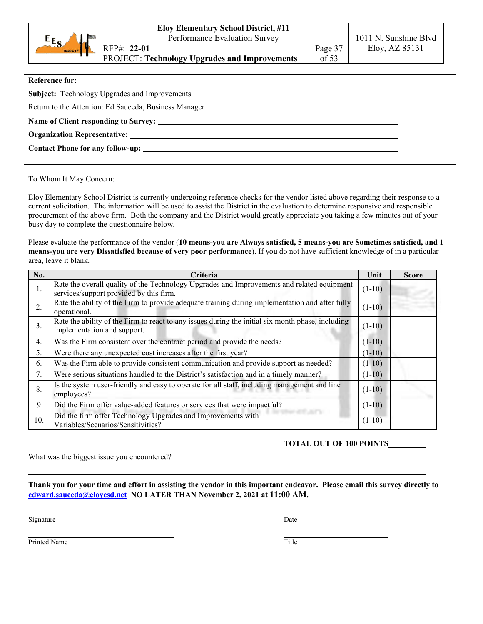|                       | <b>Eloy Elementary School District, #11</b>   |         |                       |
|-----------------------|-----------------------------------------------|---------|-----------------------|
| $E_{S_A}$<br>ч.       | Performance Evaluation Survey                 |         | 1011 N. Sunshine Blvd |
| District <sup>#</sup> | RFP#: 22-01                                   | Page 37 | Eloy, AZ 85131        |
|                       | PROJECT: Technology Upgrades and Improvements | of 53   |                       |
|                       |                                               |         |                       |

| Reference for:                                        |  |
|-------------------------------------------------------|--|
| <b>Subject:</b> Technology Upgrades and Improvements  |  |
| Return to the Attention: Ed Sauceda, Business Manager |  |
|                                                       |  |
|                                                       |  |
|                                                       |  |
|                                                       |  |

To Whom It May Concern:

Eloy Elementary School District is currently undergoing reference checks for the vendor listed above regarding their response to a current solicitation. The information will be used to assist the District in the evaluation to determine responsive and responsible procurement of the above firm. Both the company and the District would greatly appreciate you taking a few minutes out of your busy day to complete the questionnaire below.

Please evaluate the performance of the vendor (**10 means-you are Always satisfied, 5 means-you are Sometimes satisfied, and 1 means-you are very Dissatisfied because of very poor performance**). If you do not have sufficient knowledge of in a particular area, leave it blank.

| No.              | Criteria                                                                                                                              | Unit     | <b>Score</b> |
|------------------|---------------------------------------------------------------------------------------------------------------------------------------|----------|--------------|
| 1.               | Rate the overall quality of the Technology Upgrades and Improvements and related equipment<br>services/support provided by this firm. | $(1-10)$ |              |
| 2.               | Rate the ability of the Firm to provide adequate training during implementation and after fully<br>operational.                       | $(1-10)$ |              |
| 3.               | Rate the ability of the Firm to react to any issues during the initial six month phase, including<br>implementation and support.      | $(1-10)$ |              |
| $\overline{4}$ . | Was the Firm consistent over the contract period and provide the needs?                                                               | $(1-10)$ |              |
| 5.               | Were there any unexpected cost increases after the first year?                                                                        | $(1-10)$ |              |
| 6.               | Was the Firm able to provide consistent communication and provide support as needed?                                                  | $(1-10)$ |              |
| 7.               | Were serious situations handled to the District's satisfaction and in a timely manner?                                                | $(1-10)$ |              |
| 8.               | Is the system user-friendly and easy to operate for all staff, including management and line<br>employees?                            | $(1-10)$ |              |
| 9                | Did the Firm offer value-added features or services that were impactful?                                                              | $(1-10)$ |              |
| 10.              | Did the firm offer Technology Upgrades and Improvements with<br>Variables/Scenarios/Sensitivities?                                    | $(1-10)$ |              |

# **TOTAL OUT OF 100 POINTS \_\_\_\_\_**

What was the biggest issue you encountered?

**Thank you for your time and effort in assisting the vendor in this important endeavor. Please email this survey directly to [edward.sauceda@eloyesd.net](mailto:edward.sauceda@eloyesd.net) NO LATER THAN November 2, 2021 at 11:00 AM.**

**\_\_\_\_\_\_\_\_\_\_\_\_\_\_\_\_\_\_\_\_\_\_\_\_\_\_\_\_\_\_\_\_\_\_\_\_\_\_\_\_\_\_\_\_\_\_ \_\_\_\_\_\_\_\_\_\_\_\_\_\_\_\_\_\_\_\_\_\_\_\_\_\_\_\_\_\_\_\_\_**

Signature Date **Date** 

**\_\_\_\_\_\_\_\_\_\_\_\_\_\_\_\_\_\_\_\_\_\_\_\_\_\_\_\_\_\_\_\_\_\_\_\_\_\_\_\_\_\_\_\_\_\_ \_\_\_\_\_\_\_\_\_\_\_\_\_\_\_\_\_\_\_\_\_\_\_\_\_\_\_\_\_\_\_\_\_** Printed Name Title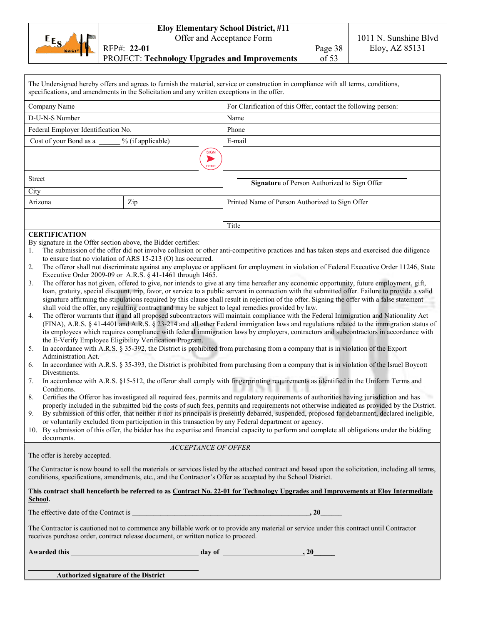|                 | <b>Eloy Elementary School District, #11</b>          |         |                       |
|-----------------|------------------------------------------------------|---------|-----------------------|
| $E_{S}$<br>لمان | Offer and Acceptance Form                            |         | 1011 N. Sunshine Blvd |
| District #      | RFP#: 22-01                                          | Page 38 | Eloy, AZ 85131        |
|                 | <b>PROJECT: Technology Upgrades and Improvements</b> | of 53   |                       |

|                                                                                                                                                                                                                                                     | specifications, and amendments in the Solicitation and any written exceptions in the offer.                                                                                                                                                                  | The Undersigned hereby offers and agrees to furnish the material, service or construction in compliance with all terms, conditions,                                                                                                                                                                                                                                                                                                                                                                                                                                                                                                                                                                                                                                                                                                                                                                                                                                                                                                                                                                                                                                                                                                                                                                                                                                                                                                                                                                                                                                                                                                                                                                                                                                                                                                                                                                                                                                                                                                                                                                                                                                                                                                                                                                 |
|-----------------------------------------------------------------------------------------------------------------------------------------------------------------------------------------------------------------------------------------------------|--------------------------------------------------------------------------------------------------------------------------------------------------------------------------------------------------------------------------------------------------------------|-----------------------------------------------------------------------------------------------------------------------------------------------------------------------------------------------------------------------------------------------------------------------------------------------------------------------------------------------------------------------------------------------------------------------------------------------------------------------------------------------------------------------------------------------------------------------------------------------------------------------------------------------------------------------------------------------------------------------------------------------------------------------------------------------------------------------------------------------------------------------------------------------------------------------------------------------------------------------------------------------------------------------------------------------------------------------------------------------------------------------------------------------------------------------------------------------------------------------------------------------------------------------------------------------------------------------------------------------------------------------------------------------------------------------------------------------------------------------------------------------------------------------------------------------------------------------------------------------------------------------------------------------------------------------------------------------------------------------------------------------------------------------------------------------------------------------------------------------------------------------------------------------------------------------------------------------------------------------------------------------------------------------------------------------------------------------------------------------------------------------------------------------------------------------------------------------------------------------------------------------------------------------------------------------------|
| Company Name                                                                                                                                                                                                                                        |                                                                                                                                                                                                                                                              | For Clarification of this Offer, contact the following person:                                                                                                                                                                                                                                                                                                                                                                                                                                                                                                                                                                                                                                                                                                                                                                                                                                                                                                                                                                                                                                                                                                                                                                                                                                                                                                                                                                                                                                                                                                                                                                                                                                                                                                                                                                                                                                                                                                                                                                                                                                                                                                                                                                                                                                      |
| D-U-N-S Number                                                                                                                                                                                                                                      |                                                                                                                                                                                                                                                              | Name                                                                                                                                                                                                                                                                                                                                                                                                                                                                                                                                                                                                                                                                                                                                                                                                                                                                                                                                                                                                                                                                                                                                                                                                                                                                                                                                                                                                                                                                                                                                                                                                                                                                                                                                                                                                                                                                                                                                                                                                                                                                                                                                                                                                                                                                                                |
| Federal Employer Identification No.                                                                                                                                                                                                                 |                                                                                                                                                                                                                                                              | Phone                                                                                                                                                                                                                                                                                                                                                                                                                                                                                                                                                                                                                                                                                                                                                                                                                                                                                                                                                                                                                                                                                                                                                                                                                                                                                                                                                                                                                                                                                                                                                                                                                                                                                                                                                                                                                                                                                                                                                                                                                                                                                                                                                                                                                                                                                               |
| Cost of your Bond as a                                                                                                                                                                                                                              | % (if applicable)                                                                                                                                                                                                                                            | E-mail                                                                                                                                                                                                                                                                                                                                                                                                                                                                                                                                                                                                                                                                                                                                                                                                                                                                                                                                                                                                                                                                                                                                                                                                                                                                                                                                                                                                                                                                                                                                                                                                                                                                                                                                                                                                                                                                                                                                                                                                                                                                                                                                                                                                                                                                                              |
|                                                                                                                                                                                                                                                     | <b>SIGN</b><br>HERE                                                                                                                                                                                                                                          |                                                                                                                                                                                                                                                                                                                                                                                                                                                                                                                                                                                                                                                                                                                                                                                                                                                                                                                                                                                                                                                                                                                                                                                                                                                                                                                                                                                                                                                                                                                                                                                                                                                                                                                                                                                                                                                                                                                                                                                                                                                                                                                                                                                                                                                                                                     |
| <b>Street</b>                                                                                                                                                                                                                                       |                                                                                                                                                                                                                                                              | Signature of Person Authorized to Sign Offer                                                                                                                                                                                                                                                                                                                                                                                                                                                                                                                                                                                                                                                                                                                                                                                                                                                                                                                                                                                                                                                                                                                                                                                                                                                                                                                                                                                                                                                                                                                                                                                                                                                                                                                                                                                                                                                                                                                                                                                                                                                                                                                                                                                                                                                        |
| City                                                                                                                                                                                                                                                |                                                                                                                                                                                                                                                              |                                                                                                                                                                                                                                                                                                                                                                                                                                                                                                                                                                                                                                                                                                                                                                                                                                                                                                                                                                                                                                                                                                                                                                                                                                                                                                                                                                                                                                                                                                                                                                                                                                                                                                                                                                                                                                                                                                                                                                                                                                                                                                                                                                                                                                                                                                     |
| Arizona                                                                                                                                                                                                                                             | Zip                                                                                                                                                                                                                                                          | Printed Name of Person Authorized to Sign Offer                                                                                                                                                                                                                                                                                                                                                                                                                                                                                                                                                                                                                                                                                                                                                                                                                                                                                                                                                                                                                                                                                                                                                                                                                                                                                                                                                                                                                                                                                                                                                                                                                                                                                                                                                                                                                                                                                                                                                                                                                                                                                                                                                                                                                                                     |
|                                                                                                                                                                                                                                                     |                                                                                                                                                                                                                                                              |                                                                                                                                                                                                                                                                                                                                                                                                                                                                                                                                                                                                                                                                                                                                                                                                                                                                                                                                                                                                                                                                                                                                                                                                                                                                                                                                                                                                                                                                                                                                                                                                                                                                                                                                                                                                                                                                                                                                                                                                                                                                                                                                                                                                                                                                                                     |
| <b>CERTIFICATION</b>                                                                                                                                                                                                                                |                                                                                                                                                                                                                                                              | Title                                                                                                                                                                                                                                                                                                                                                                                                                                                                                                                                                                                                                                                                                                                                                                                                                                                                                                                                                                                                                                                                                                                                                                                                                                                                                                                                                                                                                                                                                                                                                                                                                                                                                                                                                                                                                                                                                                                                                                                                                                                                                                                                                                                                                                                                                               |
| By signature in the Offer section above, the Bidder certifies:<br>1.<br>2.<br>3.<br>4.<br>the E-Verify Employee Eligibility Verification Program.<br>5.<br>Administration Act.<br>6.<br>Divestments.<br>7.<br>Conditions.<br>8.<br>9.<br>documents. | to ensure that no violation of ARS 15-213 (O) has occurred.<br>Executive Order 2009-09 or A.R.S. § 41-1461 through 1465.<br>shall void the offer, any resulting contract and may be subject to legal remedies provided by law.<br><b>ACCEPTANCE OF OFFER</b> | The submission of the offer did not involve collusion or other anti-competitive practices and has taken steps and exercised due diligence<br>The offeror shall not discriminate against any employee or applicant for employment in violation of Federal Executive Order 11246, State<br>The offeror has not given, offered to give, nor intends to give at any time hereafter any economic opportunity, future employment, gift,<br>loan, gratuity, special discount, trip, favor, or service to a public servant in connection with the submitted offer. Failure to provide a valid<br>signature affirming the stipulations required by this clause shall result in rejection of the offer. Signing the offer with a false statement<br>The offeror warrants that it and all proposed subcontractors will maintain compliance with the Federal Immigration and Nationality Act<br>(FINA), A.R.S. § 41-4401 and A.R.S. § 23-214 and all other Federal immigration laws and regulations related to the immigration status of<br>its employees which requires compliance with federal immigration laws by employers, contractors and subcontractors in accordance with<br>In accordance with A.R.S. § 35-392, the District is prohibited from purchasing from a company that is in violation of the Export<br>In accordance with A.R.S. § 35-393, the District is prohibited from purchasing from a company that is in violation of the Israel Boycott<br>In accordance with A.R.S. §15-512, the offeror shall comply with fingerprinting requirements as identified in the Uniform Terms and<br>Certifies the Offeror has investigated all required fees, permits and regulatory requirements of authorities having jurisdiction and has<br>properly included in the submitted bid the costs of such fees, permits and requirements not otherwise indicated as provided by the District.<br>By submission of this offer, that neither it nor its principals is presently debarred, suspended, proposed for debarment, declared ineligible,<br>or voluntarily excluded from participation in this transaction by any Federal department or agency.<br>10. By submission of this offer, the bidder has the expertise and financial capacity to perform and complete all obligations under the bidding |
| The offer is hereby accepted.                                                                                                                                                                                                                       |                                                                                                                                                                                                                                                              |                                                                                                                                                                                                                                                                                                                                                                                                                                                                                                                                                                                                                                                                                                                                                                                                                                                                                                                                                                                                                                                                                                                                                                                                                                                                                                                                                                                                                                                                                                                                                                                                                                                                                                                                                                                                                                                                                                                                                                                                                                                                                                                                                                                                                                                                                                     |
|                                                                                                                                                                                                                                                     |                                                                                                                                                                                                                                                              | The Contractor is now bound to sell the materials or services listed by the attached contract and based upon the solicitation, including all terms,<br>conditions, specifications, amendments, etc., and the Contractor's Offer as accepted by the School District.                                                                                                                                                                                                                                                                                                                                                                                                                                                                                                                                                                                                                                                                                                                                                                                                                                                                                                                                                                                                                                                                                                                                                                                                                                                                                                                                                                                                                                                                                                                                                                                                                                                                                                                                                                                                                                                                                                                                                                                                                                 |
| School.                                                                                                                                                                                                                                             |                                                                                                                                                                                                                                                              | This contract shall henceforth be referred to as Contract No. 22-01 for Technology Upgrades and Improvements at Eloy Intermediate                                                                                                                                                                                                                                                                                                                                                                                                                                                                                                                                                                                                                                                                                                                                                                                                                                                                                                                                                                                                                                                                                                                                                                                                                                                                                                                                                                                                                                                                                                                                                                                                                                                                                                                                                                                                                                                                                                                                                                                                                                                                                                                                                                   |
|                                                                                                                                                                                                                                                     |                                                                                                                                                                                                                                                              | $\overline{.20}$                                                                                                                                                                                                                                                                                                                                                                                                                                                                                                                                                                                                                                                                                                                                                                                                                                                                                                                                                                                                                                                                                                                                                                                                                                                                                                                                                                                                                                                                                                                                                                                                                                                                                                                                                                                                                                                                                                                                                                                                                                                                                                                                                                                                                                                                                    |
|                                                                                                                                                                                                                                                     | receives purchase order, contract release document, or written notice to proceed.                                                                                                                                                                            | The Contractor is cautioned not to commence any billable work or to provide any material or service under this contract until Contractor                                                                                                                                                                                                                                                                                                                                                                                                                                                                                                                                                                                                                                                                                                                                                                                                                                                                                                                                                                                                                                                                                                                                                                                                                                                                                                                                                                                                                                                                                                                                                                                                                                                                                                                                                                                                                                                                                                                                                                                                                                                                                                                                                            |
|                                                                                                                                                                                                                                                     |                                                                                                                                                                                                                                                              |                                                                                                                                                                                                                                                                                                                                                                                                                                                                                                                                                                                                                                                                                                                                                                                                                                                                                                                                                                                                                                                                                                                                                                                                                                                                                                                                                                                                                                                                                                                                                                                                                                                                                                                                                                                                                                                                                                                                                                                                                                                                                                                                                                                                                                                                                                     |
|                                                                                                                                                                                                                                                     |                                                                                                                                                                                                                                                              |                                                                                                                                                                                                                                                                                                                                                                                                                                                                                                                                                                                                                                                                                                                                                                                                                                                                                                                                                                                                                                                                                                                                                                                                                                                                                                                                                                                                                                                                                                                                                                                                                                                                                                                                                                                                                                                                                                                                                                                                                                                                                                                                                                                                                                                                                                     |
| <b>Authorized signature of the District</b>                                                                                                                                                                                                         |                                                                                                                                                                                                                                                              |                                                                                                                                                                                                                                                                                                                                                                                                                                                                                                                                                                                                                                                                                                                                                                                                                                                                                                                                                                                                                                                                                                                                                                                                                                                                                                                                                                                                                                                                                                                                                                                                                                                                                                                                                                                                                                                                                                                                                                                                                                                                                                                                                                                                                                                                                                     |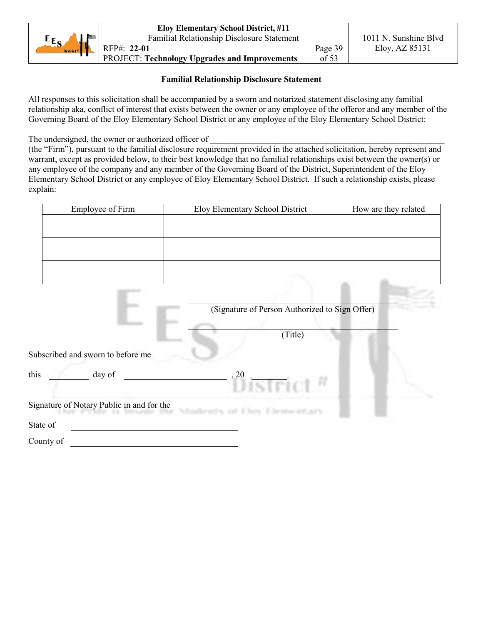|                       | <b>Eloy Elementary School District, #11</b>          |         |                       |
|-----------------------|------------------------------------------------------|---------|-----------------------|
| $E_{S}$               | <b>Familial Relationship Disclosure Statement</b>    |         | 1011 N. Sunshine Blvd |
| District <sup>#</sup> | RFP#: 22-01                                          | Page 39 | Eloy, AZ 85131        |
|                       | <b>PROJECT: Technology Upgrades and Improvements</b> | of 53   |                       |

# **Familial Relationship Disclosure Statement**

All responses to this solicitation shall be accompanied by a sworn and notarized statement disclosing any familial relationship aka, conflict of interest that exists between the owner or any employee of the offeror and any member of the Governing Board of the Eloy Elementary School District or any employee of the Eloy Elementary School District:

The undersigned, the owner or authorized officer of

(the "Firm"), pursuant to the familial disclosure requirement provided in the attached solicitation, hereby represent and warrant, except as provided below, to their best knowledge that no familial relationships exist between the owner(s) or any employee of the company and any member of the Governing Board of the District, Superintendent of the Eloy Elementary School District or any employee of Eloy Elementary School District. If such a relationship exists, please explain:

| Employee of Firm                          | Eloy Elementary School District                | How are they related |
|-------------------------------------------|------------------------------------------------|----------------------|
|                                           |                                                |                      |
|                                           |                                                |                      |
|                                           |                                                |                      |
|                                           |                                                |                      |
|                                           |                                                |                      |
|                                           |                                                |                      |
|                                           | (Signature of Person Authorized to Sign Offer) |                      |
|                                           |                                                |                      |
|                                           | (Title)                                        |                      |
| Subscribed and sworn to before me         |                                                |                      |
| this<br>day of                            | , 20                                           |                      |
|                                           | <i>istrict</i>                                 |                      |
| Signature of Notary Public in and for the | <b>CARLSON</b>                                 |                      |
| State of                                  |                                                |                      |
| County of                                 |                                                |                      |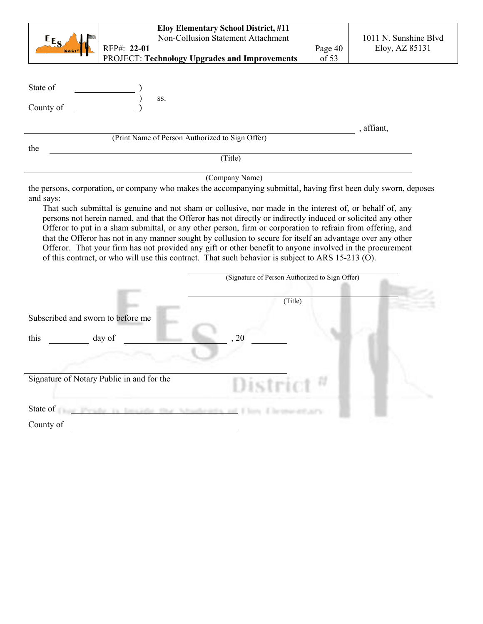|                                           |                                                                                                                                                                                                                                                                                                                                                                                                                                                                                                                                                            | Eloy Elementary School District, #11<br>Non-Collusion Statement Attachment |                  | 1011 N. Sunshine Blvd |
|-------------------------------------------|------------------------------------------------------------------------------------------------------------------------------------------------------------------------------------------------------------------------------------------------------------------------------------------------------------------------------------------------------------------------------------------------------------------------------------------------------------------------------------------------------------------------------------------------------------|----------------------------------------------------------------------------|------------------|-----------------------|
| $E_{E_S}$                                 | RFP#: 22-01                                                                                                                                                                                                                                                                                                                                                                                                                                                                                                                                                |                                                                            |                  |                       |
|                                           | <b>PROJECT: Technology Upgrades and Improvements</b>                                                                                                                                                                                                                                                                                                                                                                                                                                                                                                       |                                                                            | Page 40<br>of 53 | Eloy, AZ 85131        |
| State of<br>County of<br>the              | SS.<br>(Print Name of Person Authorized to Sign Offer)<br>the persons, corporation, or company who makes the accompanying submittal, having first been duly sworn, deposes                                                                                                                                                                                                                                                                                                                                                                                 | (Title)<br>(Company Name)                                                  |                  | , affiant,            |
|                                           | That such submittal is genuine and not sham or collusive, nor made in the interest of, or behalf of, any                                                                                                                                                                                                                                                                                                                                                                                                                                                   |                                                                            |                  |                       |
|                                           | persons not herein named, and that the Offeror has not directly or indirectly induced or solicited any other<br>Offeror to put in a sham submittal, or any other person, firm or corporation to refrain from offering, and<br>that the Offeror has not in any manner sought by collusion to secure for itself an advantage over any other<br>Offeror. That your firm has not provided any gift or other benefit to anyone involved in the procurement<br>of this contract, or who will use this contract. That such behavior is subject to ARS 15-213 (O). | (Signature of Person Authorized to Sign Offer)                             |                  |                       |
| and says:                                 |                                                                                                                                                                                                                                                                                                                                                                                                                                                                                                                                                            |                                                                            |                  |                       |
|                                           |                                                                                                                                                                                                                                                                                                                                                                                                                                                                                                                                                            | (Title)                                                                    |                  |                       |
|                                           |                                                                                                                                                                                                                                                                                                                                                                                                                                                                                                                                                            |                                                                            |                  |                       |
| Subscribed and sworn to before me<br>this | day of                                                                                                                                                                                                                                                                                                                                                                                                                                                                                                                                                     | 20                                                                         |                  |                       |
|                                           |                                                                                                                                                                                                                                                                                                                                                                                                                                                                                                                                                            |                                                                            |                  |                       |
|                                           | Signature of Notary Public in and for the                                                                                                                                                                                                                                                                                                                                                                                                                                                                                                                  | District                                                                   |                  |                       |
|                                           | State of Chair Preside, its Installation that Administration and Films Ellewoodbusty-                                                                                                                                                                                                                                                                                                                                                                                                                                                                      |                                                                            |                  |                       |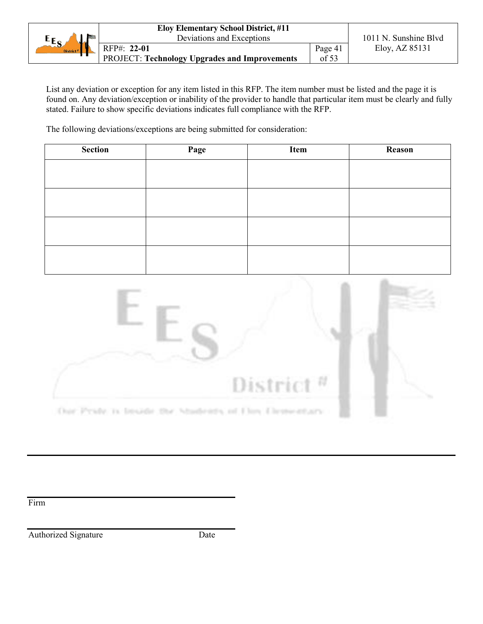|                          | <b>Eloy Elementary School District, #11</b>          |         |                       |  |
|--------------------------|------------------------------------------------------|---------|-----------------------|--|
| $E_{S}$<br><b>Marine</b> | Deviations and Exceptions                            |         | 1011 N. Sunshine Blyd |  |
| District $\mu$           | RFP#: 22-01                                          | Page 41 | Eloy, AZ 85131        |  |
|                          | <b>PROJECT: Technology Upgrades and Improvements</b> | of $53$ |                       |  |

List any deviation or exception for any item listed in this RFP. The item number must be listed and the page it is found on. Any deviation/exception or inability of the provider to handle that particular item must be clearly and fully stated. Failure to show specific deviations indicates full compliance with the RFP.

The following deviations/exceptions are being submitted for consideration:

| Section | Page | Item | <b>Reason</b> |
|---------|------|------|---------------|
|         |      |      |               |
|         |      |      |               |
|         |      |      |               |
|         |      |      |               |
|         |      |      |               |
|         |      |      |               |
|         |      |      |               |
|         |      |      |               |



Our Prate is broade the Madenta of Floy Dementary

Firm

Authorized Signature Date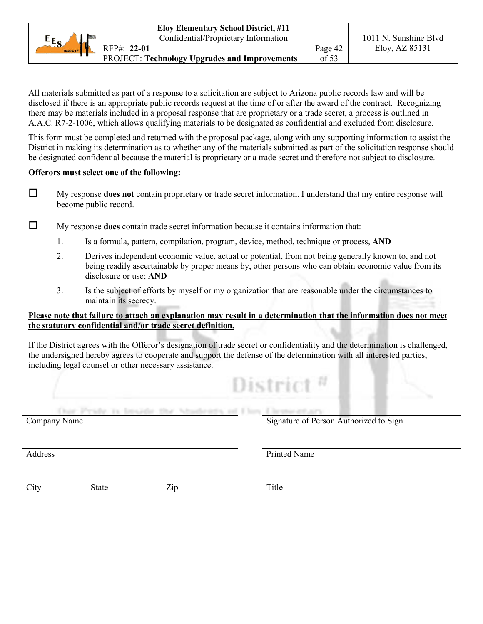|                       | <b>Eloy Elementary School District, #11</b>          |               |                       |  |
|-----------------------|------------------------------------------------------|---------------|-----------------------|--|
| $E_{S}$               | Confidential/Proprietary Information                 |               | 1011 N. Sunshine Blvd |  |
| District <sup>#</sup> | RFP#: 22-01                                          | Page 42       | Eloy, AZ 85131        |  |
|                       | <b>PROJECT: Technology Upgrades and Improvements</b> | $\sigma$ f 53 |                       |  |

All materials submitted as part of a response to a solicitation are subject to Arizona public records law and will be disclosed if there is an appropriate public records request at the time of or after the award of the contract. Recognizing there may be materials included in a proposal response that are proprietary or a trade secret, a process is outlined in A.A.C. R7-2-1006, which allows qualifying materials to be designated as confidential and excluded from disclosure.

This form must be completed and returned with the proposal package, along with any supporting information to assist the District in making its determination as to whether any of the materials submitted as part of the solicitation response should be designated confidential because the material is proprietary or a trade secret and therefore not subject to disclosure.

# **Offerors must select one of the following:**

 My response **does not** contain proprietary or trade secret information. I understand that my entire response will become public record.

My response **does** contain trade secret information because it contains information that:

- 1. Is a formula, pattern, compilation, program, device, method, technique or process, **AND**
- 2. Derives independent economic value, actual or potential, from not being generally known to, and not being readily ascertainable by proper means by, other persons who can obtain economic value from its disclosure or use; **AND**
- 3. Is the subject of efforts by myself or my organization that are reasonable under the circumstances to maintain its secrecy.

# **Please note that failure to attach an explanation may result in a determination that the information does not meet the statutory confidential and/or trade secret definition.**

If the District agrees with the Offeror's designation of trade secret or confidentiality and the determination is challenged, the undersigned hereby agrees to cooperate and support the defense of the determination with all interested parties, including legal counsel or other necessary assistance.

|                                                                    | Tric                                   |
|--------------------------------------------------------------------|----------------------------------------|
| Our Prute is bruide the Mudents of Floy Elementary<br>Company Name | Signature of Person Authorized to Sign |
| Address                                                            | Printed Name                           |

City State Zip Title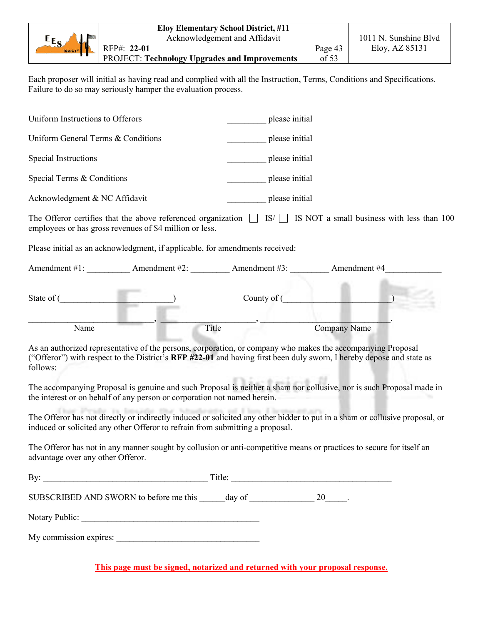|                             | <b>Eloy Elementary School District, #11</b>          |         |                       |
|-----------------------------|------------------------------------------------------|---------|-----------------------|
| $E_{S}$<br><b>San Andre</b> | Acknowledgement and Affidavit                        |         | 1011 N. Sunshine Blvd |
| District $\frac{1}{n}$      | RFP#: 22-01                                          | Page 43 | Eloy, AZ 85131        |
|                             | <b>PROJECT: Technology Upgrades and Improvements</b> | of 53   |                       |

Each proposer will initial as having read and complied with all the Instruction, Terms, Conditions and Specifications. Failure to do so may seriously hamper the evaluation process.

| Uniform Instructions to Offerors                                                                                                                                                                                                                |       | please initial |              |  |
|-------------------------------------------------------------------------------------------------------------------------------------------------------------------------------------------------------------------------------------------------|-------|----------------|--------------|--|
| Uniform General Terms & Conditions                                                                                                                                                                                                              |       | please initial |              |  |
| Special Instructions                                                                                                                                                                                                                            |       | please initial |              |  |
| Special Terms & Conditions                                                                                                                                                                                                                      |       | please initial |              |  |
| Acknowledgment & NC Affidavit                                                                                                                                                                                                                   |       | please initial |              |  |
| The Offeror certifies that the above referenced organization $\Box$ IS/ $\Box$ IS NOT a small business with less than 100<br>employees or has gross revenues of \$4 million or less.                                                            |       |                |              |  |
| Please initial as an acknowledgment, if applicable, for amendments received:                                                                                                                                                                    |       |                |              |  |
|                                                                                                                                                                                                                                                 |       |                |              |  |
| State of (                                                                                                                                                                                                                                      |       | County of (    |              |  |
| Name                                                                                                                                                                                                                                            | Title |                | Company Name |  |
| As an authorized representative of the persons, corporation, or company who makes the accompanying Proposal<br>("Offeror") with respect to the District's RFP #22-01 and having first been duly sworn, I hereby depose and state as<br>follows: |       |                |              |  |
| The accompanying Proposal is genuine and such Proposal is neither a sham nor collusive, nor is such Proposal made in<br>the interest or on behalf of any person or corporation not named herein.                                                |       |                |              |  |
| The Offeror has not directly or indirectly induced or solicited any other bidder to put in a sham or collusive proposal, or<br>induced or solicited any other Offeror to refrain from submitting a proposal.                                    |       |                |              |  |
| The Offeror has not in any manner sought by collusion or anti-competitive means or practices to secure for itself an<br>advantage over any other Offeror.                                                                                       |       |                |              |  |
|                                                                                                                                                                                                                                                 |       |                |              |  |
| SUBSCRIBED AND SWORN to before me this $\_\_\_\_\_day\$ of $\_\_\_\_\_\_2\$ 20 $\_\_\_\_\.$                                                                                                                                                     |       |                |              |  |
|                                                                                                                                                                                                                                                 |       |                |              |  |
|                                                                                                                                                                                                                                                 |       |                |              |  |

**This page must be signed, notarized and returned with your proposal response.**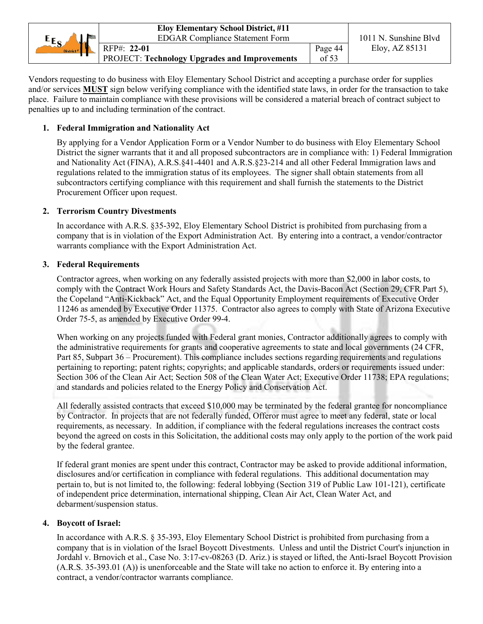|                       | <b>Eloy Elementary School District, #11</b>          |         |                       |
|-----------------------|------------------------------------------------------|---------|-----------------------|
| $E_{S}$<br>No. La     | <b>EDGAR Compliance Statement Form</b>               |         | 1011 N. Sunshine Blyd |
| District <sup>#</sup> | RFP#: 22-01                                          | Page 44 | Eloy, AZ 85131        |
|                       | <b>PROJECT: Technology Upgrades and Improvements</b> | of 53   |                       |

Vendors requesting to do business with Eloy Elementary School District and accepting a purchase order for supplies and/or services **MUST** sign below verifying compliance with the identified state laws, in order for the transaction to take place. Failure to maintain compliance with these provisions will be considered a material breach of contract subject to penalties up to and including termination of the contract.

# **1. Federal Immigration and Nationality Act**

By applying for a Vendor Application Form or a Vendor Number to do business with Eloy Elementary School District the signer warrants that it and all proposed subcontractors are in compliance with: 1) Federal Immigration and Nationality Act (FINA), A.R.S.§41-4401 and A.R.S.§23-214 and all other Federal Immigration laws and regulations related to the immigration status of its employees. The signer shall obtain statements from all subcontractors certifying compliance with this requirement and shall furnish the statements to the District Procurement Officer upon request.

# **2. Terrorism Country Divestments**

In accordance with A.R.S. §35-392, Eloy Elementary School District is prohibited from purchasing from a company that is in violation of the Export Administration Act. By entering into a contract, a vendor/contractor warrants compliance with the Export Administration Act.

# **3. Federal Requirements**

Contractor agrees, when working on any federally assisted projects with more than \$2,000 in labor costs, to comply with the Contract Work Hours and Safety Standards Act, the Davis-Bacon Act (Section 29, CFR Part 5), the Copeland "Anti-Kickback" Act, and the Equal Opportunity Employment requirements of Executive Order 11246 as amended by Executive Order 11375. Contractor also agrees to comply with State of Arizona Executive Order 75-5, as amended by Executive Order 99-4.

When working on any projects funded with Federal grant monies, Contractor additionally agrees to comply with the administrative requirements for grants and cooperative agreements to state and local governments (24 CFR, Part 85, Subpart 36 – Procurement). This compliance includes sections regarding requirements and regulations pertaining to reporting; patent rights; copyrights; and applicable standards, orders or requirements issued under: Section 306 of the Clean Air Act; Section 508 of the Clean Water Act; Executive Order 11738; EPA regulations; and standards and policies related to the Energy Policy and Conservation Act.

All federally assisted contracts that exceed \$10,000 may be terminated by the federal grantee for noncompliance by Contractor. In projects that are not federally funded, Offeror must agree to meet any federal, state or local requirements, as necessary. In addition, if compliance with the federal regulations increases the contract costs beyond the agreed on costs in this Solicitation, the additional costs may only apply to the portion of the work paid by the federal grantee.

If federal grant monies are spent under this contract, Contractor may be asked to provide additional information, disclosures and/or certification in compliance with federal regulations. This additional documentation may pertain to, but is not limited to, the following: federal lobbying (Section 319 of Public Law 101-121), certificate of independent price determination, international shipping, Clean Air Act, Clean Water Act, and debarment/suspension status.

# **4. Boycott of Israel:**

In accordance with A.R.S. § 35-393, Eloy Elementary School District is prohibited from purchasing from a company that is in violation of the Israel Boycott Divestments. Unless and until the District Court's injunction in Jordahl v. Brnovich et al., Case No. 3:17-cv-08263 (D. Ariz.) is stayed or lifted, the Anti-Israel Boycott Provision (A.R.S. 35-393.01 (A)) is unenforceable and the State will take no action to enforce it. By entering into a contract, a vendor/contractor warrants compliance.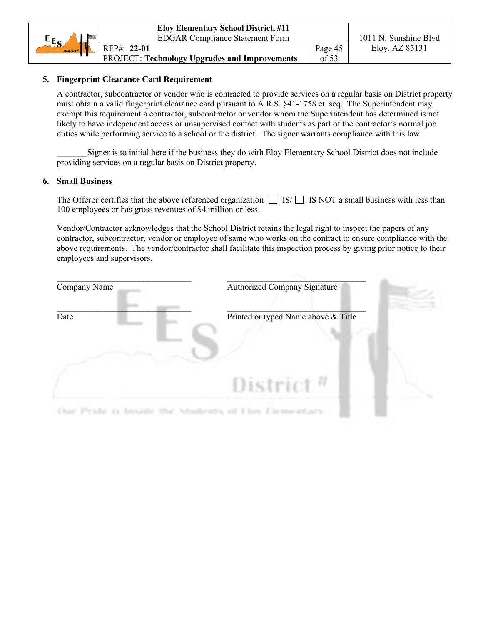|                       | <b>Eloy Elementary School District, #11</b>          |         |                       |
|-----------------------|------------------------------------------------------|---------|-----------------------|
| $E_{S_4}$<br>ماند     | <b>EDGAR Compliance Statement Form</b>               |         | 1011 N. Sunshine Blvd |
| District <sup>#</sup> | RFP#: 22-01                                          | Page 45 | Eloy, AZ $85131$      |
|                       | <b>PROJECT: Technology Upgrades and Improvements</b> | of $53$ |                       |

# **5. Fingerprint Clearance Card Requirement**

A contractor, subcontractor or vendor who is contracted to provide services on a regular basis on District property must obtain a valid fingerprint clearance card pursuant to A.R.S. §41-1758 et. seq. The Superintendent may exempt this requirement a contractor, subcontractor or vendor whom the Superintendent has determined is not likely to have independent access or unsupervised contact with students as part of the contractor's normal job duties while performing service to a school or the district. The signer warrants compliance with this law.

Signer is to initial here if the business they do with Eloy Elementary School District does not include providing services on a regular basis on District property.

# **6. Small Business**

The Offeror certifies that the above referenced organization  $\Box$  IS/  $\Box$  IS NOT a small business with less than 100 employees or has gross revenues of \$4 million or less.

Vendor/Contractor acknowledges that the School District retains the legal right to inspect the papers of any contractor, subcontractor, vendor or employee of same who works on the contract to ensure compliance with the above requirements. The vendor/contractor shall facilitate this inspection process by giving prior notice to their employees and supervisors.

| Company Name | <b>Authorized Company Signature</b> |  |
|--------------|-------------------------------------|--|
| Date         | Printed or typed Name above & Title |  |
|              | District <sup><math>n</math></sup>  |  |
|              |                                     |  |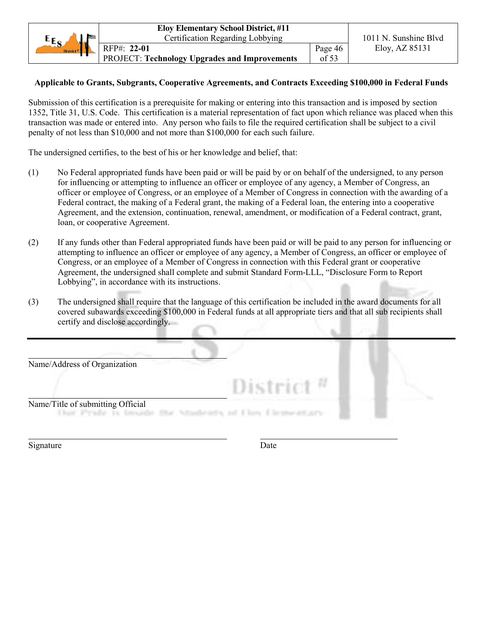|                       | <b>Eloy Elementary School District, #11</b>          |         |                       |
|-----------------------|------------------------------------------------------|---------|-----------------------|
| $E_{S_A}$             | Certification Regarding Lobbying                     |         | 1011 N. Sunshine Blvd |
| District <sup>#</sup> | RFP#: 22-01                                          | Page 46 | Eloy, AZ 85131        |
|                       | <b>PROJECT: Technology Upgrades and Improvements</b> | of 53   |                       |

# **Applicable to Grants, Subgrants, Cooperative Agreements, and Contracts Exceeding \$100,000 in Federal Funds**

Submission of this certification is a prerequisite for making or entering into this transaction and is imposed by section 1352, Title 31, U.S. Code. This certification is a material representation of fact upon which reliance was placed when this transaction was made or entered into. Any person who fails to file the required certification shall be subject to a civil penalty of not less than \$10,000 and not more than \$100,000 for each such failure.

The undersigned certifies, to the best of his or her knowledge and belief, that:

- (1) No Federal appropriated funds have been paid or will be paid by or on behalf of the undersigned, to any person for influencing or attempting to influence an officer or employee of any agency, a Member of Congress, an officer or employee of Congress, or an employee of a Member of Congress in connection with the awarding of a Federal contract, the making of a Federal grant, the making of a Federal loan, the entering into a cooperative Agreement, and the extension, continuation, renewal, amendment, or modification of a Federal contract, grant, loan, or cooperative Agreement.
- (2) If any funds other than Federal appropriated funds have been paid or will be paid to any person for influencing or attempting to influence an officer or employee of any agency, a Member of Congress, an officer or employee of Congress, or an employee of a Member of Congress in connection with this Federal grant or cooperative Agreement, the undersigned shall complete and submit Standard Form-LLL, "Disclosure Form to Report Lobbying", in accordance with its instructions.
- (3) The undersigned shall require that the language of this certification be included in the award documents for all covered subawards exceeding \$100,000 in Federal funds at all appropriate tiers and that all sub recipients shall certify and disclose accordingly.



Signature Date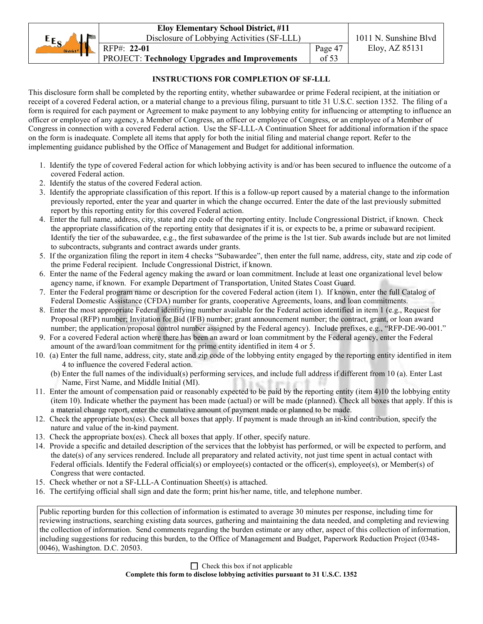|                       | <b>Eloy Elementary School District, #11</b>   |               |                       |
|-----------------------|-----------------------------------------------|---------------|-----------------------|
| $E_{S}$<br>ы.         | Disclosure of Lobbying Activities (SF-LLL)    |               | 1011 N. Sunshine Blvd |
| District <sup>#</sup> | RFP#: 22-01                                   | Page 47       | Eloy, AZ 85131        |
|                       | PROJECT: Technology Upgrades and Improvements | $\sigma$ f 53 |                       |

# **INSTRUCTIONS FOR COMPLETION OF SF-LLL**

This disclosure form shall be completed by the reporting entity, whether subawardee or prime Federal recipient, at the initiation or receipt of a covered Federal action, or a material change to a previous filing, pursuant to title 31 U.S.C. section 1352. The filing of a form is required for each payment or Agreement to make payment to any lobbying entity for influencing or attempting to influence an officer or employee of any agency, a Member of Congress, an officer or employee of Congress, or an employee of a Member of Congress in connection with a covered Federal action. Use the SF-LLL-A Continuation Sheet for additional information if the space on the form is inadequate. Complete all items that apply for both the initial filing and material change report. Refer to the implementing guidance published by the Office of Management and Budget for additional information.

- 1. Identify the type of covered Federal action for which lobbying activity is and/or has been secured to influence the outcome of a covered Federal action.
- 2. Identify the status of the covered Federal action.
- 3. Identify the appropriate classification of this report. If this is a follow-up report caused by a material change to the information previously reported, enter the year and quarter in which the change occurred. Enter the date of the last previously submitted report by this reporting entity for this covered Federal action.
- 4. Enter the full name, address, city, state and zip code of the reporting entity. Include Congressional District, if known. Check the appropriate classification of the reporting entity that designates if it is, or expects to be, a prime or subaward recipient. Identify the tier of the subawardee, e.g., the first subawardee of the prime is the 1st tier. Sub awards include but are not limited to subcontracts, subgrants and contract awards under grants.
- 5. If the organization filing the report in item 4 checks "Subawardee", then enter the full name, address, city, state and zip code of the prime Federal recipient. Include Congressional District, if known.
- 6. Enter the name of the Federal agency making the award or loan commitment. Include at least one organizational level below agency name, if known. For example Department of Transportation, United States Coast Guard.
- 7. Enter the Federal program name or description for the covered Federal action (item 1). If known, enter the full Catalog of Federal Domestic Assistance (CFDA) number for grants, cooperative Agreements, loans, and loan commitments.
- 8. Enter the most appropriate Federal identifying number available for the Federal action identified in item 1 (e.g., Request for Proposal (RFP) number; Invitation for Bid (IFB) number; grant announcement number; the contract, grant, or loan award number; the application/proposal control number assigned by the Federal agency). Include prefixes, e.g., "RFP-DE-90-001."
- 9. For a covered Federal action where there has been an award or loan commitment by the Federal agency, enter the Federal amount of the award/loan commitment for the prime entity identified in item 4 or 5.
- 10. (a) Enter the full name, address, city, state and zip code of the lobbying entity engaged by the reporting entity identified in item 4 to influence the covered Federal action.
	- (b) Enter the full names of the individual(s) performing services, and include full address if different from 10 (a). Enter Last Name, First Name, and Middle Initial (MI).
- 11. Enter the amount of compensation paid or reasonably expected to be paid by the reporting entity (item 4)10 the lobbying entity (item 10). Indicate whether the payment has been made (actual) or will be made (planned). Check all boxes that apply. If this is a material change report, enter the cumulative amount of payment made or planned to be made.
- 12. Check the appropriate box(es). Check all boxes that apply. If payment is made through an in-kind contribution, specify the nature and value of the in-kind payment.
- 13. Check the appropriate box(es). Check all boxes that apply. If other, specify nature.
- 14. Provide a specific and detailed description of the services that the lobbyist has performed, or will be expected to perform, and the date(s) of any services rendered. Include all preparatory and related activity, not just time spent in actual contact with Federal officials. Identify the Federal official(s) or employee(s) contacted or the officer(s), employee(s), or Member(s) of Congress that were contacted.
- 15. Check whether or not a SF-LLL-A Continuation Sheet(s) is attached.
- 16. The certifying official shall sign and date the form; print his/her name, title, and telephone number.

Public reporting burden for this collection of information is estimated to average 30 minutes per response, including time for reviewing instructions, searching existing data sources, gathering and maintaining the data needed, and completing and reviewing the collection of information. Send comments regarding the burden estimate or any other, aspect of this collection of information, including suggestions for reducing this burden, to the Office of Management and Budget, Paperwork Reduction Project (0348- 0046), Washington. D.C. 20503.

 $\Box$  Check this box if not applicable

**Complete this form to disclose lobbying activities pursuant to 31 U.S.C. 1352**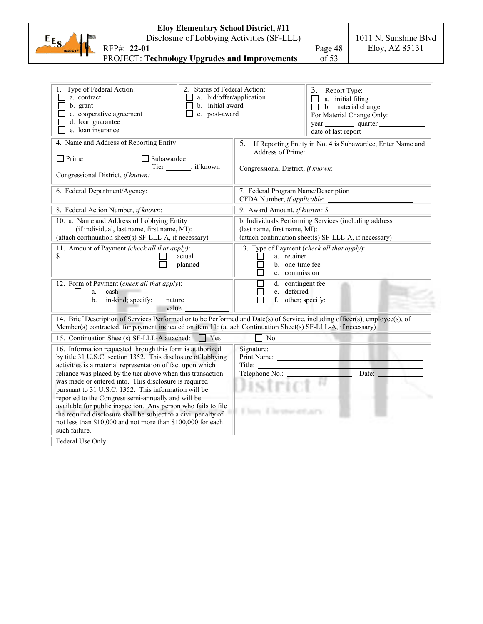|                                                                                                 | <b>Eloy Elementary School District, #11</b>                                                                                                                                                                                                                                                                                                                                                                                                                                         |                                                                                               |                                                                                                                                                |                                                                   |                                                            |
|-------------------------------------------------------------------------------------------------|-------------------------------------------------------------------------------------------------------------------------------------------------------------------------------------------------------------------------------------------------------------------------------------------------------------------------------------------------------------------------------------------------------------------------------------------------------------------------------------|-----------------------------------------------------------------------------------------------|------------------------------------------------------------------------------------------------------------------------------------------------|-------------------------------------------------------------------|------------------------------------------------------------|
| $E_{ES}$                                                                                        | Disclosure of Lobbying Activities (SF-LLL)                                                                                                                                                                                                                                                                                                                                                                                                                                          |                                                                                               | 1011 N. Sunshine Blvd                                                                                                                          |                                                                   |                                                            |
|                                                                                                 | RFP#: 22-01                                                                                                                                                                                                                                                                                                                                                                                                                                                                         |                                                                                               |                                                                                                                                                | Page 48                                                           | Eloy, AZ 85131                                             |
|                                                                                                 | <b>PROJECT: Technology Upgrades and Improvements</b>                                                                                                                                                                                                                                                                                                                                                                                                                                |                                                                                               |                                                                                                                                                | of 53                                                             |                                                            |
|                                                                                                 |                                                                                                                                                                                                                                                                                                                                                                                                                                                                                     |                                                                                               |                                                                                                                                                |                                                                   |                                                            |
| 1. Type of Federal Action:<br>a. contract<br>b. grant<br>d. loan guarantee<br>e. loan insurance | c. cooperative agreement                                                                                                                                                                                                                                                                                                                                                                                                                                                            | 2. Status of Federal Action:<br>a. bid/offer/application<br>b. initial award<br>c. post-award |                                                                                                                                                | 3. Report Type:<br>a. initial filing<br>$\Box$ b. material change | For Material Change Only:<br>year quarter                  |
| $\Box$ Prime                                                                                    | 4. Name and Address of Reporting Entity<br>Subawardee<br>Tier ________, if known<br>Congressional District, if known:                                                                                                                                                                                                                                                                                                                                                               |                                                                                               | 5.<br>Address of Prime:<br>Congressional District, if known:                                                                                   |                                                                   | If Reporting Entity in No. 4 is Subawardee, Enter Name and |
|                                                                                                 | 6. Federal Department/Agency:                                                                                                                                                                                                                                                                                                                                                                                                                                                       |                                                                                               | 7. Federal Program Name/Description                                                                                                            |                                                                   |                                                            |
|                                                                                                 | 8. Federal Action Number, if known:                                                                                                                                                                                                                                                                                                                                                                                                                                                 |                                                                                               | 9. Award Amount, if known: \$                                                                                                                  |                                                                   |                                                            |
|                                                                                                 | 10. a. Name and Address of Lobbying Entity<br>(if individual, last name, first name, MI):<br>(attach continuation sheet(s) SF-LLL-A, if necessary)                                                                                                                                                                                                                                                                                                                                  |                                                                                               | b. Individuals Performing Services (including address<br>(last name, first name, MI):<br>(attach continuation sheet(s) SF-LLL-A, if necessary) |                                                                   |                                                            |
|                                                                                                 | 11. Amount of Payment (check all that apply):<br>$\sim$<br>actual<br>planned                                                                                                                                                                                                                                                                                                                                                                                                        |                                                                                               | 13. Type of Payment (check all that apply):<br>a. retainer<br>b. one-time fee<br>c. commission                                                 |                                                                   |                                                            |
| a.                                                                                              | 12. Form of Payment (check all that apply):<br>cash<br>nature<br>b. in-kind; specify:<br>value                                                                                                                                                                                                                                                                                                                                                                                      |                                                                                               | d. contingent fee<br>$\Box$<br>e. deferred<br>f. other; specify: _____                                                                         |                                                                   |                                                            |
|                                                                                                 | 14. Brief Description of Services Performed or to be Performed and Date(s) of Service, including officer(s), employee(s), of<br>Member(s) contracted, for payment indicated on item 11: (attach Continuation Sheet(s) SF-LLL-A, if necessary)                                                                                                                                                                                                                                       |                                                                                               |                                                                                                                                                |                                                                   |                                                            |
|                                                                                                 | 15. Continuation Sheet(s) SF-LLL-A attached: T Yes<br>16. Information requested through this form is authorized<br>by title 31 U.S.C. section 1352. This disclosure of lobbying<br>activities is a material representation of fact upon which<br>reliance was placed by the tier above when this transaction<br>was made or entered into. This disclosure is required<br>pursuant to 31 U.S.C. 1352. This information will be<br>reported to the Congress semi-annually and will be |                                                                                               | $\Box$ No<br>Print Name:<br>Title:<br>Telephone No.:<br>Distri                                                                                 |                                                                   | Date:                                                      |
| such failure.<br>Federal Use Only:                                                              | available for public inspection. Any person who fails to file<br>the required disclosure shall be subject to a civil penalty of<br>not less than \$10,000 and not more than \$100,000 for each                                                                                                                                                                                                                                                                                      |                                                                                               | I line I better att any                                                                                                                        |                                                                   |                                                            |
|                                                                                                 |                                                                                                                                                                                                                                                                                                                                                                                                                                                                                     |                                                                                               |                                                                                                                                                |                                                                   |                                                            |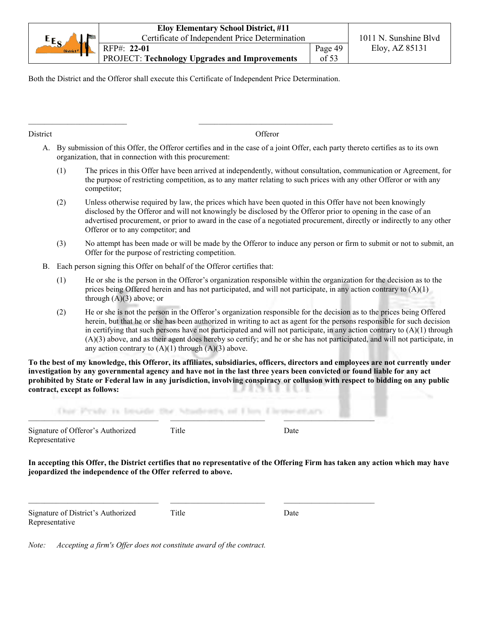|                       | <b>Eloy Elementary School District, #11</b>          |         |                       |
|-----------------------|------------------------------------------------------|---------|-----------------------|
| $E_{S}$<br>لمالي      | Certificate of Independent Price Determination       |         | 1011 N. Sunshine Blvd |
| District <sup>#</sup> | RFP#: 22-01                                          | Page 49 | Eloy, AZ 85131        |
|                       | <b>PROJECT: Technology Upgrades and Improvements</b> | of $53$ |                       |

Both the District and the Offeror shall execute this Certificate of Independent Price Determination.

District **Offeror** 

- A. By submission of this Offer, the Offeror certifies and in the case of a joint Offer, each party thereto certifies as to its own organization, that in connection with this procurement:
	- (1) The prices in this Offer have been arrived at independently, without consultation, communication or Agreement, for the purpose of restricting competition, as to any matter relating to such prices with any other Offeror or with any competitor;
	- (2) Unless otherwise required by law, the prices which have been quoted in this Offer have not been knowingly disclosed by the Offeror and will not knowingly be disclosed by the Offeror prior to opening in the case of an advertised procurement, or prior to award in the case of a negotiated procurement, directly or indirectly to any other Offeror or to any competitor; and
	- (3) No attempt has been made or will be made by the Offeror to induce any person or firm to submit or not to submit, an Offer for the purpose of restricting competition.
- B. Each person signing this Offer on behalf of the Offeror certifies that:
	- (1) He or she is the person in the Offeror's organization responsible within the organization for the decision as to the prices being Offered herein and has not participated, and will not participate, in any action contrary to  $(A)(1)$ through  $(A)(3)$  above; or
	- (2) He or she is not the person in the Offeror's organization responsible for the decision as to the prices being Offered herein, but that he or she has been authorized in writing to act as agent for the persons responsible for such decision in certifying that such persons have not participated and will not participate, in any action contrary to (A)(1) through (A)(3) above, and as their agent does hereby so certify; and he or she has not participated, and will not participate, in any action contrary to  $(A)(1)$  through  $(A)(3)$  above.

**To the best of my knowledge, this Offeror, its affiliates, subsidiaries, officers, directors and employees are not currently under investigation by any governmental agency and have not in the last three years been convicted or found liable for any act prohibited by State or Federal law in any jurisdiction, involving conspiracy or collusion with respect to bidding on any public contract, except as follows:**

| any what he form and a<br>A. Bank | the control of the company of the control of the control of the control of |             |  |
|-----------------------------------|----------------------------------------------------------------------------|-------------|--|
| Signature of Offeror's Authorized | $\mathrm{^{r}\text{itle}}$                                                 | <b>Date</b> |  |

**In accepting this Offer, the District certifies that no representative of the Offering Firm has taken any action which may have jeopardized the independence of the Offer referred to above.**

Signature of District's Authorized Title Date Representative

Representative

 $\_$  , and the state of the state of the state of the state of the state of the state of the state of the state of the state of the state of the state of the state of the state of the state of the state of the state of the

*Note: Accepting a firm's Offer does not constitute award of the contract.*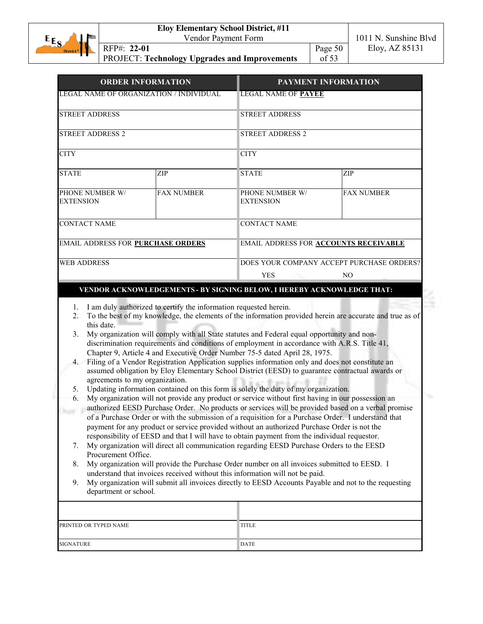|                       | <b>Eloy Elementary School District, #11</b>   |         |                       |
|-----------------------|-----------------------------------------------|---------|-----------------------|
| District "<br>$E_{S}$ | Vendor Payment Form                           |         | 1011 N. Sunshine Blvd |
|                       | RFP#: 22-01                                   | Page 50 | Eloy, AZ 85131        |
|                       | PROJECT: Technology Upgrades and Improvements | of $53$ |                       |

| <b>ORDER INFORMATION</b>                 |                   |                                           | PAYMENT INFORMATION<br><b>LEGAL NAME OF PAYEE</b> |  |  |  |
|------------------------------------------|-------------------|-------------------------------------------|---------------------------------------------------|--|--|--|
| LEGAL NAME OF ORGANIZATION / INDIVIDUAL  |                   |                                           |                                                   |  |  |  |
| <b>STREET ADDRESS</b>                    |                   | <b>STREET ADDRESS</b>                     |                                                   |  |  |  |
| <b>STREET ADDRESS 2</b>                  |                   | <b>STREET ADDRESS 2</b>                   |                                                   |  |  |  |
| <b>CITY</b>                              |                   | <b>CITY</b>                               |                                                   |  |  |  |
| <b>STATE</b>                             | ZIP               | <b>STATE</b>                              | ZIP                                               |  |  |  |
| PHONE NUMBER W/<br><b>EXTENSION</b>      | <b>FAX NUMBER</b> | PHONE NUMBER W/<br><b>EXTENSION</b>       | <b>FAX NUMBER</b>                                 |  |  |  |
| <b>CONTACT NAME</b>                      |                   | <b>CONTACT NAME</b>                       |                                                   |  |  |  |
| <b>EMAIL ADDRESS FOR PURCHASE ORDERS</b> |                   | EMAIL ADDRESS FOR ACCOUNTS RECEIVABLE     |                                                   |  |  |  |
| <b>WEB ADDRESS</b>                       |                   | DOES YOUR COMPANY ACCEPT PURCHASE ORDERS? |                                                   |  |  |  |
|                                          |                   | <b>YES</b>                                | NO.                                               |  |  |  |

### **VENDOR ACKNOWLEDGEMENTS - BY SIGNING BELOW, I HEREBY ACKNOWLEDGE THAT:**

- 1. I am duly authorized to certify the information requested herein.
- 2. To the best of my knowledge, the elements of the information provided herein are accurate and true as of this date.
- 3. My organization will comply with all State statutes and Federal equal opportunity and nondiscrimination requirements and conditions of employment in accordance with A.R.S. Title 41, Chapter 9, Article 4 and Executive Order Number 75-5 dated April 28, 1975.
- 4. Filing of a Vendor Registration Application supplies information only and does not constitute an assumed obligation by Eloy Elementary School District (EESD) to guarantee contractual awards or agreements to my organization.
- 5. Updating information contained on this form is solely the duty of my organization.
- 6. My organization will not provide any product or service without first having in our possession an authorized EESD Purchase Order. No products or services will be provided based on a verbal promise of a Purchase Order or with the submission of a requisition for a Purchase Order. I understand that payment for any product or service provided without an authorized Purchase Order is not the responsibility of EESD and that I will have to obtain payment from the individual requestor.
- 7. My organization will direct all communication regarding EESD Purchase Orders to the EESD Procurement Office.
- 8. My organization will provide the Purchase Order number on all invoices submitted to EESD. I understand that invoices received without this information will not be paid.
- 9. My organization will submit all invoices directly to EESD Accounts Payable and not to the requesting department or school.

| PRINTED OR TYPED NAME | <b>TITLE</b> |
|-----------------------|--------------|
| <b>SIGNATURE</b>      | <b>DATE</b>  |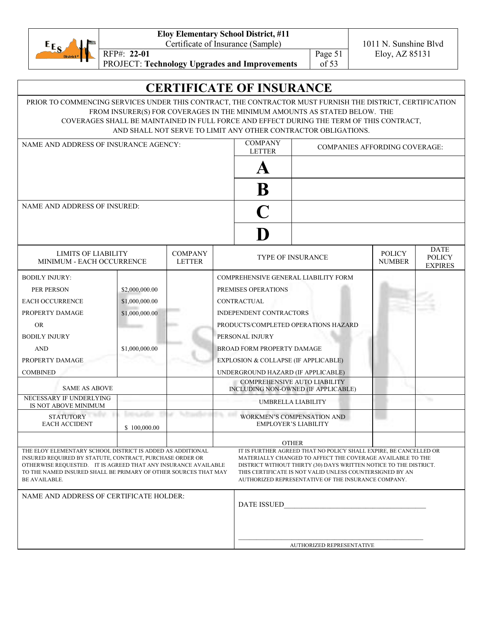| $E_{E_{\mathcal{S}}}$ |  |
|-----------------------|--|
| District <sup>#</sup> |  |

**Eloy Elementary School District, #11**

Certificate of Insurance (Sample) 1011 N. Sunshine Blvd

RFP#: **22-01** Eloy, AZ 85131

Page 51 of 53

PROJECT: **Technology Upgrades and Improvements**

# **CERTIFICATE OF INSURANCE**

PRIOR TO COMMENCING SERVICES UNDER THIS CONTRACT, THE CONTRACTOR MUST FURNISH THE DISTRICT, CERTIFICATION FROM INSURER(S) FOR COVERAGES IN THE MINIMUM AMOUNTS AS STATED BELOW. THE COVERAGES SHALL BE MAINTAINED IN FULL FORCE AND EFFECT DURING THE TERM OF THIS CONTRACT, AND SHALL NOT SERVE TO LIMIT ANY OTHER CONTRACTOR OBLIGATIONS.

| NAME AND ADDRESS OF INSURANCE AGENCY:                                                                                                                                                                                                                                        |                | <b>COMPANY</b><br><b>LETTER</b> | <b>COMPANIES AFFORDING COVERAGE:</b> |                                      |                                                                                                                                                                                                                                                                                                                         |                                |                                                |
|------------------------------------------------------------------------------------------------------------------------------------------------------------------------------------------------------------------------------------------------------------------------------|----------------|---------------------------------|--------------------------------------|--------------------------------------|-------------------------------------------------------------------------------------------------------------------------------------------------------------------------------------------------------------------------------------------------------------------------------------------------------------------------|--------------------------------|------------------------------------------------|
|                                                                                                                                                                                                                                                                              |                |                                 |                                      |                                      |                                                                                                                                                                                                                                                                                                                         |                                |                                                |
|                                                                                                                                                                                                                                                                              |                |                                 |                                      | $\bf{B}$                             |                                                                                                                                                                                                                                                                                                                         |                                |                                                |
| <b>NAME AND ADDRESS OF INSURED:</b>                                                                                                                                                                                                                                          |                |                                 |                                      |                                      |                                                                                                                                                                                                                                                                                                                         |                                |                                                |
|                                                                                                                                                                                                                                                                              |                |                                 |                                      |                                      |                                                                                                                                                                                                                                                                                                                         |                                |                                                |
|                                                                                                                                                                                                                                                                              |                |                                 |                                      |                                      |                                                                                                                                                                                                                                                                                                                         |                                |                                                |
| LIMITS OF LIABILITY<br>MINIMUM - EACH OCCURRENCE                                                                                                                                                                                                                             |                | <b>COMPANY</b><br><b>LETTER</b> |                                      |                                      | <b>TYPE OF INSURANCE</b>                                                                                                                                                                                                                                                                                                | <b>POLICY</b><br><b>NUMBER</b> | <b>DATE</b><br><b>POLICY</b><br><b>EXPIRES</b> |
| <b>BODILY INJURY:</b>                                                                                                                                                                                                                                                        |                |                                 |                                      |                                      | COMPREHENSIVE GENERAL LIABILITY FORM                                                                                                                                                                                                                                                                                    |                                |                                                |
| PER PERSON                                                                                                                                                                                                                                                                   | \$2,000,000.00 |                                 |                                      | PREMISES OPERATIONS                  |                                                                                                                                                                                                                                                                                                                         |                                |                                                |
| <b>EACH OCCURRENCE</b>                                                                                                                                                                                                                                                       | \$1,000,000.00 |                                 |                                      | <b>CONTRACTUAL</b>                   |                                                                                                                                                                                                                                                                                                                         |                                |                                                |
| PROPERTY DAMAGE                                                                                                                                                                                                                                                              | \$1,000,000.00 |                                 |                                      | INDEPENDENT CONTRACTORS              |                                                                                                                                                                                                                                                                                                                         |                                |                                                |
| <b>OR</b>                                                                                                                                                                                                                                                                    |                |                                 |                                      |                                      | PRODUCTS/COMPLETED OPERATIONS HAZARD                                                                                                                                                                                                                                                                                    |                                |                                                |
| <b>BODILY INJURY</b>                                                                                                                                                                                                                                                         |                |                                 |                                      | PERSONAL INJURY                      |                                                                                                                                                                                                                                                                                                                         |                                |                                                |
| <b>AND</b>                                                                                                                                                                                                                                                                   | \$1,000,000.00 |                                 |                                      | <b>BROAD FORM PROPERTY DAMAGE</b>    |                                                                                                                                                                                                                                                                                                                         |                                |                                                |
| PROPERTY DAMAGE                                                                                                                                                                                                                                                              |                |                                 |                                      | EXPLOSION & COLLAPSE (IF APPLICABLE) |                                                                                                                                                                                                                                                                                                                         |                                |                                                |
| <b>COMBINED</b>                                                                                                                                                                                                                                                              |                |                                 |                                      | UNDERGROUND HAZARD (IF APPLICABLE)   |                                                                                                                                                                                                                                                                                                                         |                                |                                                |
| <b>SAME AS ABOVE</b>                                                                                                                                                                                                                                                         |                |                                 |                                      |                                      | <b>COMPREHENSIVE AUTO LIABILITY</b><br>INCLUDING NON-OWNED (IF APPLICABLE)                                                                                                                                                                                                                                              |                                |                                                |
| NECESSARY IF UNDERLYING<br>IS NOT ABOVE MINIMUM                                                                                                                                                                                                                              |                |                                 |                                      |                                      | UMBRELLA LIABILITY                                                                                                                                                                                                                                                                                                      |                                |                                                |
| <b>STATUTORY</b><br><b>EACH ACCIDENT</b>                                                                                                                                                                                                                                     | \$100,000.00   |                                 |                                      |                                      | <b>WORKMEN'S COMPENSATION AND</b><br><b>EMPLOYER'S LIABILITY</b>                                                                                                                                                                                                                                                        |                                |                                                |
|                                                                                                                                                                                                                                                                              |                |                                 |                                      |                                      | <b>OTHER</b>                                                                                                                                                                                                                                                                                                            |                                |                                                |
| THE ELOY ELEMENTARY SCHOOL DISTRICT IS ADDED AS ADDITIONAL<br>INSURED REQUIRED BY STATUTE, CONTRACT, PURCHASE ORDER OR<br>OTHERWISE REQUESTED. IT IS AGREED THAT ANY INSURANCE AVAILABLE<br>TO THE NAMED INSURED SHALL BE PRIMARY OF OTHER SOURCES THAT MAY<br>BE AVAILABLE. |                |                                 |                                      |                                      | IT IS FURTHER AGREED THAT NO POLICY SHALL EXPIRE, BE CANCELLED OR<br>MATERIALLY CHANGED TO AFFECT THE COVERAGE AVAILABLE TO THE<br>DISTRICT WITHOUT THIRTY (30) DAYS WRITTEN NOTICE TO THE DISTRICT.<br>THIS CERTIFICATE IS NOT VALID UNLESS COUNTERSIGNED BY AN<br>AUTHORIZED REPRESENTATIVE OF THE INSURANCE COMPANY. |                                |                                                |
| NAME AND ADDRESS OF CERTIFICATE HOLDER:                                                                                                                                                                                                                                      |                | <b>DATE ISSUED</b>              |                                      |                                      |                                                                                                                                                                                                                                                                                                                         |                                |                                                |
|                                                                                                                                                                                                                                                                              |                |                                 |                                      |                                      |                                                                                                                                                                                                                                                                                                                         |                                |                                                |

AUTHORIZED REPRESENTATIVE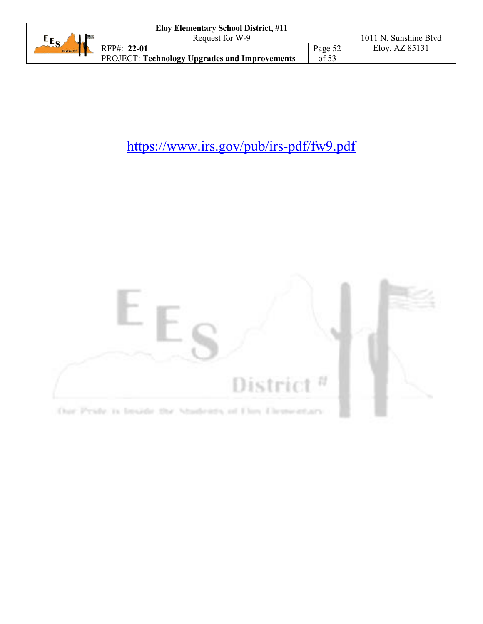|                       | <b>Eloy Elementary School District, #11</b>          |         |                       |
|-----------------------|------------------------------------------------------|---------|-----------------------|
| $E_{S_4}$<br>لمالية   | Request for W-9                                      |         | 1011 N. Sunshine Blyd |
| District <sup>#</sup> | RFP#: 22-01                                          | Page 52 | Eloy, AZ 85131        |
|                       | <b>PROJECT: Technology Upgrades and Improvements</b> | of 53   |                       |

# https://www.irs.gov/pub/irs-pdf/fw9.pdf